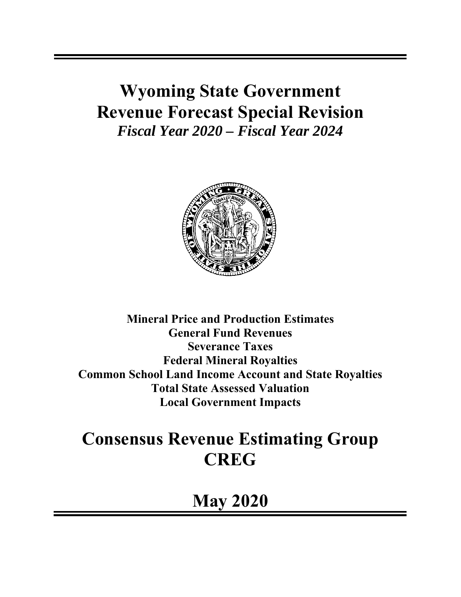# **Wyoming State Government Revenue Forecast Special Revision**  *Fiscal Year 2020 – Fiscal Year 2024*



**Mineral Price and Production Estimates General Fund Revenues Severance Taxes Federal Mineral Royalties Common School Land Income Account and State Royalties Total State Assessed Valuation Local Government Impacts** 

# **Consensus Revenue Estimating Group CREG**

**May 2020**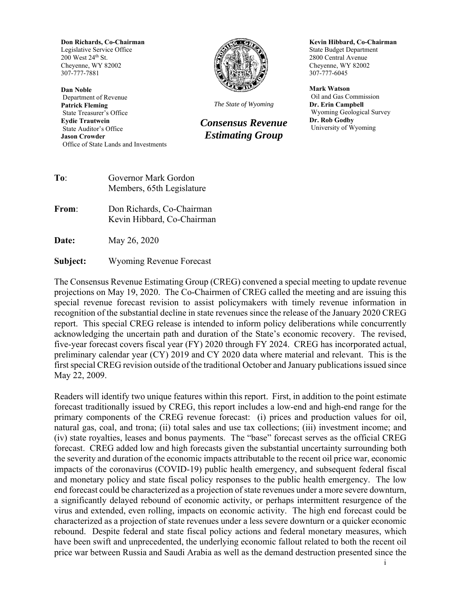**Don Richards, Co-Chairman**  Legislative Service Office 200 West 24th St. Cheyenne, WY 82002 307-777-7881

**Dan Noble**  Department of Revenue **Patrick Fleming**  State Treasurer's Office **Eydie Trautwein**  State Auditor's Office **Jason Crowder**  Office of State Lands and Investments



*The State of Wyoming*

*Consensus Revenue Estimating Group* 

**Kevin Hibbard, Co-Chairman**  State Budget Department 2800 Central Avenue Cheyenne, WY 82002 307-777-6045

**Mark Watson**  Oil and Gas Commission **Dr. Erin Campbell**  Wyoming Geological Survey **Dr. Rob Godby**  University of Wyoming

| To: | Governor Mark Gordon      |
|-----|---------------------------|
|     | Members, 65th Legislature |

- **From**: Don Richards, Co-Chairman Kevin Hibbard, Co-Chairman
- **Date:** May 26, 2020

**Subject:** Wyoming Revenue Forecast

The Consensus Revenue Estimating Group (CREG) convened a special meeting to update revenue projections on May 19, 2020. The Co-Chairmen of CREG called the meeting and are issuing this special revenue forecast revision to assist policymakers with timely revenue information in recognition of the substantial decline in state revenues since the release of the January 2020 CREG report. This special CREG release is intended to inform policy deliberations while concurrently acknowledging the uncertain path and duration of the State's economic recovery. The revised, five-year forecast covers fiscal year (FY) 2020 through FY 2024. CREG has incorporated actual, preliminary calendar year (CY) 2019 and CY 2020 data where material and relevant. This is the first special CREG revision outside of the traditional October and January publications issued since May 22, 2009.

Readers will identify two unique features within this report. First, in addition to the point estimate forecast traditionally issued by CREG, this report includes a low-end and high-end range for the primary components of the CREG revenue forecast: (i) prices and production values for oil, natural gas, coal, and trona; (ii) total sales and use tax collections; (iii) investment income; and (iv) state royalties, leases and bonus payments. The "base" forecast serves as the official CREG forecast. CREG added low and high forecasts given the substantial uncertainty surrounding both the severity and duration of the economic impacts attributable to the recent oil price war, economic impacts of the coronavirus (COVID-19) public health emergency, and subsequent federal fiscal and monetary policy and state fiscal policy responses to the public health emergency. The low end forecast could be characterized as a projection of state revenues under a more severe downturn, a significantly delayed rebound of economic activity, or perhaps intermittent resurgence of the virus and extended, even rolling, impacts on economic activity. The high end forecast could be characterized as a projection of state revenues under a less severe downturn or a quicker economic rebound. Despite federal and state fiscal policy actions and federal monetary measures, which have been swift and unprecedented, the underlying economic fallout related to both the recent oil price war between Russia and Saudi Arabia as well as the demand destruction presented since the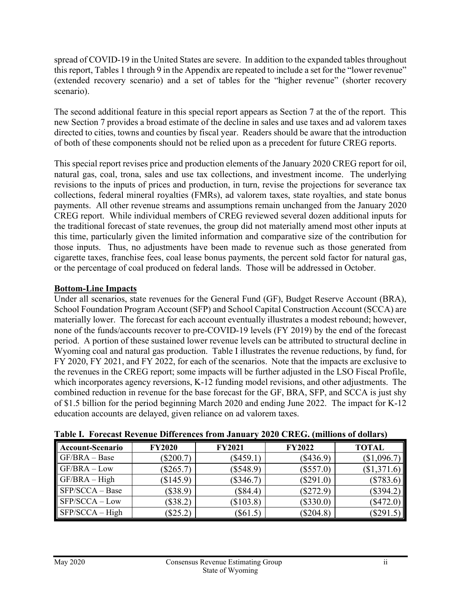spread of COVID-19 in the United States are severe. In addition to the expanded tables throughout this report, Tables 1 through 9 in the Appendix are repeated to include a set for the "lower revenue" (extended recovery scenario) and a set of tables for the "higher revenue" (shorter recovery scenario).

The second additional feature in this special report appears as Section 7 at the of the report. This new Section 7 provides a broad estimate of the decline in sales and use taxes and ad valorem taxes directed to cities, towns and counties by fiscal year. Readers should be aware that the introduction of both of these components should not be relied upon as a precedent for future CREG reports.

This special report revises price and production elements of the January 2020 CREG report for oil, natural gas, coal, trona, sales and use tax collections, and investment income. The underlying revisions to the inputs of prices and production, in turn, revise the projections for severance tax collections, federal mineral royalties (FMRs), ad valorem taxes, state royalties, and state bonus payments. All other revenue streams and assumptions remain unchanged from the January 2020 CREG report. While individual members of CREG reviewed several dozen additional inputs for the traditional forecast of state revenues, the group did not materially amend most other inputs at this time, particularly given the limited information and comparative size of the contribution for those inputs. Thus, no adjustments have been made to revenue such as those generated from cigarette taxes, franchise fees, coal lease bonus payments, the percent sold factor for natural gas, or the percentage of coal produced on federal lands. Those will be addressed in October.

## **Bottom-Line Impacts**

Under all scenarios, state revenues for the General Fund (GF), Budget Reserve Account (BRA), School Foundation Program Account (SFP) and School Capital Construction Account (SCCA) are materially lower. The forecast for each account eventually illustrates a modest rebound; however, none of the funds/accounts recover to pre-COVID-19 levels (FY 2019) by the end of the forecast period. A portion of these sustained lower revenue levels can be attributed to structural decline in Wyoming coal and natural gas production. Table I illustrates the revenue reductions, by fund, for FY 2020, FY 2021, and FY 2022, for each of the scenarios. Note that the impacts are exclusive to the revenues in the CREG report; some impacts will be further adjusted in the LSO Fiscal Profile, which incorporates agency reversions, K-12 funding model revisions, and other adjustments. The combined reduction in revenue for the base forecast for the GF, BRA, SFP, and SCCA is just shy of \$1.5 billion for the period beginning March 2020 and ending June 2022. The impact for K-12 education accounts are delayed, given reliance on ad valorem taxes.

| Account-Scenario  | <b>FY2020</b> | <b>FY2021</b> | <b>FY2022</b> | <b>TOTAL</b> |
|-------------------|---------------|---------------|---------------|--------------|
| $GF/BRA - Base$   | $(\$200.7)$   | $(\$459.1)$   | $(\$436.9)$   | \$1,096.7    |
| $GF/BRA - Low$    | $(\$265.7)$   | $(\$548.9)$   | $(\$557.0)$   | $\$1,371.6$  |
| $GF/BRA - High$   | \$145.9       | $(\$346.7)$   | $(\$291.0)$   | $(\$783.6$   |
| $SFP/SCCA - Base$ | $(\$38.9)$    | $(\$84.4)$    | $(\$272.9)$   | (\$394.2)    |
| $SFP/SCCA - Low$  | (\$38.2)      | (\$103.8)     | $(\$330.0)$   | (\$472.      |
| $SFP/SCCA - High$ | \$25.2)       | \$61.5        | $(\$204.8)$   | \$291        |

| Table I. Forecast Revenue Differences from January 2020 CREG. (millions of dollars) |  |  |  |
|-------------------------------------------------------------------------------------|--|--|--|
|                                                                                     |  |  |  |
|                                                                                     |  |  |  |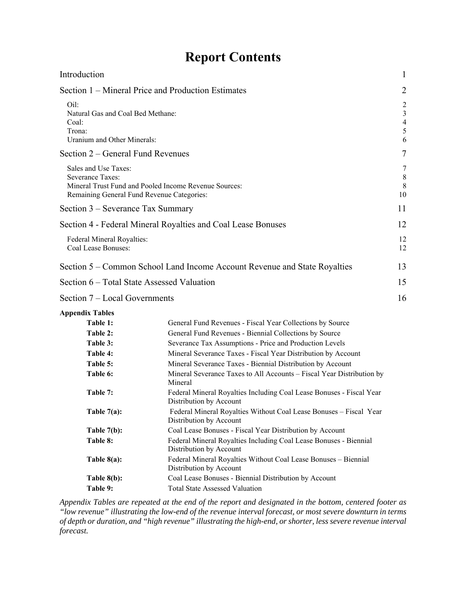# **Report Contents**

| Introduction                                                                                  |                                                                                                                                                                                                                                                                                                               | $\mathbf{1}$                                                 |
|-----------------------------------------------------------------------------------------------|---------------------------------------------------------------------------------------------------------------------------------------------------------------------------------------------------------------------------------------------------------------------------------------------------------------|--------------------------------------------------------------|
|                                                                                               | Section 1 – Mineral Price and Production Estimates                                                                                                                                                                                                                                                            | $\overline{2}$                                               |
| Oil:<br>Natural Gas and Coal Bed Methane:<br>Coal:<br>Trona:<br>Uranium and Other Minerals:   |                                                                                                                                                                                                                                                                                                               | $\overline{2}$<br>$\mathfrak{Z}$<br>$\overline{4}$<br>5<br>6 |
| Section 2 – General Fund Revenues                                                             |                                                                                                                                                                                                                                                                                                               | 7                                                            |
| Sales and Use Taxes:<br><b>Severance Taxes:</b><br>Remaining General Fund Revenue Categories: | Mineral Trust Fund and Pooled Income Revenue Sources:                                                                                                                                                                                                                                                         | 7<br>$\,8\,$<br>$\,$ 8 $\,$<br>10                            |
| Section 3 – Severance Tax Summary                                                             |                                                                                                                                                                                                                                                                                                               | 11                                                           |
|                                                                                               | Section 4 - Federal Mineral Royalties and Coal Lease Bonuses                                                                                                                                                                                                                                                  | 12                                                           |
| Federal Mineral Royalties:<br>Coal Lease Bonuses:                                             |                                                                                                                                                                                                                                                                                                               | 12<br>12                                                     |
|                                                                                               | Section 5 – Common School Land Income Account Revenue and State Royalties                                                                                                                                                                                                                                     | 13                                                           |
| Section 6 – Total State Assessed Valuation                                                    |                                                                                                                                                                                                                                                                                                               | 15                                                           |
| Section 7 – Local Governments                                                                 |                                                                                                                                                                                                                                                                                                               | 16                                                           |
| <b>Appendix Tables</b>                                                                        |                                                                                                                                                                                                                                                                                                               |                                                              |
| Table 1:<br>Table 2:<br>Table 3:<br>Table 4:<br>Table 5:                                      | General Fund Revenues - Fiscal Year Collections by Source<br>General Fund Revenues - Biennial Collections by Source<br>Severance Tax Assumptions - Price and Production Levels<br>Mineral Severance Taxes - Fiscal Year Distribution by Account<br>Mineral Severance Taxes - Biennial Distribution by Account |                                                              |
| Table 6:                                                                                      | Mineral Severance Taxes to All Accounts - Fiscal Year Distribution by<br>Mineral                                                                                                                                                                                                                              |                                                              |
| Table 7:                                                                                      | Federal Mineral Royalties Including Coal Lease Bonuses - Fiscal Year<br>Distribution by Account                                                                                                                                                                                                               |                                                              |
| Table $7(a)$ :                                                                                | Federal Mineral Royalties Without Coal Lease Bonuses - Fiscal Year<br>Distribution by Account                                                                                                                                                                                                                 |                                                              |
| Table $7(b)$ :                                                                                | Coal Lease Bonuses - Fiscal Year Distribution by Account                                                                                                                                                                                                                                                      |                                                              |
| Table 8:                                                                                      | Federal Mineral Royalties Including Coal Lease Bonuses - Biennial<br>Distribution by Account                                                                                                                                                                                                                  |                                                              |
| Table $8(a)$ :                                                                                | Federal Mineral Royalties Without Coal Lease Bonuses - Biennial<br>Distribution by Account                                                                                                                                                                                                                    |                                                              |
| Table $8(b)$ :                                                                                | Coal Lease Bonuses - Biennial Distribution by Account                                                                                                                                                                                                                                                         |                                                              |
| Table 9:                                                                                      | <b>Total State Assessed Valuation</b>                                                                                                                                                                                                                                                                         |                                                              |

*Appendix Tables are repeated at the end of the report and designated in the bottom, centered footer as "low revenue" illustrating the low-end of the revenue interval forecast, or most severe downturn in terms of depth or duration, and "high revenue" illustrating the high-end, or shorter, less severe revenue interval forecast.*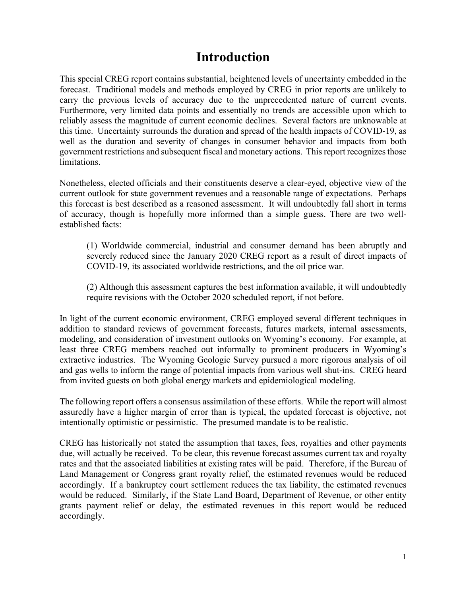# **Introduction**

This special CREG report contains substantial, heightened levels of uncertainty embedded in the forecast. Traditional models and methods employed by CREG in prior reports are unlikely to carry the previous levels of accuracy due to the unprecedented nature of current events. Furthermore, very limited data points and essentially no trends are accessible upon which to reliably assess the magnitude of current economic declines. Several factors are unknowable at this time. Uncertainty surrounds the duration and spread of the health impacts of COVID-19, as well as the duration and severity of changes in consumer behavior and impacts from both government restrictions and subsequent fiscal and monetary actions. This report recognizes those limitations.

Nonetheless, elected officials and their constituents deserve a clear-eyed, objective view of the current outlook for state government revenues and a reasonable range of expectations. Perhaps this forecast is best described as a reasoned assessment. It will undoubtedly fall short in terms of accuracy, though is hopefully more informed than a simple guess. There are two wellestablished facts:

(1) Worldwide commercial, industrial and consumer demand has been abruptly and severely reduced since the January 2020 CREG report as a result of direct impacts of COVID-19, its associated worldwide restrictions, and the oil price war.

(2) Although this assessment captures the best information available, it will undoubtedly require revisions with the October 2020 scheduled report, if not before.

In light of the current economic environment, CREG employed several different techniques in addition to standard reviews of government forecasts, futures markets, internal assessments, modeling, and consideration of investment outlooks on Wyoming's economy. For example, at least three CREG members reached out informally to prominent producers in Wyoming's extractive industries. The Wyoming Geologic Survey pursued a more rigorous analysis of oil and gas wells to inform the range of potential impacts from various well shut-ins. CREG heard from invited guests on both global energy markets and epidemiological modeling.

The following report offers a consensus assimilation of these efforts. While the report will almost assuredly have a higher margin of error than is typical, the updated forecast is objective, not intentionally optimistic or pessimistic. The presumed mandate is to be realistic.

CREG has historically not stated the assumption that taxes, fees, royalties and other payments due, will actually be received. To be clear, this revenue forecast assumes current tax and royalty rates and that the associated liabilities at existing rates will be paid. Therefore, if the Bureau of Land Management or Congress grant royalty relief, the estimated revenues would be reduced accordingly. If a bankruptcy court settlement reduces the tax liability, the estimated revenues would be reduced. Similarly, if the State Land Board, Department of Revenue, or other entity grants payment relief or delay, the estimated revenues in this report would be reduced accordingly.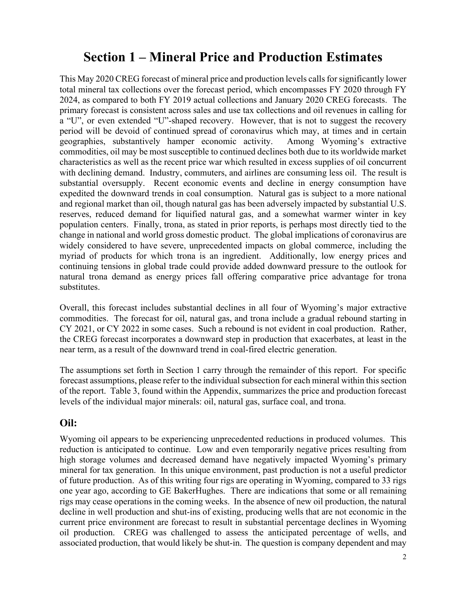# **Section 1 – Mineral Price and Production Estimates**

This May 2020 CREG forecast of mineral price and production levels calls for significantly lower total mineral tax collections over the forecast period, which encompasses FY 2020 through FY 2024, as compared to both FY 2019 actual collections and January 2020 CREG forecasts. The primary forecast is consistent across sales and use tax collections and oil revenues in calling for a "U", or even extended "U"-shaped recovery. However, that is not to suggest the recovery period will be devoid of continued spread of coronavirus which may, at times and in certain geographies, substantively hamper economic activity. Among Wyoming's extractive commodities, oil may be most susceptible to continued declines both due to its worldwide market characteristics as well as the recent price war which resulted in excess supplies of oil concurrent with declining demand. Industry, commuters, and airlines are consuming less oil. The result is substantial oversupply. Recent economic events and decline in energy consumption have expedited the downward trends in coal consumption. Natural gas is subject to a more national and regional market than oil, though natural gas has been adversely impacted by substantial U.S. reserves, reduced demand for liquified natural gas, and a somewhat warmer winter in key population centers. Finally, trona, as stated in prior reports, is perhaps most directly tied to the change in national and world gross domestic product. The global implications of coronavirus are widely considered to have severe, unprecedented impacts on global commerce, including the myriad of products for which trona is an ingredient. Additionally, low energy prices and continuing tensions in global trade could provide added downward pressure to the outlook for natural trona demand as energy prices fall offering comparative price advantage for trona substitutes.

Overall, this forecast includes substantial declines in all four of Wyoming's major extractive commodities. The forecast for oil, natural gas, and trona include a gradual rebound starting in CY 2021, or CY 2022 in some cases. Such a rebound is not evident in coal production. Rather, the CREG forecast incorporates a downward step in production that exacerbates, at least in the near term, as a result of the downward trend in coal-fired electric generation.

The assumptions set forth in Section 1 carry through the remainder of this report. For specific forecast assumptions, please refer to the individual subsection for each mineral within this section of the report. Table 3, found within the Appendix, summarizes the price and production forecast levels of the individual major minerals: oil, natural gas, surface coal, and trona.

## **Oil:**

Wyoming oil appears to be experiencing unprecedented reductions in produced volumes. This reduction is anticipated to continue. Low and even temporarily negative prices resulting from high storage volumes and decreased demand have negatively impacted Wyoming's primary mineral for tax generation. In this unique environment, past production is not a useful predictor of future production. As of this writing four rigs are operating in Wyoming, compared to 33 rigs one year ago, according to GE BakerHughes. There are indications that some or all remaining rigs may cease operations in the coming weeks. In the absence of new oil production, the natural decline in well production and shut-ins of existing, producing wells that are not economic in the current price environment are forecast to result in substantial percentage declines in Wyoming oil production. CREG was challenged to assess the anticipated percentage of wells, and associated production, that would likely be shut-in. The question is company dependent and may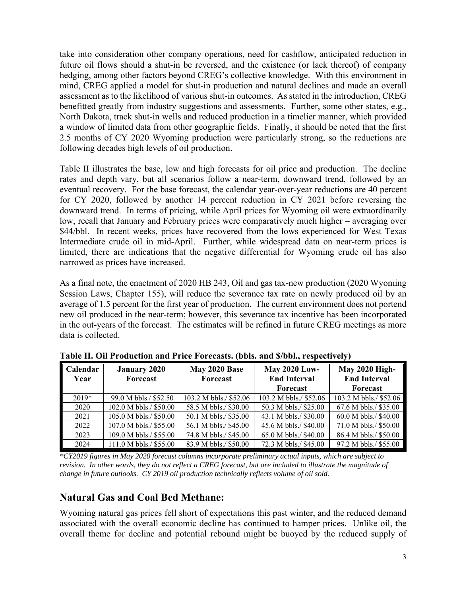take into consideration other company operations, need for cashflow, anticipated reduction in future oil flows should a shut-in be reversed, and the existence (or lack thereof) of company hedging, among other factors beyond CREG's collective knowledge. With this environment in mind, CREG applied a model for shut-in production and natural declines and made an overall assessment as to the likelihood of various shut-in outcomes. As stated in the introduction, CREG benefitted greatly from industry suggestions and assessments. Further, some other states, e.g., North Dakota, track shut-in wells and reduced production in a timelier manner, which provided a window of limited data from other geographic fields. Finally, it should be noted that the first 2.5 months of CY 2020 Wyoming production were particularly strong, so the reductions are following decades high levels of oil production.

Table II illustrates the base, low and high forecasts for oil price and production. The decline rates and depth vary, but all scenarios follow a near-term, downward trend, followed by an eventual recovery. For the base forecast, the calendar year-over-year reductions are 40 percent for CY 2020, followed by another 14 percent reduction in CY 2021 before reversing the downward trend. In terms of pricing, while April prices for Wyoming oil were extraordinarily low, recall that January and February prices were comparatively much higher – averaging over \$44/bbl. In recent weeks, prices have recovered from the lows experienced for West Texas Intermediate crude oil in mid-April. Further, while widespread data on near-term prices is limited, there are indications that the negative differential for Wyoming crude oil has also narrowed as prices have increased.

As a final note, the enactment of 2020 HB 243, Oil and gas tax-new production (2020 Wyoming Session Laws, Chapter 155), will reduce the severance tax rate on newly produced oil by an average of 1.5 percent for the first year of production. The current environment does not portend new oil produced in the near-term; however, this severance tax incentive has been incorporated in the out-years of the forecast. The estimates will be refined in future CREG meetings as more data is collected.

| Calendar | <b>January 2020</b>    | May 2020 Base          | <b>May 2020 Low-</b>   | <b>May 2020 High-</b>  |
|----------|------------------------|------------------------|------------------------|------------------------|
| Year     | <b>Forecast</b>        | <b>Forecast</b>        | <b>End Interval</b>    | <b>End Interval</b>    |
|          |                        |                        | <b>Forecast</b>        | Forecast               |
| $2019*$  | 99.0 M bbls./ \$52.50  | 103.2 M bbls./ \$52.06 | 103.2 M bbls./ \$52.06 | 103.2 M bbls./ \$52.06 |
| 2020     | 102.0 M bbls./ \$50.00 | 58.5 M bbls./ \$30.00  | 50.3 M bbls./ \$25.00  | 67.6 M bbls./ \$35.00  |
| 2021     | 105.0 M bbls./ \$50.00 | 50.1 M bbls./ \$35.00  | 43.1 M bbls./ \$30.00  | 60.0 M bbls./ \$40.00  |
| 2022     | 107.0 M bbls./ \$55.00 | 56.1 M bbls./ \$45.00  | 45.6 M bbls./ \$40.00  | 71.0 M bbls./ \$50.00  |
| 2023     | 109.0 M bbls./ \$55.00 | 74.8 M bbls./ \$45.00  | 65.0 M bbls./ \$40.00  | 86.4 M bbls./ \$50.00  |
| 2024     | 111.0 M bbls./ \$55.00 | 83.9 M bbls./ \$50.00  | 72.3 M bbls./ \$45.00  | 97.2 M bbls./ \$55.00  |

**Table II. Oil Production and Price Forecasts. (bbls. and \$/bbl., respectively)** 

*\*CY2019 figures in May 2020 forecast columns incorporate preliminary actual inputs, which are subject to revision. In other words, they do not reflect a CREG forecast, but are included to illustrate the magnitude of change in future outlooks. CY 2019 oil production technically reflects volume of oil sold.* 

## **Natural Gas and Coal Bed Methane:**

Wyoming natural gas prices fell short of expectations this past winter, and the reduced demand associated with the overall economic decline has continued to hamper prices. Unlike oil, the overall theme for decline and potential rebound might be buoyed by the reduced supply of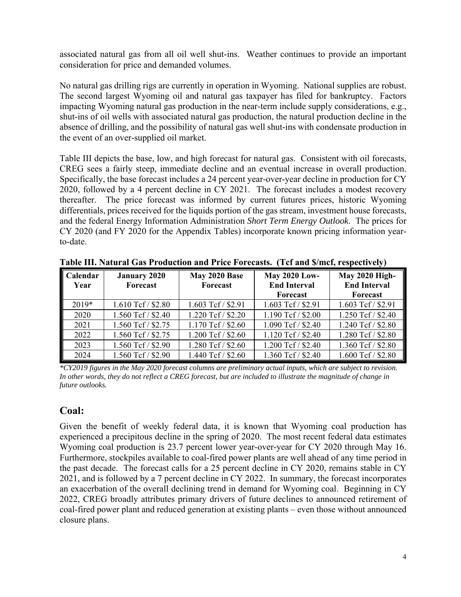associated natural gas from all oil well shut-ins. Weather continues to provide an important consideration for price and demanded volumes.

No natural gas drilling rigs are currently in operation in Wyoming. National supplies are robust. The second largest Wyoming oil and natural gas taxpayer has filed for bankruptcy. Factors impacting Wyoming natural gas production in the near-term include supply considerations, e.g., shut-ins of oil wells with associated natural gas production, the natural production decline in the absence of drilling, and the possibility of natural gas well shut-ins with condensate production in the event of an over-supplied oil market.

Table III depicts the base, low, and high forecast for natural gas. Consistent with oil forecasts, CREG sees a fairly steep, immediate decline and an eventual increase in overall production. Specifically, the base forecast includes a 24 percent year-over-year decline in production for CY 2020, followed by a 4 percent decline in CY 2021. The forecast includes a modest recovery thereafter. The price forecast was informed by current futures prices, historic Wyoming differentials, prices received for the liquids portion of the gas stream, investment house forecasts, and the federal Energy Information Administration *Short Term Energy Outlook*. The prices for CY 2020 (and FY 2020 for the Appendix Tables) incorporate known pricing information yearto-date.

| Calendar | <b>January 2020</b> | May 2020 Base        | <b>May 2020 Low-</b> | <b>May 2020 High-</b> |
|----------|---------------------|----------------------|----------------------|-----------------------|
| Year     | <b>Forecast</b>     | Forecast             | <b>End Interval</b>  | <b>End Interval</b>   |
|          |                     |                      | Forecast             | Forecast              |
| $2019*$  | 1.610 Tcf / \$2.80  | 1.603 Tcf / \$2.91   | 1.603 Tcf / \$2.91   | 1.603 Tcf / \$2.91    |
| 2020     | 1.560 Tcf / \$2.40  | 1.220 Tcf / \$2.20   | 1.190 Tcf / \$2.00   | 1.250 Tcf / \$2.40    |
| 2021     | 1.560 Tcf / \$2.75  | $1.170$ Tcf / \$2.60 | 1.090 Tcf / \$2.40   | 1.240 Tcf / \$2.80    |
| 2022     | 1.560 Tcf / \$2.75  | 1.200 Tcf / \$2.60   | 1.120 Tcf / \$2.40   | 1.280 Tcf / \$2.80    |
| 2023     | 1.560 Tcf / \$2.90  | 1.280 Tcf / \$2.60   | 1.200 Tcf / \$2.40   | 1.360 Tcf / \$2.80    |
| 2024     | 1.560 Tcf / \$2.90  | 1.440 Tcf / \$2.60   | 1.360 Tcf / \$2.40   | 1.600 Tcf / \$2.80    |

**Table III. Natural Gas Production and Price Forecasts. (Tcf and \$/mcf, respectively)** 

*\*CY2019 figures in the May 2020 forecast columns are preliminary actual inputs, which are subject to revision. In other words, they do not reflect a CREG forecast, but are included to illustrate the magnitude of change in future outlooks.* 

## **Coal:**

Given the benefit of weekly federal data, it is known that Wyoming coal production has experienced a precipitous decline in the spring of 2020. The most recent federal data estimates Wyoming coal production is 23.7 percent lower year-over-year for CY 2020 through May 16. Furthermore, stockpiles available to coal-fired power plants are well ahead of any time period in the past decade. The forecast calls for a 25 percent decline in CY 2020, remains stable in CY 2021, and is followed by a 7 percent decline in CY 2022. In summary, the forecast incorporates an exacerbation of the overall declining trend in demand for Wyoming coal. Beginning in CY 2022, CREG broadly attributes primary drivers of future declines to announced retirement of coal-fired power plant and reduced generation at existing plants – even those without announced closure plans.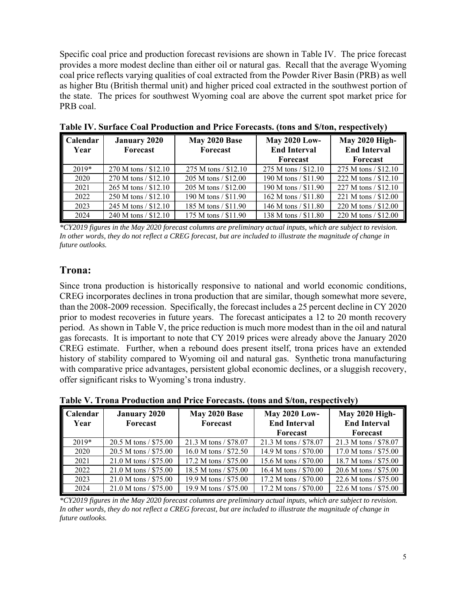Specific coal price and production forecast revisions are shown in Table IV. The price forecast provides a more modest decline than either oil or natural gas. Recall that the average Wyoming coal price reflects varying qualities of coal extracted from the Powder River Basin (PRB) as well as higher Btu (British thermal unit) and higher priced coal extracted in the southwest portion of the state. The prices for southwest Wyoming coal are above the current spot market price for PRB coal.

| <b>Calendar</b><br>Year | <b>January 2020</b><br>Forecast | May 2020 Base<br>Forecast | <b>May 2020 Low-</b><br><b>End Interval</b> | <b>May 2020 High-</b><br><b>End Interval</b> |
|-------------------------|---------------------------------|---------------------------|---------------------------------------------|----------------------------------------------|
|                         |                                 |                           | Forecast                                    | Forecast                                     |
| $2019*$                 | 270 M tons / \$12.10            | 275 M tons / \$12.10      | $275$ M tons / \$12.10                      | 275 M tons / \$12.10                         |
| 2020                    | 270 M tons / \$12.10            | 205 M tons / \$12.00      | 190 M tons / \$11.90                        | 222 M tons / \$12.10                         |
| 2021                    | 265 M tons / \$12.10            | 205 M tons / \$12.00      | 190 M tons / \$11.90                        | 227 M tons / \$12.10                         |
| 2022                    | $250 M$ tons / \$12.10          | 190 M tons / \$11.90      | 162 M tons $/ $11.80$                       | 221 M tons / \$12.00                         |
| 2023                    | 245 M tons / \$12.10            | 185 M tons / \$11.90      | 146 M tons / \$11.80                        | 220 M tons / \$12.00                         |
| 2024                    | 240 M tons / \$12.10            | 175 M tons / \$11.90      | 138 M tons / \$11.80                        | 220 M tons / \$12.00                         |

**Table IV. Surface Coal Production and Price Forecasts. (tons and \$/ton, respectively)** 

*\*CY2019 figures in the May 2020 forecast columns are preliminary actual inputs, which are subject to revision. In other words, they do not reflect a CREG forecast, but are included to illustrate the magnitude of change in future outlooks.* 

## **Trona:**

Since trona production is historically responsive to national and world economic conditions, CREG incorporates declines in trona production that are similar, though somewhat more severe, than the 2008-2009 recession. Specifically, the forecast includes a 25 percent decline in CY 2020 prior to modest recoveries in future years. The forecast anticipates a 12 to 20 month recovery period. As shown in Table V, the price reduction is much more modest than in the oil and natural gas forecasts. It is important to note that CY 2019 prices were already above the January 2020 CREG estimate. Further, when a rebound does present itself, trona prices have an extended history of stability compared to Wyoming oil and natural gas. Synthetic trona manufacturing with comparative price advantages, persistent global economic declines, or a sluggish recovery, offer significant risks to Wyoming's trona industry.

| <b>Calendar</b><br>Year | <b>January 2020</b><br>Forecast | May 2020 Base<br>Forecast | <b>May 2020 Low-</b><br><b>End Interval</b> | <b>May 2020 High-</b><br><b>End Interval</b> |
|-------------------------|---------------------------------|---------------------------|---------------------------------------------|----------------------------------------------|
|                         |                                 |                           | Forecast                                    | Forecast                                     |
| $2019*$                 | 20.5 M tons / \$75.00           | 21.3 M tons / \$78.07     | 21.3 M tons / \$78.07                       | 21.3 M tons / \$78.07                        |
| 2020                    | $20.5 M$ tons / \$75.00         | 16.0 M tons $/ $72.50$    | 14.9 M tons / \$70.00                       | 17.0 M tons / \$75.00                        |
| 2021                    | $21.0 M$ tons / \$75.00         | 17.2 M tons / \$75.00     | 15.6 M tons / \$70.00                       | 18.7 M tons / \$75.00                        |
| 2022                    | $21.0 M$ tons / \$75.00         | 18.5 M tons / \$75.00     | 16.4 M tons / \$70.00                       | 20.6 M tons / \$75.00                        |
| 2023                    | $21.0 M$ tons / \$75.00         | 19.9 M tons / \$75.00     | 17.2 M tons / \$70.00                       | 22.6 M tons / \$75.00                        |
| 2024                    | $21.0 M$ tons / \$75.00         | 19.9 M tons / \$75.00     | 17.2 M tons / \$70.00                       | 22.6 M tons / \$75.00                        |

**Table V. Trona Production and Price Forecasts. (tons and \$/ton, respectively)** 

*\*CY2019 figures in the May 2020 forecast columns are preliminary actual inputs, which are subject to revision. In other words, they do not reflect a CREG forecast, but are included to illustrate the magnitude of change in future outlooks.*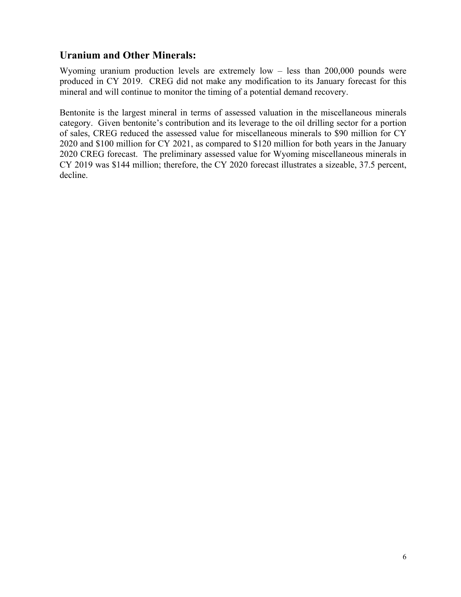# **Uranium and Other Minerals:**

Wyoming uranium production levels are extremely low – less than 200,000 pounds were produced in CY 2019. CREG did not make any modification to its January forecast for this mineral and will continue to monitor the timing of a potential demand recovery.

Bentonite is the largest mineral in terms of assessed valuation in the miscellaneous minerals category. Given bentonite's contribution and its leverage to the oil drilling sector for a portion of sales, CREG reduced the assessed value for miscellaneous minerals to \$90 million for CY 2020 and \$100 million for CY 2021, as compared to \$120 million for both years in the January 2020 CREG forecast. The preliminary assessed value for Wyoming miscellaneous minerals in CY 2019 was \$144 million; therefore, the CY 2020 forecast illustrates a sizeable, 37.5 percent, decline.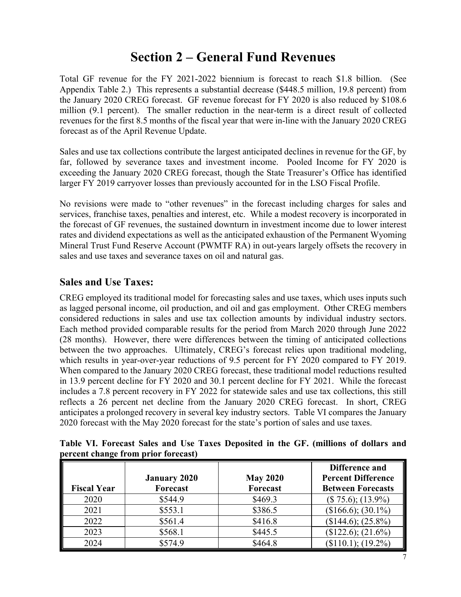# **Section 2 – General Fund Revenues**

Total GF revenue for the FY 2021-2022 biennium is forecast to reach \$1.8 billion. (See Appendix Table 2.) This represents a substantial decrease (\$448.5 million, 19.8 percent) from the January 2020 CREG forecast. GF revenue forecast for FY 2020 is also reduced by \$108.6 million (9.1 percent). The smaller reduction in the near-term is a direct result of collected revenues for the first 8.5 months of the fiscal year that were in-line with the January 2020 CREG forecast as of the April Revenue Update.

Sales and use tax collections contribute the largest anticipated declines in revenue for the GF, by far, followed by severance taxes and investment income. Pooled Income for FY 2020 is exceeding the January 2020 CREG forecast, though the State Treasurer's Office has identified larger FY 2019 carryover losses than previously accounted for in the LSO Fiscal Profile.

No revisions were made to "other revenues" in the forecast including charges for sales and services, franchise taxes, penalties and interest, etc. While a modest recovery is incorporated in the forecast of GF revenues, the sustained downturn in investment income due to lower interest rates and dividend expectations as well as the anticipated exhaustion of the Permanent Wyoming Mineral Trust Fund Reserve Account (PWMTF RA) in out-years largely offsets the recovery in sales and use taxes and severance taxes on oil and natural gas.

## **Sales and Use Taxes:**

CREG employed its traditional model for forecasting sales and use taxes, which uses inputs such as lagged personal income, oil production, and oil and gas employment. Other CREG members considered reductions in sales and use tax collection amounts by individual industry sectors. Each method provided comparable results for the period from March 2020 through June 2022 (28 months). However, there were differences between the timing of anticipated collections between the two approaches. Ultimately, CREG's forecast relies upon traditional modeling, which results in year-over-year reductions of 9.5 percent for FY 2020 compared to FY 2019. When compared to the January 2020 CREG forecast, these traditional model reductions resulted in 13.9 percent decline for FY 2020 and 30.1 percent decline for FY 2021. While the forecast includes a 7.8 percent recovery in FY 2022 for statewide sales and use tax collections, this still reflects a 26 percent net decline from the January 2020 CREG forecast. In short, CREG anticipates a prolonged recovery in several key industry sectors. Table VI compares the January 2020 forecast with the May 2020 forecast for the state's portion of sales and use taxes.

**Table VI. Forecast Sales and Use Taxes Deposited in the GF. (millions of dollars and percent change from prior forecast)** 

|                    | <b>January 2020</b> | <b>May 2020</b> | Difference and<br><b>Percent Difference</b> |
|--------------------|---------------------|-----------------|---------------------------------------------|
| <b>Fiscal Year</b> | Forecast            | Forecast        | <b>Between Forecasts</b>                    |
| 2020               | \$544.9             | \$469.3         | $($ 75.6); (13.9\%)$                        |
| 2021               | \$553.1             | \$386.5         | $($166.6); (30.1\%)$                        |
| 2022               | \$561.4             | \$416.8         | $($144.6); (25.8\%)$                        |
| 2023               | \$568.1             | \$445.5         | $($122.6); (21.6\%)$                        |
| 2024               | \$574.9             | \$464.8         | $($110.1); (19.2\%)$                        |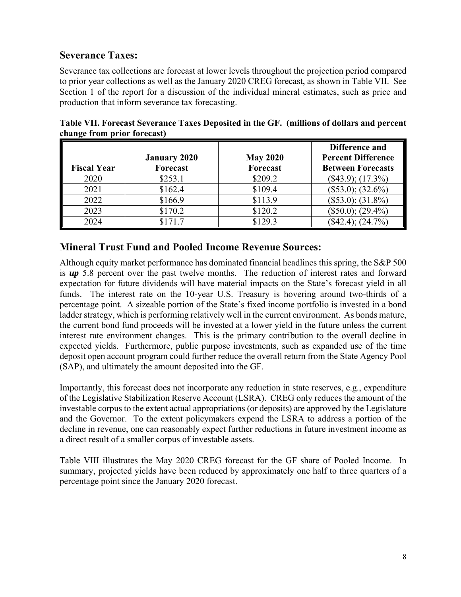## **Severance Taxes:**

Severance tax collections are forecast at lower levels throughout the projection period compared to prior year collections as well as the January 2020 CREG forecast, as shown in Table VII. See Section 1 of the report for a discussion of the individual mineral estimates, such as price and production that inform severance tax forecasting.

|                    |                     |                 | Difference and            |
|--------------------|---------------------|-----------------|---------------------------|
|                    | <b>January 2020</b> | <b>May 2020</b> | <b>Percent Difference</b> |
| <b>Fiscal Year</b> | Forecast            | <b>Forecast</b> | <b>Between Forecasts</b>  |
| 2020               | \$253.1             | \$209.2         | $($43.9); (17.3\%)$       |
| 2021               | \$162.4             | \$109.4         | $($53.0); (32.6\%)$       |
| 2022               | \$166.9             | \$113.9         | $($53.0); (31.8\%)$       |
| 2023               | \$170.2             | \$120.2         | $($50.0); (29.4\%)$       |
| 2024               | \$171.7             | \$129.3         | $($42.4); (24.7\%)$       |

**Table VII. Forecast Severance Taxes Deposited in the GF. (millions of dollars and percent change from prior forecast)** 

## **Mineral Trust Fund and Pooled Income Revenue Sources:**

Although equity market performance has dominated financial headlines this spring, the S&P 500 is *up* 5.8 percent over the past twelve months. The reduction of interest rates and forward expectation for future dividends will have material impacts on the State's forecast yield in all funds. The interest rate on the 10-year U.S. Treasury is hovering around two-thirds of a percentage point. A sizeable portion of the State's fixed income portfolio is invested in a bond ladder strategy, which is performing relatively well in the current environment. As bonds mature, the current bond fund proceeds will be invested at a lower yield in the future unless the current interest rate environment changes. This is the primary contribution to the overall decline in expected yields. Furthermore, public purpose investments, such as expanded use of the time deposit open account program could further reduce the overall return from the State Agency Pool (SAP), and ultimately the amount deposited into the GF.

Importantly, this forecast does not incorporate any reduction in state reserves, e.g., expenditure of the Legislative Stabilization Reserve Account (LSRA). CREG only reduces the amount of the investable corpus to the extent actual appropriations (or deposits) are approved by the Legislature and the Governor. To the extent policymakers expend the LSRA to address a portion of the decline in revenue, one can reasonably expect further reductions in future investment income as a direct result of a smaller corpus of investable assets.

Table VIII illustrates the May 2020 CREG forecast for the GF share of Pooled Income. In summary, projected yields have been reduced by approximately one half to three quarters of a percentage point since the January 2020 forecast.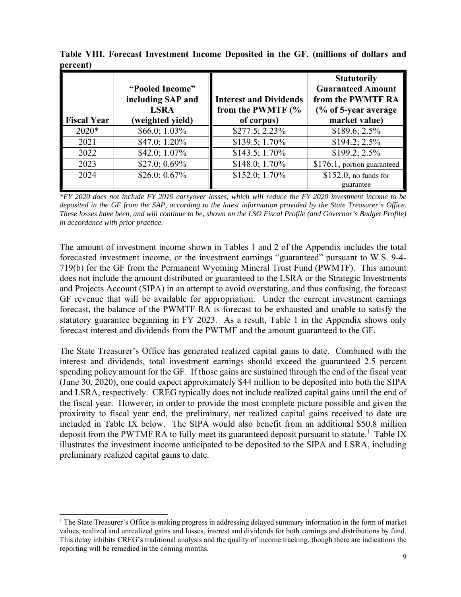| <b>Fiscal Year</b> | "Pooled Income"<br>including SAP and<br><b>LSRA</b><br>(weighted yield) | <b>Interest and Dividends</b><br>from the PWMTF (%<br>of corpus) | <b>Statutorily</b><br><b>Guaranteed Amount</b><br>from the PWMTF RA<br>$\frac{6}{6}$ of 5-year average<br>market value) |
|--------------------|-------------------------------------------------------------------------|------------------------------------------------------------------|-------------------------------------------------------------------------------------------------------------------------|
| $2020*$            | $$66.0; 1.03\%$                                                         | $$277.5; 2.23\%$                                                 | $$189.6; 2.5\%$                                                                                                         |
| 2021               | $$47.0; 1.20\%$                                                         | \$139.5; 1.70%                                                   | $$194.2; 2.5\%$                                                                                                         |
| 2022               | $$42.0; 1.07\%$                                                         | $$143.5; 1.70\%$                                                 | $$199.2; 2.5\%$                                                                                                         |
| 2023               | $$27.0; 0.69\%$                                                         | \$148.0; 1.70%                                                   | \$176.1, portion guaranteed                                                                                             |
| 2024               | $$26.0; 0.67\%$                                                         | \$152.0; 1.70%                                                   | \$152.0, no funds for                                                                                                   |
|                    |                                                                         |                                                                  | guarantee                                                                                                               |

**Table VIII. Forecast Investment Income Deposited in the GF. (millions of dollars and percent)** 

*\*FY 2020 does not include FY 2019 carryover losses, which will reduce the FY 2020 investment income to be deposited in the GF from the SAP, according to the latest information provided by the State Treasurer's Office. These losses have been, and will continue to be, shown on the LSO Fiscal Profile (and Governor's Budget Profile) in accordance with prior practice.* 

The amount of investment income shown in Tables 1 and 2 of the Appendix includes the total forecasted investment income, or the investment earnings "guaranteed" pursuant to W.S. 9-4- 719(b) for the GF from the Permanent Wyoming Mineral Trust Fund (PWMTF). This amount does not include the amount distributed or guaranteed to the LSRA or the Strategic Investments and Projects Account (SIPA) in an attempt to avoid overstating, and thus confusing, the forecast GF revenue that will be available for appropriation. Under the current investment earnings forecast, the balance of the PWMTF RA is forecast to be exhausted and unable to satisfy the statutory guarantee beginning in FY 2023. As a result, Table 1 in the Appendix shows only forecast interest and dividends from the PWTMF and the amount guaranteed to the GF.

The State Treasurer's Office has generated realized capital gains to date. Combined with the interest and dividends, total investment earnings should exceed the guaranteed 2.5 percent spending policy amount for the GF. If those gains are sustained through the end of the fiscal year (June 30, 2020), one could expect approximately \$44 million to be deposited into both the SIPA and LSRA, respectively. CREG typically does not include realized capital gains until the end of the fiscal year. However, in order to provide the most complete picture possible and given the proximity to fiscal year end, the preliminary, net realized capital gains received to date are included in Table IX below. The SIPA would also benefit from an additional \$50.8 million deposit from the PWTMF RA to fully meet its guaranteed deposit pursuant to statute.<sup>1</sup> Table IX illustrates the investment income anticipated to be deposited to the SIPA and LSRA, including preliminary realized capital gains to date.

<sup>&</sup>lt;sup>1</sup> The State Treasurer's Office is making progress in addressing delayed summary information in the form of market values, realized and unrealized gains and losses, interest and dividends for both earnings and distributions by fund. This delay inhibits CREG's traditional analysis and the quality of income tracking, though there are indications the reporting will be remedied in the coming months.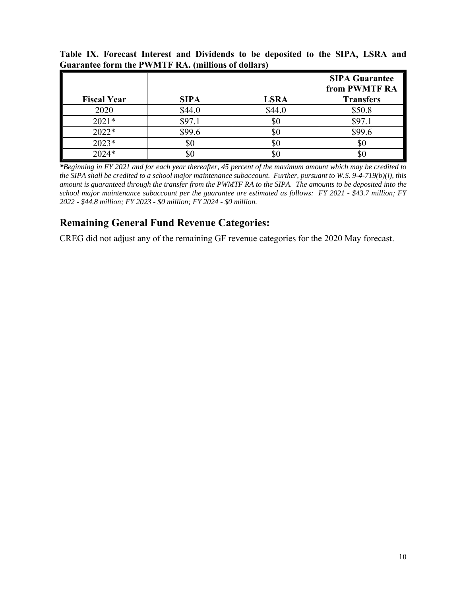| <b>Fiscal Year</b> | <b>SIPA</b> | <b>LSRA</b> | <b>SIPA Guarantee</b><br>from PWMTF RA<br><b>Transfers</b> |
|--------------------|-------------|-------------|------------------------------------------------------------|
| 2020               | \$44.0      | \$44.0      | \$50.8                                                     |
| $2021*$            | \$97.1      | \$0         | \$97.1                                                     |
| $2022*$            | \$99.6      | \$0         | \$99.6                                                     |
| $2023*$            | \$0         | \$0         | Y0                                                         |
| 2024*              | $\$0$       | \$0         |                                                            |

**Table IX. Forecast Interest and Dividends to be deposited to the SIPA, LSRA and Guarantee form the PWMTF RA. (millions of dollars)** 

*\*Beginning in FY 2021 and for each year thereafter, 45 percent of the maximum amount which may be credited to the SIPA shall be credited to a school major maintenance subaccount. Further, pursuant to W.S. 9-4-719(b)(i), this amount is guaranteed through the transfer from the PWMTF RA to the SIPA. The amounts to be deposited into the school major maintenance subaccount per the guarantee are estimated as follows: FY 2021 - \$43.7 million; FY 2022 - \$44.8 million; FY 2023 - \$0 million; FY 2024 - \$0 million.* 

## **Remaining General Fund Revenue Categories:**

CREG did not adjust any of the remaining GF revenue categories for the 2020 May forecast.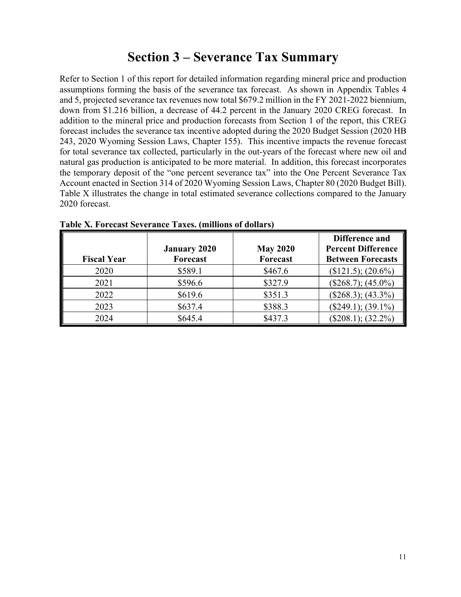# **Section 3 – Severance Tax Summary**

Refer to Section 1 of this report for detailed information regarding mineral price and production assumptions forming the basis of the severance tax forecast. As shown in Appendix Tables 4 and 5, projected severance tax revenues now total \$679.2 million in the FY 2021-2022 biennium, down from \$1.216 billion, a decrease of 44.2 percent in the January 2020 CREG forecast. In addition to the mineral price and production forecasts from Section 1 of the report, this CREG forecast includes the severance tax incentive adopted during the 2020 Budget Session (2020 HB 243, 2020 Wyoming Session Laws, Chapter 155). This incentive impacts the revenue forecast for total severance tax collected, particularly in the out-years of the forecast where new oil and natural gas production is anticipated to be more material. In addition, this forecast incorporates the temporary deposit of the "one percent severance tax" into the One Percent Severance Tax Account enacted in Section 314 of 2020 Wyoming Session Laws, Chapter 80 (2020 Budget Bill). Table X illustrates the change in total estimated severance collections compared to the January 2020 forecast.

| <b>Fiscal Year</b> | <b>January 2020</b><br>Forecast | <b>May 2020</b><br>Forecast | Difference and<br><b>Percent Difference</b><br><b>Between Forecasts</b> |
|--------------------|---------------------------------|-----------------------------|-------------------------------------------------------------------------|
| 2020               | \$589.1                         | \$467.6                     | $($121.5); (20.6\%)$                                                    |
| 2021               | \$596.6                         | \$327.9                     | $($268.7); (45.0\%)$                                                    |
| 2022               | \$619.6                         | \$351.3                     | $($268.3); (43.3\%)$                                                    |
| 2023               | \$637.4                         | \$388.3                     | $($249.1); (39.1\%)$                                                    |
| 2024               | \$645.4                         | \$437.3                     | $($208.1); (32.2\%)$                                                    |

**Table X. Forecast Severance Taxes. (millions of dollars)**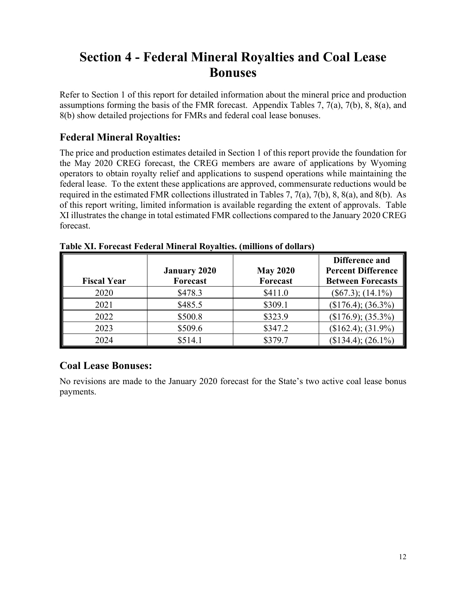# **Section 4 - Federal Mineral Royalties and Coal Lease Bonuses**

Refer to Section 1 of this report for detailed information about the mineral price and production assumptions forming the basis of the FMR forecast. Appendix Tables 7, 7(a), 7(b), 8, 8(a), and 8(b) show detailed projections for FMRs and federal coal lease bonuses.

## **Federal Mineral Royalties:**

The price and production estimates detailed in Section 1 of this report provide the foundation for the May 2020 CREG forecast, the CREG members are aware of applications by Wyoming operators to obtain royalty relief and applications to suspend operations while maintaining the federal lease. To the extent these applications are approved, commensurate reductions would be required in the estimated FMR collections illustrated in Tables 7, 7(a), 7(b), 8, 8(a), and 8(b). As of this report writing, limited information is available regarding the extent of approvals. Table XI illustrates the change in total estimated FMR collections compared to the January 2020 CREG forecast.

| <b>Fiscal Year</b> | <b>January 2020</b><br>Forecast | <b>May 2020</b><br>Forecast | Difference and<br><b>Percent Difference</b><br><b>Between Forecasts</b> |
|--------------------|---------------------------------|-----------------------------|-------------------------------------------------------------------------|
| 2020               | \$478.3                         | \$411.0                     | $(\$67.3); (14.1\%)$                                                    |
| 2021               | \$485.5                         | \$309.1                     | $($176.4); (36.3\%)$                                                    |
| 2022               | \$500.8                         | \$323.9                     | $($176.9); (35.3\%)$                                                    |
| 2023               | \$509.6                         | \$347.2                     | $($162.4); (31.9\%)$                                                    |
| 2024               | \$514.1                         | \$379.7                     | $($134.4); (26.1\%)$                                                    |

**Table XI. Forecast Federal Mineral Royalties. (millions of dollars)** 

# **Coal Lease Bonuses:**

No revisions are made to the January 2020 forecast for the State's two active coal lease bonus payments.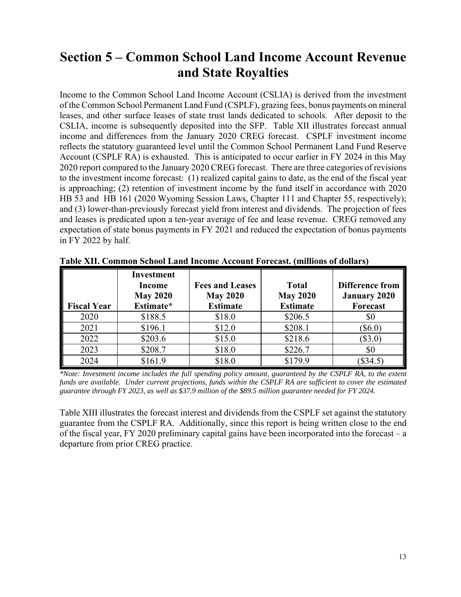# **Section 5 – Common School Land Income Account Revenue and State Royalties**

Income to the Common School Land Income Account (CSLIA) is derived from the investment of the Common School Permanent Land Fund (CSPLF), grazing fees, bonus payments on mineral leases, and other surface leases of state trust lands dedicated to schools. After deposit to the CSLIA, income is subsequently deposited into the SFP. Table XII illustrates forecast annual income and differences from the January 2020 CREG forecast. CSPLF investment income reflects the statutory guaranteed level until the Common School Permanent Land Fund Reserve Account (CSPLF RA) is exhausted. This is anticipated to occur earlier in FY 2024 in this May 2020 report compared to the January 2020 CREG forecast. There are three categories of revisions to the investment income forecast: (1) realized capital gains to date, as the end of the fiscal year is approaching; (2) retention of investment income by the fund itself in accordance with 2020 HB 53 and HB 161 (2020 Wyoming Session Laws, Chapter 111 and Chapter 55, respectively); and (3) lower-than-previously forecast yield from interest and dividends. The projection of fees and leases is predicated upon a ten-year average of fee and lease revenue. CREG removed any expectation of state bonus payments in FY 2021 and reduced the expectation of bonus payments in FY 2022 by half.

| <b>Fiscal Year</b> | <b>Investment</b><br><b>Income</b><br><b>May 2020</b><br>Estimate* | <b>Fees and Leases</b><br><b>May 2020</b><br><b>Estimate</b> | <b>Total</b><br><b>May 2020</b><br><b>Estimate</b> | <b>Difference from</b><br><b>January 2020</b><br><b>Forecast</b> |
|--------------------|--------------------------------------------------------------------|--------------------------------------------------------------|----------------------------------------------------|------------------------------------------------------------------|
| 2020               | \$188.5                                                            | \$18.0                                                       | \$206.5                                            | \$0                                                              |
| 2021               | \$196.1                                                            | \$12.0                                                       | \$208.1                                            | $(\$6.0)$                                                        |
| 2022               | \$203.6                                                            | \$15.0                                                       | \$218.6                                            | $(\$3.0)$                                                        |
| 2023               | \$208.7                                                            | \$18.0                                                       | \$226.7                                            | \$0                                                              |
| 2024               | \$161.9                                                            | \$18.0                                                       | \$179.9                                            | (\$34.5)                                                         |

**Table XII. Common School Land Income Account Forecast. (millions of dollars)** 

*\*Note: Investment income includes the full spending policy amount, guaranteed by the CSPLF RA, to the extent funds are available. Under current projections, funds within the CSPLF RA are sufficient to cover the estimated guarantee through FY 2023, as well as \$37.9 million of the \$89.5 million guarantee needed for FY 2024.* 

Table XIII illustrates the forecast interest and dividends from the CSPLF set against the statutory guarantee from the CSPLF RA. Additionally, since this report is being written close to the end of the fiscal year, FY 2020 preliminary capital gains have been incorporated into the forecast – a departure from prior CREG practice.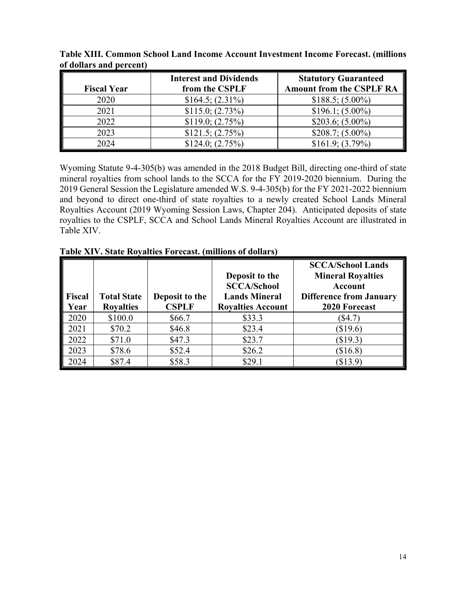| <b>Fiscal Year</b> | <b>Interest and Dividends</b><br>from the CSPLF | <b>Statutory Guaranteed</b><br><b>Amount from the CSPLF RA</b> |
|--------------------|-------------------------------------------------|----------------------------------------------------------------|
|                    |                                                 |                                                                |
| 2020               | $$164.5; (2.31\%)$                              | $$188.5; (5.00\%)$                                             |
| 2021               | \$115.0; (2.73%)                                | $$196.1; (5.00\%)$                                             |
| 2022               | \$119.0; (2.75%)                                | $$203.6; (5.00\%)$                                             |
| 2023               | \$121.5; (2.75%)                                | $$208.7; (5.00\%)$                                             |
| 2024               | \$124.0; (2.75%)                                | $$161.9; (3.79\%)$                                             |

**Table XIII. Common School Land Income Account Investment Income Forecast. (millions of dollars and percent)** 

Wyoming Statute 9-4-305(b) was amended in the 2018 Budget Bill, directing one-third of state mineral royalties from school lands to the SCCA for the FY 2019-2020 biennium. During the 2019 General Session the Legislature amended W.S. 9-4-305(b) for the FY 2021-2022 biennium and beyond to direct one-third of state royalties to a newly created School Lands Mineral Royalties Account (2019 Wyoming Session Laws, Chapter 204). Anticipated deposits of state royalties to the CSPLF, SCCA and School Lands Mineral Royalties Account are illustrated in Table XIV.

| <b>Fiscal</b><br>Year | <b>Total State</b><br><b>Royalties</b> | Deposit to the<br><b>CSPLF</b> | Deposit to the<br><b>SCCA/School</b><br><b>Lands Mineral</b><br><b>Royalties Account</b> | <b>SCCA/School Lands</b><br><b>Mineral Royalties</b><br><b>Account</b><br><b>Difference from January</b><br>2020 Forecast |
|-----------------------|----------------------------------------|--------------------------------|------------------------------------------------------------------------------------------|---------------------------------------------------------------------------------------------------------------------------|
| 2020                  | \$100.0                                | \$66.7                         | \$33.3                                                                                   | $(\$4.7)$                                                                                                                 |
| 2021                  | \$70.2                                 | \$46.8                         | \$23.4                                                                                   | \$19.6                                                                                                                    |
| 2022                  | \$71.0                                 | \$47.3                         | \$23.7                                                                                   | (\$19.3)                                                                                                                  |
| 2023                  | \$78.6                                 | \$52.4                         | \$26.2                                                                                   | \$16.8)                                                                                                                   |
| 2024                  | \$87.4                                 | \$58.3                         | \$29.1                                                                                   | $(\$13.9)$                                                                                                                |

**Table XIV. State Royalties Forecast. (millions of dollars)**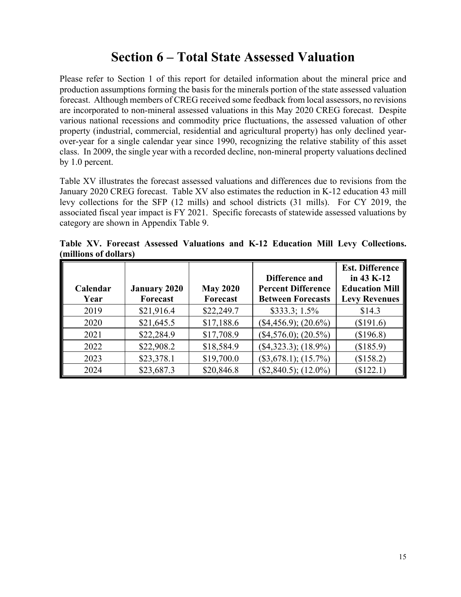# **Section 6 – Total State Assessed Valuation**

Please refer to Section 1 of this report for detailed information about the mineral price and production assumptions forming the basis for the minerals portion of the state assessed valuation forecast. Although members of CREG received some feedback from local assessors, no revisions are incorporated to non-mineral assessed valuations in this May 2020 CREG forecast. Despite various national recessions and commodity price fluctuations, the assessed valuation of other property (industrial, commercial, residential and agricultural property) has only declined yearover-year for a single calendar year since 1990, recognizing the relative stability of this asset class. In 2009, the single year with a recorded decline, non-mineral property valuations declined by 1.0 percent.

Table XV illustrates the forecast assessed valuations and differences due to revisions from the January 2020 CREG forecast. Table XV also estimates the reduction in K-12 education 43 mill levy collections for the SFP (12 mills) and school districts (31 mills). For CY 2019, the associated fiscal year impact is FY 2021. Specific forecasts of statewide assessed valuations by category are shown in Appendix Table 9.

**Table XV. Forecast Assessed Valuations and K-12 Education Mill Levy Collections. (millions of dollars)** 

|                  |                                 |                                    | Difference and                                        | <b>Est. Difference</b><br>in 43 K-12          |
|------------------|---------------------------------|------------------------------------|-------------------------------------------------------|-----------------------------------------------|
| Calendar<br>Year | <b>January 2020</b><br>Forecast | <b>May 2020</b><br><b>Forecast</b> | <b>Percent Difference</b><br><b>Between Forecasts</b> | <b>Education Mill</b><br><b>Levy Revenues</b> |
| 2019             | \$21,916.4                      | \$22,249.7                         | $$333.3; 1.5\%$                                       | \$14.3                                        |
| 2020             | \$21,645.5                      | \$17,188.6                         | $($4,456.9); (20.6\%)$                                | (\$191.6)                                     |
| 2021             | \$22,284.9                      | \$17,708.9                         | $($4,576.0); (20.5\%)$                                | (\$196.8)                                     |
| 2022             | \$22,908.2                      | \$18,584.9                         | $($4,323.3); (18.9\%)$                                | (\$185.9)                                     |
| 2023             | \$23,378.1                      | \$19,700.0                         | $($3,678.1); (15.7\%)$                                | (\$158.2)                                     |
| 2024             | \$23,687.3                      | \$20,846.8                         | $($2,840.5);$ $(12.0\%)$                              | (\$122.1)                                     |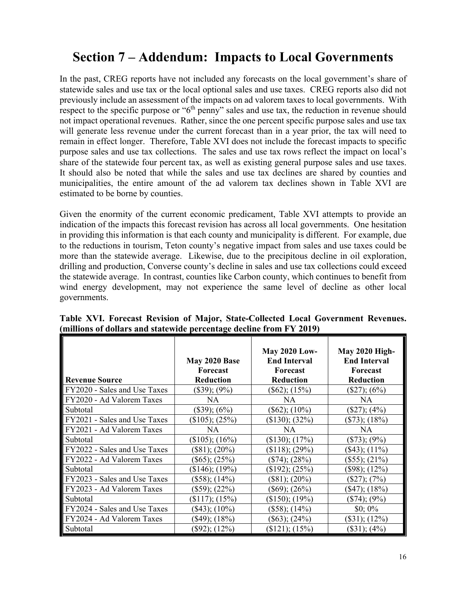# **Section 7 – Addendum: Impacts to Local Governments**

In the past, CREG reports have not included any forecasts on the local government's share of statewide sales and use tax or the local optional sales and use taxes. CREG reports also did not previously include an assessment of the impacts on ad valorem taxes to local governments. With respect to the specific purpose or "6<sup>th</sup> penny" sales and use tax, the reduction in revenue should not impact operational revenues. Rather, since the one percent specific purpose sales and use tax will generate less revenue under the current forecast than in a year prior, the tax will need to remain in effect longer. Therefore, Table XVI does not include the forecast impacts to specific purpose sales and use tax collections. The sales and use tax rows reflect the impact on local's share of the statewide four percent tax, as well as existing general purpose sales and use taxes. It should also be noted that while the sales and use tax declines are shared by counties and municipalities, the entire amount of the ad valorem tax declines shown in Table XVI are estimated to be borne by counties.

Given the enormity of the current economic predicament, Table XVI attempts to provide an indication of the impacts this forecast revision has across all local governments. One hesitation in providing this information is that each county and municipality is different. For example, due to the reductions in tourism, Teton county's negative impact from sales and use taxes could be more than the statewide average. Likewise, due to the precipitous decline in oil exploration, drilling and production, Converse county's decline in sales and use tax collections could exceed the statewide average. In contrast, counties like Carbon county, which continues to benefit from wind energy development, may not experience the same level of decline as other local governments.

|                              | May 2020 Base<br>Forecast | <b>May 2020 Low-</b><br><b>End Interval</b><br>Forecast | <b>May 2020 High-</b><br><b>End Interval</b><br><b>Forecast</b> |
|------------------------------|---------------------------|---------------------------------------------------------|-----------------------------------------------------------------|
| <b>Revenue Source</b>        | <b>Reduction</b>          | <b>Reduction</b>                                        | <b>Reduction</b>                                                |
| FY2020 - Sales and Use Taxes | $(\$39); (9\%)$           | $(\$62); (15\%)$                                        | $(\$27); (6\%)$                                                 |
| FY2020 - Ad Valorem Taxes    | <b>NA</b>                 | <b>NA</b>                                               | <b>NA</b>                                                       |
| Subtotal                     | $(\$39); (6\%)$           | $(\$62); (10\%)$                                        | $(\$27); (4\%)$                                                 |
| FY2021 - Sales and Use Taxes | $($105); (25\%)$          | $($130); (32\%)$                                        | $(\$73); (18\%)$                                                |
| FY2021 - Ad Valorem Taxes    | <b>NA</b>                 | <b>NA</b>                                               | NA                                                              |
| Subtotal                     | $($105); (16\%)$          | $($130); (17\%)$                                        | $(\$73); (9\%)$                                                 |
| FY2022 - Sales and Use Taxes | $(\$81); (20\%)$          | $($118); (29\%)$                                        | $($ \$43); $(11\%)$                                             |
| FY2022 - Ad Valorem Taxes    | $($65); (25\%)$           | $(\$74); (28\%)$                                        | $(\$55); (21\%)$                                                |
| Subtotal                     | $($146); (19\%)$          | $($192); (25\%)$                                        | $(\$98); (12\%)$                                                |
| FY2023 - Sales and Use Taxes | $($58); (14\%)$           | $($81); (20\%)$                                         | $(\$27); (7%)$                                                  |
| FY2023 - Ad Valorem Taxes    | $(\$59); (22\%)$          | $(\$69); (26\%)$                                        | $(S47); (18\%)$                                                 |
| Subtotal                     | $($117); (15\%)$          | $($150); (19\%)$                                        | $(\$74); (9\%)$                                                 |
| FY2024 - Sales and Use Taxes | $($43); (10\%)$           | $(\$58); (14\%)$                                        | $$0;0\%$                                                        |
| FY2024 - Ad Valorem Taxes    | $($ \$49); $(18%)$        | $(\$63); (24\%)$                                        | $(\$31); (12\%)$                                                |
| Subtotal                     | $(\$92); (12\%)$          | $($121); (15\%)$                                        | $(\$31); (4\%)$                                                 |

**Table XVI. Forecast Revision of Major, State-Collected Local Government Revenues. (millions of dollars and statewide percentage decline from FY 2019)**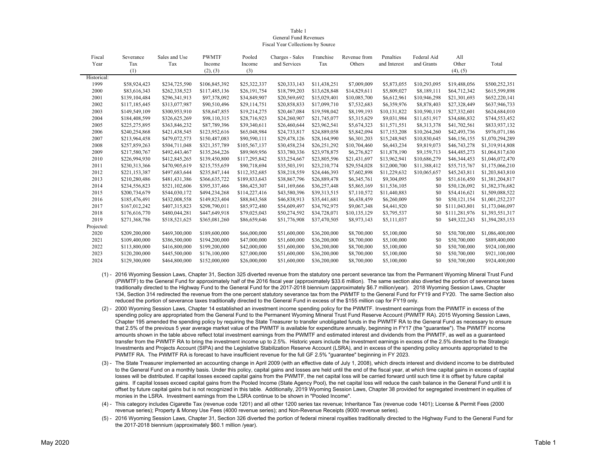#### Table 1General Fund RevenuesFiscal Year Collections by Source

| Fiscal      | Severance     | Sales and Use | <b>PWMTF</b>  | Pooled        | Charges - Sales | Franchise    | Revenue from | Penalties    | Federal Aid  | All           |                 |
|-------------|---------------|---------------|---------------|---------------|-----------------|--------------|--------------|--------------|--------------|---------------|-----------------|
| Year        | Tax           | Tax           | Income        | Income        | and Services    | Tax          | Others       | and Interest | and Grants   | Other         | Total           |
|             | (1)           |               | (2), (3)      | (3)           |                 |              |              |              |              | (4), (5)      |                 |
| Historical: |               |               |               |               |                 |              |              |              |              |               |                 |
| 1999        | \$58,924,423  | \$234,725,590 | \$106,845,392 | \$25,322,337  | \$20,333,143    | \$11,438,251 | \$7,009,009  | \$5,873,055  | \$10,293,095 | \$19,488,056  | \$500,252,351   |
| 2000        | \$83,616,343  | \$262,338,523 | \$117,485,136 | \$26,191,754  | \$18,799,203    | \$13,628,848 | \$14,829,611 | \$5,809,027  | \$8,189,111  | \$64,712,342  | \$615,599,898   |
| 2001        | \$139,104,484 | \$296,341,913 | \$97,378,092  | \$34,849,907  | \$20,569,692    | \$15,029,401 | \$10,085,700 | \$6,612,961  | \$10,946,298 | \$21,301,693  | \$652,220,141   |
| 2002        | \$117,185,445 | \$313,077,987 | \$90,510,496  | \$29,114,751  | \$20,858,833    | \$17,099,710 | \$7,532,683  | \$6,359,976  | \$8,878,403  | \$27,328,449  | \$637,946,733   |
| 2003        | \$149,549,109 | \$300,953,910 | \$58,647,855  | \$19,214,275  | \$20,467,084    | \$19,598,042 | \$8,199,193  | \$10,131,822 | \$10,590,119 | \$27,332,601  | \$624,684,010   |
| 2004        | \$184,408,599 | \$326,625,269 | \$98,110,315  | \$28,716,923  | \$24,260,907    | \$21,745,077 | \$5,315,629  | \$9,031,984  | \$11,651,917 | \$34,686,832  | \$744,553,452   |
| 2005        | \$225,275,895 | \$363,846,232 | \$87,789,396  | \$39,340,611  | \$26,460,644    | \$23,962,541 | \$5,674,323  | \$11,571,551 | \$8,313,378  | \$41,702,561  | \$833,937,132   |
| 2006        | \$240,254,868 | \$421,438,545 | \$123,952,616 | \$65,048,984  | \$24,733,817    | \$24,889,058 | \$5,842,094  | \$17,153,208 | \$10,264,260 | \$42,493,736  | \$976,071,186   |
| 2007        | \$213,964,458 | \$479,072,573 | \$150,487,083 | \$90,590,111  | \$29,478,126    | \$28,164,990 | \$6,301,203  | \$15,248,945 | \$10,830,645 | \$46,156,155  | \$1,070,294,289 |
| 2008        | \$257,859,263 | \$504,711,048 | \$321,357,789 | \$105,567,137 | \$30,458,234    | \$26,251,292 | \$10,704,460 | \$6,443,234  | \$9,819,073  | \$46,743,278  | \$1,319,914,808 |
| 2009        | \$217,580,767 | \$492,443,467 | \$135,264,226 | \$89,969,956  | \$33,780,336    | \$23,978,875 | \$6,276,827  | \$11,878,190 | \$9,159,713  | \$44,485,273  | \$1,064,817,630 |
| 2010        | \$226,994,930 | \$412,845,265 | \$139,450,800 | \$117,295,842 | \$33,254,667    | \$23,805,596 | \$21,431,697 | \$13,962,941 | \$10,686,279 | \$46,344,453  | \$1,046,072,470 |
| 2011        | \$230,313,366 | \$470,905,619 | \$215,755,659 | \$90,718,694  | \$35,503,191    | \$23,210,774 | \$29,554,028 | \$12,000,700 | \$11,388,412 | \$55,715,767  | \$1,175,066,210 |
| 2012        | \$221,153,387 | \$497,683,644 | \$235,847,144 | \$112,352,685 | \$38,218,559    | \$24,446,393 | \$7,602,898  | \$11,229,632 | \$10,065,657 | \$45,243,811  | \$1,203,843,810 |
| 2013        | \$210,280,486 | \$481,431,386 | \$366,635,722 | \$189,833,643 | \$38,867,796    | \$26,889,478 | \$6,345,761  | \$9,304,095  | \$0          | \$51,616,450  | \$1,381,204,817 |
| 2014        | \$234,556,823 | \$521,102,606 | \$395,337,466 | \$86,425,307  | \$41,169,666    | \$36,257,448 | \$5,865,169  | \$11,536,105 | \$0          | \$50,126,092  | \$1,382,376,682 |
| 2015        | \$200,734,679 | \$544,030,172 | \$494,234,268 | \$114,227,416 | \$43,580,396    | \$39,313,515 | \$7,110,572  | \$11,440,883 | \$0          | \$54,416,621  | \$1,509,088,522 |
| 2016        | \$185,476,491 | \$432,008,558 | \$149,823,404 | \$88,843,568  | \$46,838,913    | \$35,441,681 | \$6,438,459  | \$6,260,009  | \$0          | \$50,121,154  | \$1,001,252,237 |
| 2017        | \$167,012,242 | \$407,315,823 | \$298,790,011 | \$85,972,480  | \$54,609,497    | \$34,792,975 | \$9,067,348  | \$4,441,920  | \$0          | \$111,043,801 | \$1,173,046,097 |
| 2018        | \$176,616,770 | \$480,044,281 | \$447,649,918 | \$79,025,043  | \$50,274,592    | \$34,728,071 | \$10,135,129 | \$3,795,537  | \$0          | \$111,281,976 | \$1,393,551,317 |
| 2019        | \$271,368,786 | \$518,521,625 | \$365,081,260 | \$86,659,646  | \$51,776,908    | \$37,470,505 | \$8,973,143  | \$5,111,037  | \$0          | \$49,322,243  | \$1,394,285,153 |
| Projected:  |               |               |               |               |                 |              |              |              |              |               |                 |
| 2020        | \$209,200,000 | \$469,300,000 | \$189,600,000 | \$66,000,000  | \$51,600,000    | \$36,200,000 | \$8,700,000  | \$5,100,000  | \$0          | \$50,700,000  | \$1,086,400,000 |
| 2021        | \$109,400,000 | \$386,500,000 | \$194,200,000 | \$47,000,000  | \$51,600,000    | \$36,200,000 | \$8,700,000  | \$5,100,000  | \$0          | \$50,700,000  | \$889,400,000   |
| 2022        | \$113,800,000 | \$416,800,000 | \$199,200,000 | \$42,000,000  | \$51,600,000    | \$36,200,000 | \$8,700,000  | \$5,100,000  | \$0          | \$50,700,000  | \$924,100,000   |
| 2023        | \$120,200,000 | \$445,500,000 | \$176,100,000 | \$27,000,000  | \$51,600,000    | \$36,200,000 | \$8,700,000  | \$5,100,000  | \$0          | \$50,700,000  | \$921,100,000   |
| 2024        | \$129,300,000 | \$464,800,000 | \$152,000,000 | \$26,000,000  | \$51,600,000    | \$36,200,000 | \$8,700,000  | \$5,100,000  | \$0          | \$50,700,000  | \$924,400,000   |

- (1) 2016 Wyoming Session Laws, Chapter 31, Section 325 diverted revenue from the statutory one percent severance tax from the Permanent Wyoming Mineral Trust Fund (PWMTF) to the General Fund for approximately half of the 2016 fiscal year (approximately \$33.6 million). The same section also diverted the portion of severance taxes traditionally directed to the Highway Fund to the General Fund for the 2017-2018 biennium (approximately \$6.7 million/year). 2018 Wyoming Session Laws, Chapter 134, Section 314 redirected the revenue from the one percent statutory severance tax from the PWMTF to the General Fund for FY19 and FY20. The same Section also reduced the portion of severance taxes traditionally directed to the General Fund in excess of the \$155 million cap for FY19 only.
- (2) 2000 Wyoming Session Laws, Chapter 14 established an investment income spending policy for the PWMTF. Investment earnings from the PWMTF in excess of the spending policy are appropriated from the General Fund to the Permanent Wyoming Mineral Trust Fund Reserve Account (PWMTF RA). 2015 Wyoming Session Laws, Chapter 195 amended the spending policy by requiring the State Treasurer to transfer unobligated funds in the PWMTF RA to the General Fund as necessary to ensure that 2.5% of the previous 5 year average market value of the PWMTF is available for expenditure annually, beginning in FY17 (the "guarantee"). The PWMTF income amounts shown in the table above reflect total investment earnings from the PWMTF and estimated interest and dividends from the PWMTF, as well as a guaranteed transfer from the PWMTF RA to bring the investment income up to 2.5%. Historic years include the investment earnings in excess of the 2.5% directed to the Strategic Investments and Projects Account (SIPA) and the Legislative Stabilization Reserve Account (LSRA), and in excess of the spending policy amounts appropriated to the PWMTF RA. The PWMTF RA is forecast to have insufficient revenue for the full GF 2.5% "guarantee" beginning in FY 2023.
- (3) The State Treasurer implemented an accounting change in April 2009 (with an effective date of July 1, 2008), which directs interest and dividend income to be distributed to the General Fund on a monthly basis. Under this policy, capital gains and losses are held until the end of the fiscal year, at which time capital gains in excess of capital losses will be distributed. If capital losses exceed capital gains from the PWMTF, the net capital loss will be carried forward until such time it is offset by future capital gains. If capital losses exceed capital gains from the Pooled Income (State Agency Pool), the net capital loss will reduce the cash balance in the General Fund until it is offset by future capital gains but is not recognized in this table. Additionally, 2019 Wyoming Session Laws, Chapter 38 provided for segregated investment in equities of monies in the LSRA. Investment earnings from the LSRA continue to be shown in "Pooled Income".
- (4) This category includes Cigarette Tax (revenue code 1201) and all other 1200 series tax revenue; Inheritance Tax (revenue code 1401); License & Permit Fees (2000 revenue series); Property & Money Use Fees (4000 revenue series); and Non-Revenue Receipts (9000 revenue series).
- (5) 2016 Wyoming Session Laws, Chapter 31, Section 326 diverted the portion of federal mineral royalties traditionally directed to the Highway Fund to the General Fund for the 2017-2018 biennium (approximately \$60.1 million /year).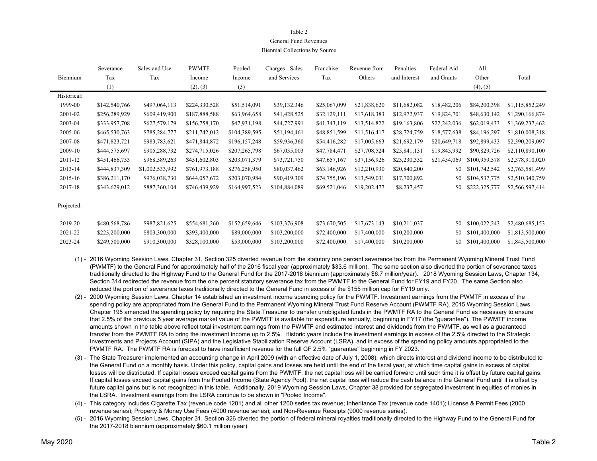### Table 2General Fund RevenuesBiennial Collections by Source

|             | Severance     | Sales and Use   | <b>PWMTF</b>  | Pooled        | Charges - Sales | Franchise    | Revenue from | Penalties    | Federal Aid  | All           |                 |
|-------------|---------------|-----------------|---------------|---------------|-----------------|--------------|--------------|--------------|--------------|---------------|-----------------|
| Biennium    | Tax           | Tax             | Income        | Income        | and Services    | Tax          | Others       | and Interest | and Grants   | Other         | Total           |
|             | (1)           |                 | (2), (3)      | (3)           |                 |              |              |              |              | (4), (5)      |                 |
| Historical: |               |                 |               |               |                 |              |              |              |              |               |                 |
| 1999-00     | \$142,540,766 | \$497,064,113   | \$224,330,528 | \$51,514,091  | \$39,132,346    | \$25,067,099 | \$21,838,620 | \$11,682,082 | \$18,482,206 | \$84,200,398  | \$1,115,852,249 |
| 2001-02     | \$256,289,929 | \$609,419,900   | \$187,888,588 | \$63,964,658  | \$41,428,525    | \$32,129,111 | \$17,618,383 | \$12,972,937 | \$19,824,701 | \$48,630,142  | \$1,290,166,874 |
| 2003-04     | \$333,957,708 | \$627,579,179   | \$156,758,170 | \$47,931,198  | \$44,727,991    | \$41,343,119 | \$13,514,822 | \$19,163,806 | \$22,242,036 | \$62,019,433  | \$1,369,237,462 |
| 2005-06     | \$465,530,763 | \$785,284,777   | \$211,742,012 | \$104,389,595 | \$51,194,461    | \$48,851,599 | \$11,516,417 | \$28,724,759 | \$18,577,638 | \$84,196,297  | \$1,810,008,318 |
| 2007-08     | \$471,823,721 | \$983,783,621   | \$471,844,872 | \$196,157,248 | \$59,936,360    | \$54,416,282 | \$17,005,663 | \$21,692,179 | \$20,649,718 | \$92,899,433  | \$2,390,209,097 |
| 2009-10     | \$444,575,697 | \$905,288,732   | \$274,715,026 | \$207,265,798 | \$67,035,003    | \$47,784,471 | \$27,708,524 | \$25,841,131 | \$19,845,992 | \$90,829,726  | \$2,110,890,100 |
| 2011-12     | \$451,466,753 | \$968,589,263   | \$451,602,803 | \$203,071,379 | \$73,721,750    | \$47,657,167 | \$37,156,926 | \$23,230,332 | \$21,454,069 | \$100,959,578 | \$2,378,910,020 |
| 2013-14     | \$444,837,309 | \$1,002,533,992 | \$761,973,188 | \$276,258,950 | \$80,037,462    | \$63,146,926 | \$12,210,930 | \$20,840,200 | \$0          | \$101,742,542 | \$2,763,581,499 |
| 2015-16     | \$386,211,170 | \$976,038,730   | \$644,057,672 | \$203,070,984 | \$90,419,309    | \$74,755,196 | \$13,549,031 | \$17,700,892 | SO.          | \$104,537,775 | \$2,510,340,759 |
| 2017-18     | \$343,629,012 | \$887,360,104   | \$746,439,929 | \$164,997,523 | \$104,884,089   | \$69,521,046 | \$19,202,477 | \$8,237,457  | \$0          | \$222,325,777 | \$2,566,597,414 |
|             |               |                 |               |               |                 |              |              |              |              |               |                 |

Projected:

| 2019-20 | \$480,568,786 | \$987,821,625 | \$554.681.260 | \$152,659,646 | \$103,376,908 | \$73,670,505 \$17,673,143 \$10,211,037 |                                        |  | \$0 \$100,022,243 \$2,480,685,153 |
|---------|---------------|---------------|---------------|---------------|---------------|----------------------------------------|----------------------------------------|--|-----------------------------------|
| 2021-22 | \$223,200,000 | \$803,300,000 | \$393,400,000 | \$89,000,000  | \$103,200,000 | \$72,400,000 \$17,400,000 \$10,200,000 |                                        |  | \$0 \$101,400,000 \$1,813,500,000 |
| 2023-24 | \$249,500,000 | \$910,300,000 | \$328,100,000 | \$53,000,000  | \$103,200,000 |                                        | \$72,400,000 \$17,400,000 \$10,200,000 |  | \$0 \$101,400,000 \$1,845,500,000 |

- (1) 2016 Wyoming Session Laws, Chapter 31, Section 325 diverted revenue from the statutory one percent severance tax from the Permanent Wyoming Mineral Trust Fund (PWMTF) to the General Fund for approximately half of the 2016 fiscal year (approximately \$33.6 million). The same section also diverted the portion of severance taxes traditionally directed to the Highway Fund to the General Fund for the 2017-2018 biennium (approximately \$6.7 million/year). 2018 Wyoming Session Laws, Chapter 134, Section 314 redirected the revenue from the one percent statutory severance tax from the PWMTF to the General Fund for FY19 and FY20. The same Section also reduced the portion of severance taxes traditionally directed to the General Fund in excess of the \$155 million cap for FY19 only.
- (2) 2000 Wyoming Session Laws, Chapter 14 established an investment income spending policy for the PWMTF. Investment earnings from the PWMTF in excess of the spending policy are appropriated from the General Fund to the Permanent Wyoming Mineral Trust Fund Reserve Account (PWMTF RA). 2015 Wyoming Session Laws, Chapter 195 amended the spending policy by requiring the State Treasurer to transfer unobligated funds in the PWMTF RA to the General Fund as necessary to ensure that 2.5% of the previous 5 year average market value of the PWMTF is available for expenditure annually, beginning in FY17 (the "guarantee"). The PWMTF income amounts shown in the table above reflect total investment earnings from the PWMTF and estimated interest and dividends from the PWMTF, as well as a guaranteed transfer from the PWMTF RA to bring the investment income up to 2.5%. Historic years include the investment earnings in excess of the 2.5% directed to the Strategic Investments and Projects Account (SIPA) and the Legislative Stabilization Reserve Account (LSRA), and in excess of the spending policy amounts appropriated to the PWMTF RA. The PWMTF RA is forecast to have insufficient revenue for the full GF 2.5% "guarantee" beginning in FY 2023.
- (3) The State Treasurer implemented an accounting change in April 2009 (with an effective date of July 1, 2008), which directs interest and dividend income to be distributed to the General Fund on a monthly basis. Under this policy, capital gains and losses are held until the end of the fiscal year, at which time capital gains in excess of capital losses will be distributed. If capital losses exceed capital gains from the PWMTF, the net capital loss will be carried forward until such time it is offset by future capital gains. If capital losses exceed capital gains from the Pooled Income (State Agency Pool), the net capital loss will reduce the cash balance in the General Fund until it is offset by future capital gains but is not recognized in this table. Additionally, 2019 Wyoming Session Laws, Chapter 38 provided for segregated investment in equities of monies in the LSRA. Investment earnings from the LSRA continue to be shown in "Pooled Income".
- (4) This category includes Cigarette Tax (revenue code 1201) and all other 1200 series tax revenue; Inheritance Tax (revenue code 1401); License & Permit Fees (2000 revenue series); Property & Money Use Fees (4000 revenue series); and Non-Revenue Receipts (9000 revenue series).
- (5) 2016 Wyoming Session Laws, Chapter 31, Section 326 diverted the portion of federal mineral royalties traditionally directed to the Highway Fund to the General Fund for the 2017-2018 biennium (approximately \$60.1 million /year).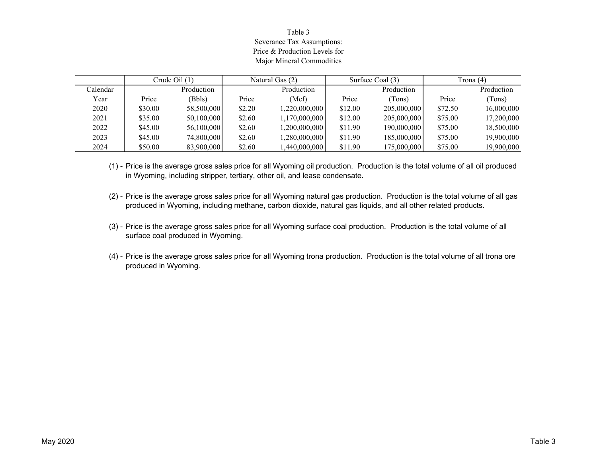## Table 3 Severance Tax Assumptions: Price & Production Levels forMajor Mineral Commodities

|          |         | Crude Oil $(1)$ |        | Natural Gas (2) |         | Surface Coal (3) | Trona (4) |            |
|----------|---------|-----------------|--------|-----------------|---------|------------------|-----------|------------|
| Calendar |         | Production      |        | Production      |         | Production       |           | Production |
| Year     | Price   | (Bbls)          | Price  | (Mcf)           | Price   | (Tons)           | Price     | (Tons)     |
| 2020     | \$30.00 | 58,500,000      | \$2.20 | 1,220,000,000   | \$12.00 | 205,000,000      | \$72.50   | 16,000,000 |
| 2021     | \$35.00 | 50,100,000      | \$2.60 | 1,170,000,000   | \$12.00 | 205,000,000      | \$75.00   | 17,200,000 |
| 2022     | \$45.00 | 56,100,000      | \$2.60 | 1,200,000,000   | \$11.90 | 190,000,000      | \$75.00   | 18,500,000 |
| 2023     | \$45.00 | 74,800,000      | \$2.60 | 1,280,000,000   | \$11.90 | 185,000,000      | \$75.00   | 19,900,000 |
| 2024     | \$50.00 | 83,900,000      | \$2.60 | ا 440,000,000,  | \$11.90 | 175,000,000      | \$75.00   | 19,900,000 |

(1) - Price is the average gross sales price for all Wyoming oil production. Production is the total volume of all oil produced in Wyoming, including stripper, tertiary, other oil, and lease condensate.

- (2) Price is the average gross sales price for all Wyoming natural gas production. Production is the total volume of all gas produced in Wyoming, including methane, carbon dioxide, natural gas liquids, and all other related products.
- (3) Price is the average gross sales price for all Wyoming surface coal production. Production is the total volume of all surface coal produced in Wyoming.
- (4) Price is the average gross sales price for all Wyoming trona production. Production is the total volume of all trona ore produced in Wyoming.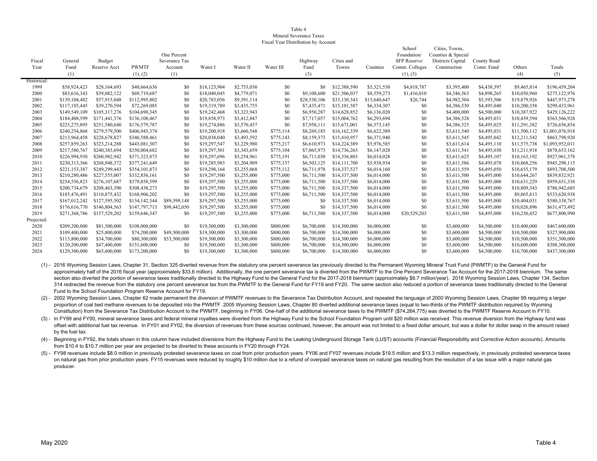#### Table 4 Mineral Severance TaxesFiscal Year Distribution by Account

| Fiscal<br>Year | General<br>Fund<br>(1) | Budget<br>Reserve Acct | <b>PWMTF</b><br>(1), (2) | One Percent<br>Severance Tax<br>Account<br>(1) | Water I      | Water II    | Water III | Highway<br>Fund<br>(3) | Cities and<br>Towns | Counties     | School<br>Foundation/<br>SFP Reserve/<br>Comm. Colleges<br>(1), (3) | Cities, Towns,<br>Counties & Special<br>Districts Capital<br>Construction | County Road<br>Const. Fund | Others<br>(4) | Totals<br>(5)   |
|----------------|------------------------|------------------------|--------------------------|------------------------------------------------|--------------|-------------|-----------|------------------------|---------------------|--------------|---------------------------------------------------------------------|---------------------------------------------------------------------------|----------------------------|---------------|-----------------|
| Historical:    |                        |                        |                          |                                                |              |             |           |                        |                     |              |                                                                     |                                                                           |                            |               |                 |
| 1999           | \$58,924,423           | \$28,164,693           | \$48,664,636             | \$0                                            | \$18,123,904 | \$2,753,030 | \$0       | \$0                    | \$12,388,590        | \$5,321,530  | \$4,818,787                                                         | \$3,395,400                                                               | \$4,438,397                | \$9,465,814   | \$196,459,204   |
| 2000           | \$83,616,343           | \$39,082,122           | \$69,719,687             | \$0                                            | \$18,040,045 | \$4,779,071 | \$0       | \$9,108,600            | \$21,506,037        | \$8,559,273  | \$1,416,010                                                         | \$4,346,563                                                               | \$4,898,265                | \$10,050,960  | \$275,122,976   |
| 2001           | \$139,104,482          | \$57,915,048           | \$112,995,802            | \$0                                            | \$20,783,056 | \$9,391,114 | \$0       | \$28,530,106           | \$33,130,343        | \$15,640,647 | \$26,744                                                            | \$4,982,504                                                               | \$5,593,506                | \$19,879,926  | \$447,973,278   |
| 2002           | \$117,185,445          | \$39,270,594           | \$72,269,085             | \$0                                            | \$19,319,789 | \$3,435,755 | \$0       | \$7,435,471            | \$15,101,587        | \$6,334,307  | \$0                                                                 | \$4,386,530                                                               | \$4,495,040                | \$10,200,358  | \$299,433,961   |
| 2003           | \$149,549,109          | \$105,317,276          | \$104,690,345            | \$0                                            | \$19,242,468 | \$3,323,943 | \$0       | \$6,950,287            | \$14,628,852        | \$6,136,020  | \$0                                                                 | \$4,400,000                                                               | \$4,500,000                | \$10,387,922  | \$429,126,222   |
| 2004           | \$184,408,599          | \$171,441,376          | \$136,108,467            | \$0                                            | \$19,858,973 | \$3,412,847 | \$0       | \$7,717,057            | \$15,004,762        | \$6,293,694  | \$0                                                                 | \$4,386,528                                                               | \$4,495,031                | \$10,439,594  | \$563,566,928   |
| 2005           | \$225,275,895          | \$251,580,640          | \$176,579,787            | \$0                                            | \$19,274,886 | \$3,570,457 | \$0       | \$7,958,111            | \$15,671,001        | \$6,573,145  | \$0                                                                 | \$4,386,525                                                               | \$4,495,025                | \$11,291,382  | \$726,656,854   |
| 2006           | \$240,254,868          | \$279,579,500          | \$406,945,374            | \$0                                            | \$19,200,918 | \$3,660,548 | \$775,114 | \$8,269,185            | \$16,162,339        | \$6,622,389  | \$0                                                                 | \$3,611,540                                                               | \$4,495,031                | \$11,500,112  | \$1,001,076,918 |
| 2007           | \$213,964,458          | \$228,678,827          | \$346,588,461            | \$0                                            | \$20,038,040 | \$3,493,592 | \$775,143 | \$8,159,373            | \$15,410,957        | \$6,371,940  | \$0                                                                 | \$3,611,545                                                               | \$4,495,042                | \$12,211,542  | \$863,798,920   |
| 2008           | \$257,859,263          | \$323.214.288          | \$443,081,307            | \$0                                            | \$19,297,547 | \$3,229,980 | \$775,217 | \$6,610,973            | \$14,224,389        | \$5,976,585  | \$0                                                                 | \$3,611,614                                                               | \$4,495,110                | \$11,575,738  | \$1,093,952,011 |
| 2009           | \$217,580,767          | \$240,383,694          | \$350,004,682            | \$0                                            | \$19,297,501 | \$3,343,659 | \$775,104 | \$7,065,973            | \$14,736,265        | \$6,147,028  | \$0                                                                 | \$3,611,541                                                               | \$4,495,030                | \$11,211,918  | \$878,653,162   |
| 2010           | \$226,994,930          | \$260,982,942          | \$371,323,873            | \$0                                            | \$19,297,696 | \$3,254,961 | \$775,191 | \$6,711,030            | \$14,336,803        | \$6,014,028  | \$0                                                                 | \$3,611,625                                                               | \$4,495,107                | \$10,163,192  | \$927,961,378   |
| 2011           | \$230,313,366          | \$268,948,372          | \$377,241,649            | \$0                                            | \$19,285,983 | \$3,204,909 | \$775,157 | \$6,503,125            | \$14,111,700        | \$5,938,934  | \$0                                                                 | \$3,611,586                                                               | \$4,495,078                | \$10,868,256  | \$945,298,115   |
| 2012           | \$221,153,387          | \$249,299,443          | \$354,101,873            | \$0                                            | \$19,298,164 | \$3,255,068 | \$775,112 | \$6,711,978            | \$14,337,527        | \$6,014,160  | \$0                                                                 | \$3,611,559                                                               | \$4,495,050                | \$10,655,179  | \$893,708,500   |
| 2013           | \$210,280,486          | \$227,555,007          | \$332,856,161            | \$0                                            | \$19,297,500 | \$3,255,000 | \$775,000 | \$6,711,500            | \$14,337,500        | \$6,014,000  | \$0                                                                 | \$3,611,500                                                               | \$4,495,000                | \$10,644,267  | \$839,832,921   |
| 2014           | \$234,556,823          | \$276,107,687          | \$379,858,599            | \$0                                            | \$19,297,500 | \$3,255,000 | \$775,000 | \$6,711,500            | \$14,337,500        | \$6,014,000  | \$0                                                                 | \$3,611,500                                                               | \$4,495,000                | \$10,631,229  | \$959,651,338   |
| 2015           | \$200,734,679          | \$208,463,390          | \$308,438,273            | \$0                                            | \$19,297,500 | \$3,255,000 | \$775,000 | \$6,711,500            | \$14,337,500        | \$6,014,000  | \$0                                                                 | \$3,611,500                                                               | \$4,495,000                | \$10,809,343  | \$786,942,685   |
| 2016           | \$185,476,491          | \$110,875,432          | \$168,906,202            | \$0                                            | \$19,297,500 | \$3,255,000 | \$775,000 | \$6,711,500            | \$14,337,500        | \$6,014,000  | \$0                                                                 | \$3,611,500                                                               | \$4,495,000                | \$9,865,813   | \$533,620,938   |
| 2017           | \$167,012,242          | \$127,595,502          | \$134,142,344            | \$89,399,148                                   | \$19,297,500 | \$3,255,000 | \$775,000 | \$0                    | \$14,337,500        | \$6,014,000  | \$0                                                                 | \$3,611,500                                                               | \$4,495,000                | \$10,404,031  | \$580,338,767   |
| 2018           | \$176,616,770          | \$146,804,563          | \$147,797,713            | \$98,442,050                                   | \$19,297,500 | \$3,255,000 | \$775,000 | \$0                    | \$14,337,500        | \$6,014,000  | \$0                                                                 | \$3,611,500                                                               | \$4,495,000                | \$10,026,896  | \$631,473,492   |
| 2019           | \$271,368,786          | \$157,529,202          | \$159,646,347            | \$0                                            | \$19,297,500 | \$3,255,000 | \$775,000 | \$6,711,500            | \$14,337,500        | \$6,014,000  | \$20,529,203                                                        | \$3,611,500                                                               | \$4,495,000                | \$10,230,452  | \$677,800,990   |
| Projected:     |                        |                        |                          |                                                |              |             |           |                        |                     |              |                                                                     |                                                                           |                            |               |                 |
| 2020           | \$209,200,000          | \$81,500,000           | \$108,000,000            | \$0                                            | \$19,300,000 | \$3,300,000 | \$800,000 | \$6,700,000            | \$14,300,000        | \$6,000,000  | \$0                                                                 | \$3,600,000                                                               | \$4,500,000                | \$10,400,000  | \$467,600,000   |
| 2021           | \$109,400,000          | \$25,800,000           | \$74,200,000             | \$49,500,000                                   | \$19,300,000 | \$3,300,000 | \$800,000 | \$6,700,000            | \$14,300,000        | \$6,000,000  | \$0                                                                 | \$3,600,000                                                               | \$4,500,000                | \$10,500,000  | \$327,900,000   |
| 2022           | \$113,800,000          | \$34,700,000           | \$80,300,000             | \$53,500,000                                   | \$19,300,000 | \$3,300,000 | \$800,000 | \$6,700,000            | \$14,300,000        | \$6,000,000  | \$0                                                                 | \$3,600,000                                                               | \$4,500,000                | \$10,500,000  | \$351,300,000   |
| 2023           | \$120,200,000          | \$47,400,000           | \$151,600,000            | \$0                                            | \$19,300,000 | \$3,300,000 | \$800,000 | \$6,700,000            | \$14,300,000        | \$6,000,000  | \$0                                                                 | \$3,600,000                                                               | \$4,500,000                | \$10,600,000  | \$388,300,000   |
| 2024           | \$129,300,000          | \$65,600,000           | \$173,200,000            | \$0                                            | \$19,300,000 | \$3,300,000 | \$800,000 | \$6,700,000            | \$14,300,000        | \$6,000,000  | \$0                                                                 | \$3,600,000                                                               | \$4,500,000                | \$10,700,000  | \$437,300,000   |

(1) - 2016 Wyoming Session Laws, Chapter 31, Section 325 diverted revenue from the statutory one percent severance tax previously directed to the Permanent Wyoming Mineral Trust Fund (PWMTF) to the General Fund for approximately half of the 2016 fiscal year (approximately \$33.6 million). Additionally, the one percent severance tax is diverted from the PWMTF to the One Percent Severance Tax Account for the 2017-2018 biennium. The same section also diverted the portion of severance taxes traditionally directed to the Highway Fund to the General Fund for the 2017-2018 biennium (approximately \$6.7 million/year). 2018 Wyoming Session Laws, Chapter 134, Sect 314 redirected the revenue from the statutory one percent severance tax from the PWMTF to the General Fund for FY19 and FY20. The same section also reduced a portion of severance taxes traditionally directed to the General Fund to the School Foundation Program Reserve Account for FY19.

(2) - 2002 Wyoming Session Laws, Chapter 62 made permanent the diversion of PWMTF revenues to the Severance Tax Distribution Account, and repealed the language of 2000 Wyoming Session Laws, Chapter 99 requiring a larger proportion of coal bed methane revenues to be deposited into the PWMTF. 2005 Wyoming Session Laws, Chapter 80 diverted additional severance taxes (equal to two-thirds of the PWMTF distribution required by Wyoming Constitution) from the Severance Tax Distribution Account to the PWMTF, beginning in FY06. One-half of the additional severance taxes to the PWMTF (\$74,264,775) was diverted to the PWMTF Reserve Account in FY10.

(3) - In FY99 and FY00, mineral severance taxes and federal mineral royalties were diverted from the Highway Fund to the School Foundation Program until \$20 million was received. This revenue diversion from the Highway fun offset with additional fuel tax revenue. In FY01 and FY02, the diversion of revenues from these sources continued, however, the amount was not limited to a fixed dollar amount, but was a dollar for dollar swap in the amoun by the fuel tax.

(4) - Beginning in FY92, the totals shown in this column have included diversions from the Highway Fund to the Leaking Underground Storage Tank (LUST) accounts (Financial Responsibility and Corrective Action accounts). Amo from \$10.4 to \$10.7 million per year are projected to be diverted to these accounts in FY20 through FY24.

(5) - FY98 revenues include \$8.0 million in previously protested severance taxes on coal from prior production years. FY06 and FY07 revenues include \$19.5 million and \$13.3 million respectively, in previously protested sev on natural gas from prior production years. FY15 revenues were reduced by roughly \$10 million due to a refund of overpaid severance taxes on natural gas resulting from the resolution of a tax issue with a major natural gas producer.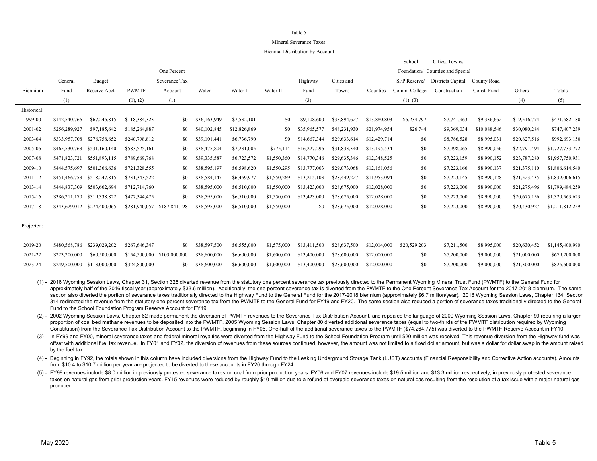### Mineral Severance Taxes

#### Biennial Distribution by Account

|             |               |               |               |               |              |              |             |              |              |              | School         | Cities, Towns,                   |              |              |                 |
|-------------|---------------|---------------|---------------|---------------|--------------|--------------|-------------|--------------|--------------|--------------|----------------|----------------------------------|--------------|--------------|-----------------|
|             |               |               |               | One Percent   |              |              |             |              |              |              |                | Foundation/ Counties and Special |              |              |                 |
|             | General       | Budget        |               | Severance Tax |              |              |             | Highway      | Cities and   |              | SFP Reserve/   | Districts Capital                | County Road  |              |                 |
| Biennium    | Fund          | Reserve Acct  | <b>PWMTF</b>  | Account       | Water I      | Water II     | Water III   | Fund         | Towns        | Counties     | Comm. Colleges | Construction                     | Const. Fund  | Others       | Totals          |
|             | (1)           |               | (1), (2)      | (1)           |              |              |             | (3)          |              |              | (1), (3)       |                                  |              | (4)          | (5)             |
| Historical: |               |               |               |               |              |              |             |              |              |              |                |                                  |              |              |                 |
| 1999-00     | \$142,540,766 | \$67,246,815  | \$118,384,323 | \$0           | \$36,163,949 | \$7,532,101  | \$0         | \$9,108,600  | \$33,894,627 | \$13,880,803 | \$6,234,797    | \$7,741,963                      | \$9,336,662  | \$19,516,774 | \$471,582,180   |
| 2001-02     | \$256,289,927 | \$97,185,642  | \$185,264,887 | \$0           | \$40,102,845 | \$12,826,869 | \$0         | \$35,965,577 | \$48,231,930 | \$21,974,954 | \$26,744       | \$9,369,034                      | \$10,088,546 | \$30,080,284 | \$747,407,239   |
| 2003-04     | \$333,957,708 | \$276,758,652 | \$240,798,812 | \$0           | \$39,101,441 | \$6,736,790  | \$0         | \$14,667,344 | \$29,633,614 | \$12,429,714 | \$0            | \$8,786,528                      | \$8,995,031  | \$20,827,516 | \$992,693,150   |
| 2005-06     | \$465,530,763 | \$531,160,140 | \$583,525,161 | \$0           | \$38,475,804 | \$7,231,005  | \$775,114   | \$16,227,296 | \$31,833,340 | \$13,195,534 | \$0            | \$7,998,065                      | \$8,990,056  | \$22,791,494 | \$1,727,733,772 |
| 2007-08     | \$471,823,721 | \$551,893,115 | \$789,669,768 | \$0           | \$39,335,587 | \$6,723,572  | \$1,550,360 | \$14,770,346 | \$29,635,346 | \$12,348,525 | \$0            | \$7,223,159                      | \$8,990,152  | \$23,787,280 | \$1,957,750,931 |
| 2009-10     | \$444,575,697 | \$501,366,636 | \$721,328,555 | SO.           | \$38,595,197 | \$6,598,620  | \$1,550,295 | \$13,777,003 | \$29,073,068 | \$12,161,056 | \$0            | \$7,223,166                      | \$8,990,137  | \$21,375,110 | \$1,806,614,540 |
| 2011-12     | \$451,466,753 | \$518,247,815 | \$731,343,522 | \$0           | \$38,584,147 | \$6,459,977  | \$1,550,269 | \$13,215,103 | \$28,449,227 | \$11,953,094 | \$0            | \$7,223,145                      | \$8,990,128  | \$21,523,435 | \$1,839,006,615 |
| 2013-14     | \$444,837,309 | \$503,662,694 | \$712,714,760 | \$0           | \$38,595,000 | \$6,510,000  | \$1,550,000 | \$13,423,000 | \$28,675,000 | \$12,028,000 | \$0            | \$7,223,000                      | \$8,990,000  | \$21,275,496 | \$1,799,484,259 |
| 2015-16     | \$386,211,170 | \$319,338,822 | \$477,344,475 | \$0           | \$38,595,000 | \$6,510,000  | \$1,550,000 | \$13,423,000 | \$28,675,000 | \$12,028,000 | \$0            | \$7,223,000                      | \$8,990,000  | \$20,675,156 | \$1,320,563,623 |
| 2017-18     | \$343,629,012 | \$274,400,065 | \$281,940,057 | \$187,841,198 | \$38,595,000 | \$6,510,000  | \$1,550,000 | \$0          | \$28,675,000 | \$12,028,000 | \$0            | \$7,223,000                      | \$8,990,000  | \$20,430,927 | \$1,211,812,259 |
|             |               |               |               |               |              |              |             |              |              |              |                |                                  |              |              |                 |

Projected:

| 2019-20 | \$480,568,786 \$239,029,202 \$267,646,347 |                                                                                                                                              | \$0 \$38,597,500 \$6,555,000 \$1,575,000 \$13,411,500 \$28,637,500 \$12,014,000 \$20,529,203 |  |                                                    |           | \$7,211,500 \$8,995,000 |  | \$20,630,452 \$1,145,400,990 |
|---------|-------------------------------------------|----------------------------------------------------------------------------------------------------------------------------------------------|----------------------------------------------------------------------------------------------|--|----------------------------------------------------|-----------|-------------------------|--|------------------------------|
| 2021-22 |                                           | $$223,200,000$ $$60,500,000$ $$154,500,000$ $$103,000,000$ $$38,600,000$ $$6,600,000$ $$1,600,000$ $$13,400,000$ $$28,600,000$ $$12,000,000$ |                                                                                              |  |                                                    | <b>SO</b> | \$7,200,000 \$9,000,000 |  | \$21,000,000 \$679,200,000   |
| 2023-24 |                                           | \$249,500,000 \$113,000,000 \$324,800,000                                                                                                    | \$0 \$38,600,000 \$6,600,000                                                                 |  | \$1,600,000 \$13,400,000 \$28,600,000 \$12,000,000 | <b>SO</b> | \$7,200,000 \$9,000,000 |  | \$21,300,000 \$825,600,000   |

(1) - 2016 Wyoming Session Laws, Chapter 31, Section 325 diverted revenue from the statutory one percent severance tax previously directed to the Permanent Wyoming Mineral Trust Fund (PWMTF) to the General Fund for approximately half of the 2016 fiscal year (approximately \$33.6 million). Additionally, the one percent severance tax is diverted from the PWMTF to the One Percent Severance Tax Account for the 2017-2018 biennium. The same section also diverted the portion of severance taxes traditionally directed to the Highway Fund to the General Fund for the 2017-2018 biennium (approximately \$6.7 million/year). 2018 Wyoming Session Laws, Chapter 134, Sect 314 redirected the revenue from the statutory one percent severance tax from the PWMTF to the General Fund for FY19 and FY20. The same section also reduced a portion of severance taxes traditionally directed to the General Fund to the School Foundation Program Reserve Account for FY19.

(2) - 2002 Wyoming Session Laws, Chapter 62 made permanent the diversion of PWMTF revenues to the Severance Tax Distribution Account, and repealed the language of 2000 Wyoming Session Laws, Chapter 99 requiring a larger proportion of coal bed methane revenues to be deposited into the PWMTF. 2005 Wyoming Session Laws, Chapter 80 diverted additional severance taxes (equal to two-thirds of the PWMTF distribution required by Wyoming Constitution) from the Severance Tax Distribution Account to the PWMTF, beginning in FY06. One-half of the additional severance taxes to the PWMTF (\$74,264,775) was diverted to the PWMTF Reserve Account in FY10.

(3) - In FY99 and FY00, mineral severance taxes and federal mineral royalties were diverted from the Highway Fund to the School Foundation Program until \$20 million was received. This revenue diversion from the Highway fun offset with additional fuel tax revenue. In FY01 and FY02, the diversion of revenues from these sources continued, however, the amount was not limited to a fixed dollar amount, but was a dollar for dollar swap in the amoun by the fuel tax.

(4) - Beginning in FY92, the totals shown in this column have included diversions from the Highway Fund to the Leaking Underground Storage Tank (LUST) accounts (Financial Responsibility and Corrective Action accounts). Amo from \$10.4 to \$10.7 million per year are projected to be diverted to these accounts in FY20 through FY24.

(5) - FY98 revenues include \$8.0 million in previously protested severance taxes on coal from prior production years. FY06 and FY07 revenues include \$19.5 million and \$13.3 million respectively, in previously protested sev taxes on natural gas from prior production years. FY15 revenues were reduced by roughly \$10 million due to a refund of overpaid severance taxes on natural gas resulting from the resolution of a tax issue with a major natur producer.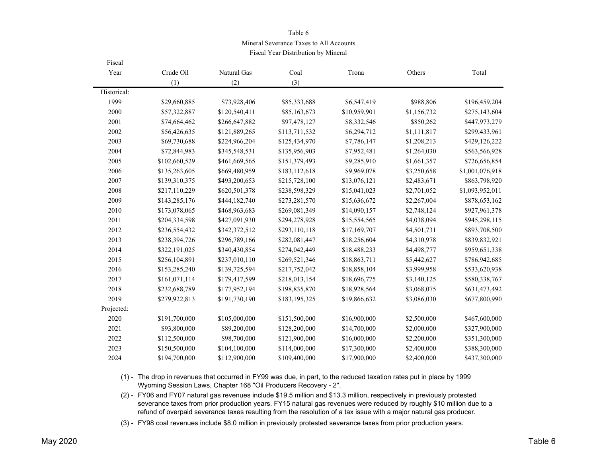Mineral Severance Taxes to All Accounts

Fiscal Year Distribution by Mineral

| Fiscal      |               |               |               |              |             |                 |
|-------------|---------------|---------------|---------------|--------------|-------------|-----------------|
| Year        | Crude Oil     | Natural Gas   | Coal          | Trona        | Others      | Total           |
|             | (1)           | (2)           | (3)           |              |             |                 |
| Historical: |               |               |               |              |             |                 |
| 1999        | \$29,660,885  | \$73,928,406  | \$85,333,688  | \$6,547,419  | \$988,806   | \$196,459,204   |
| 2000        | \$57,322,887  | \$120,540,411 | \$85,163,673  | \$10,959,901 | \$1,156,732 | \$275,143,604   |
| 2001        | \$74,664,462  | \$266,647,882 | \$97,478,127  | \$8,332,546  | \$850,262   | \$447,973,279   |
| 2002        | \$56,426,635  | \$121,889,265 | \$113,711,532 | \$6,294,712  | \$1,111,817 | \$299,433,961   |
| 2003        | \$69,730,688  | \$224,966,204 | \$125,434,970 | \$7,786,147  | \$1,208,213 | \$429,126,222   |
| 2004        | \$72,844,983  | \$345,548,531 | \$135,956,903 | \$7,952,481  | \$1,264,030 | \$563,566,928   |
| 2005        | \$102,660,529 | \$461,669,565 | \$151,379,493 | \$9,285,910  | \$1,661,357 | \$726,656,854   |
| 2006        | \$135,263,605 | \$669,480,959 | \$183,112,618 | \$9,969,078  | \$3,250,658 | \$1,001,076,918 |
| 2007        | \$139,310,375 | \$493,200,653 | \$215,728,100 | \$13,076,121 | \$2,483,671 | \$863,798,920   |
| 2008        | \$217,110,229 | \$620,501,378 | \$238,598,329 | \$15,041,023 | \$2,701,052 | \$1,093,952,011 |
| 2009        | \$143,285,176 | \$444,182,740 | \$273,281,570 | \$15,636,672 | \$2,267,004 | \$878,653,162   |
| 2010        | \$173,078,065 | \$468,963,683 | \$269,081,349 | \$14,090,157 | \$2,748,124 | \$927,961,378   |
| 2011        | \$204,334,598 | \$427,091,930 | \$294,278,928 | \$15,554,565 | \$4,038,094 | \$945,298,115   |
| 2012        | \$236,554,432 | \$342,372,512 | \$293,110,118 | \$17,169,707 | \$4,501,731 | \$893,708,500   |
| 2013        | \$238,394,726 | \$296,789,166 | \$282,081,447 | \$18,256,604 | \$4,310,978 | \$839,832,921   |
| 2014        | \$322,191,025 | \$340,430,854 | \$274,042,449 | \$18,488,233 | \$4,498,777 | \$959,651,338   |
| 2015        | \$256,104,891 | \$237,010,110 | \$269,521,346 | \$18,863,711 | \$5,442,627 | \$786,942,685   |
| 2016        | \$153,285,240 | \$139,725,594 | \$217,752,042 | \$18,858,104 | \$3,999,958 | \$533,620,938   |
| 2017        | \$161,071,114 | \$179,417,599 | \$218,013,154 | \$18,696,775 | \$3,140,125 | \$580,338,767   |
| 2018        | \$232,688,789 | \$177,952,194 | \$198,835,870 | \$18,928,564 | \$3,068,075 | \$631,473,492   |
| 2019        | \$279,922,813 | \$191,730,190 | \$183,195,325 | \$19,866,632 | \$3,086,030 | \$677,800,990   |
| Projected:  |               |               |               |              |             |                 |
| 2020        | \$191,700,000 | \$105,000,000 | \$151,500,000 | \$16,900,000 | \$2,500,000 | \$467,600,000   |
| 2021        | \$93,800,000  | \$89,200,000  | \$128,200,000 | \$14,700,000 | \$2,000,000 | \$327,900,000   |
| 2022        | \$112,500,000 | \$98,700,000  | \$121,900,000 | \$16,000,000 | \$2,200,000 | \$351,300,000   |
| 2023        | \$150,500,000 | \$104,100,000 | \$114,000,000 | \$17,300,000 | \$2,400,000 | \$388,300,000   |
| 2024        | \$194,700,000 | \$112,900,000 | \$109,400,000 | \$17,900,000 | \$2,400,000 | \$437,300,000   |

(1) - The drop in revenues that occurred in FY99 was due, in part, to the reduced taxation rates put in place by 1999 Wyoming Session Laws, Chapter 168 "Oil Producers Recovery - 2".

(2) - FY06 and FY07 natural gas revenues include \$19.5 million and \$13.3 million, respectively in previously protested severance taxes from prior production years. FY15 natural gas revenues were reduced by roughly \$10 million due to a refund of overpaid severance taxes resulting from the resolution of a tax issue with a major natural gas producer.

(3) - FY98 coal revenues include \$8.0 million in previously protested severance taxes from prior production years.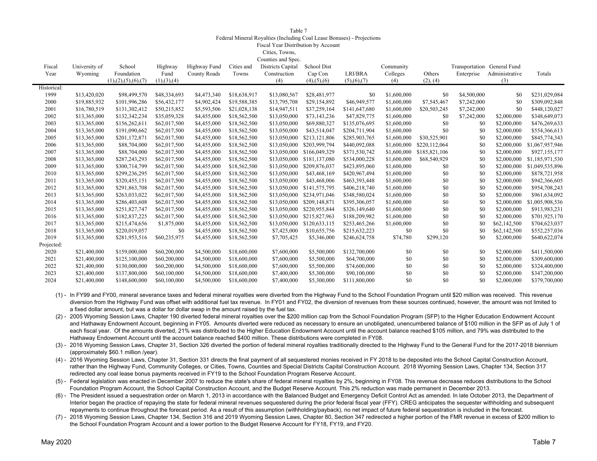Federal Mineral Royalties (Including Coal Lease Bonuses) - Projections

Fiscal Year Distribution by Account

Cities, Towns,

|             |               |                         |               |              |              | Counties and Spec. |                       |               |             |               |                             |                |                 |
|-------------|---------------|-------------------------|---------------|--------------|--------------|--------------------|-----------------------|---------------|-------------|---------------|-----------------------------|----------------|-----------------|
| Fiscal      | University of | School                  | Highway       | Highway Fund | Cities and   | Districts Capital  | School Dist           |               | Community   |               | Transportation General Fund |                |                 |
| Year        | Wyoming       | Foundation              | Fund          | County Roads | Towns        | Construction       | Cap Con               | LRI/BRA       | Colleges    | Others        | Enterprise                  | Administrative | Totals          |
|             |               | (1), (2), (5), (6), (7) | (1), (3), (4) |              |              | (4)                | $(4)$ , $(5)$ , $(6)$ | (5), (6), (7) | (4)         | (2), (4)      |                             | (3)            |                 |
| Historical: |               |                         |               |              |              |                    |                       |               |             |               |                             |                |                 |
| 1999        | \$13,420,020  | \$98,499,570            | \$48,334,693  | \$4,473,340  | \$18,638,917 | \$13,080,567       | \$28,481,977          | \$0           | \$1,600,000 | \$0           | \$4,500,000                 | \$0            | \$231,029,084   |
| 2000        | \$19,885,932  | \$101,996,286           | \$56,432,177  | \$4,902,424  | \$19,588,385 | \$13,795,708       | \$29,154,892          | \$46,949,577  | \$1,600,000 | \$7,545,467   | \$7,242,000                 | \$0            | \$309,092,848   |
| 2001        | \$16,780,519  | \$131,302,412           | \$50,215,852  | \$5,593,506  | \$21,028,138 | \$14,947,511       | \$37,259,164          | \$141,647,680 | \$1,600,000 | \$20,503,245  | \$7,242,000                 | \$0            | \$448,120,027   |
| 2002        | \$13,365,000  | \$132,342,234           | \$35,059,328  | \$4,455,000  | \$18,562,500 | \$13,050,000       | \$73,143,236          | \$47,829,775  | \$1,600,000 | - \$0         | \$7,242,000                 | \$2,000,000    | \$348,649,073   |
| 2003        | \$13,365,000  | \$156,262,611           | \$62,017,500  | \$4,455,000  | \$18,562,500 | \$13,050,000       | \$69,880,327          | \$135,076,695 | \$1,600,000 | \$0           | \$0                         | \$2,000,000    | \$476,269,633   |
| 2004        | \$13,365,000  | \$191,090,662           | \$62,017,500  | \$4,455,000  | \$18,562,500 | \$13,050,000       | \$43,514,047          | \$204,711,904 | \$1,600,000 | \$0           | \$0                         | \$2,000,000    | \$554,366,613   |
| 2005        | \$13,365,000  | \$201,172,871           | \$62,017,500  | \$4,455,000  | \$18,562,500 | \$13,050,000       | \$213,121,806         | \$285,903,765 | \$1,600,000 | \$30,525,901  | \$0                         | \$2,000,000    | \$845,774,343   |
| 2006        | \$13,365,000  | \$88,704,000            | \$62,017,500  | \$4,455,000  | \$18,562,500 | \$13,050,000       | \$203,999,794         | \$440,092,088 | \$1,600,000 | \$220,112,064 | \$0                         | \$2,000,000    | \$1,067,957,946 |
| 2007        | \$13,365,000  | \$88,704,000            | \$62,017,500  | \$4,455,000  | \$18,562,500 | \$13,050,000       | \$166,049,329         | \$371,530,742 | \$1,600,000 | \$185,821,106 | \$0                         | \$2,000,000    | \$927,155,177   |
| 2008        | \$13,365,000  | \$287,243,293           | \$62,017,500  | \$4,455,000  | \$18,562,500 | \$13,050,000       | \$181,137,080         | \$534,000,228 | \$1,600,000 | \$68,540,929  | \$0                         | \$2,000,000    | \$1,185,971,530 |
| 2009        | \$13,365,000  | \$300,714,799           | \$62,017,500  | \$4,455,000  | \$18,562,500 | \$13,050,000       | \$209,876,037         | \$423,895,060 | \$1,600,000 | \$0           | \$0                         | \$2,000,000    | \$1,049,535,896 |
| 2010        | \$13,365,000  | \$299,236,295           | \$62,017,500  | \$4,455,000  | \$18,562,500 | \$13,050,000       | \$43,468,169          | \$420,967,494 | \$1,600,000 | \$0           | \$0                         | \$2,000,000    | \$878,721,958   |
| 2011        | \$13,365,000  | \$320,455,151           | \$62,017,500  | \$4,455,000  | \$18,562,500 | \$13,050,000       | \$43,468,006          | \$463,393,448 | \$1,600,000 | \$0           | \$0                         | \$2,000,000    | \$942,366,605   |
| 2012        | \$13,365,000  | \$291,863,708           | \$62,017,500  | \$4,455,000  | \$18,562,500 | \$13,050,000       | \$141,575,795         | \$406,218,740 | \$1,600,000 | \$0           | \$0                         | \$2,000,000    | \$954,708,243   |
| 2013        | \$13,365,000  | \$263,033,022           | \$62,017,500  | \$4,455,000  | \$18,562,500 | \$13,050,000       | \$234,971,046         | \$348,580,024 | \$1,600,000 | \$0           | \$0                         | \$2,000,000    | \$961,634,092   |
| 2014        | \$13,365,000  | \$286,403,608           | \$62,017,500  | \$4,455,000  | \$18,562,500 | \$13,050,000       | \$209,148,871         | \$395,306,057 | \$1,600,000 | \$0           | \$0                         | \$2,000,000    | \$1,005,908,536 |
| 2015        | \$13,365,000  | \$251,827,747           | \$62,017,500  | \$4,455,000  | \$18,562,500 | \$13,050,000       | \$220,955,844         | \$326,149,640 | \$1,600,000 | \$0           | \$0                         | \$2,000,000    | \$913,983,231   |
| 2016        | \$13,365,000  | \$182,837,225           | \$62,017,500  | \$4,455,000  | \$18,562,500 | \$13,050,000       | \$215,827,963         | \$188,209,982 | \$1,600,000 | \$0           | \$0                         | \$2,000,000    | \$701,925,170   |
| 2017        | \$13,365,000  | \$215,474,656           | \$1,875,000   | \$4,455,000  | \$18,562,500 | \$13,050,000       | \$120,633,115         | \$253,465,266 | \$1,600,000 | \$0           | \$0                         | \$62,142,500   | \$704,623,037   |
| 2018        | \$13,365,000  | \$220,019,057           | \$0           | \$4,455,000  | \$18,562,500 | \$7,425,000        | \$10,655,756          | \$215,632,223 | \$0         | \$0           | 80                          | \$62,142,500   | \$552,257,036   |
| 2019        | \$13,365,000  | \$281,953,516           | \$60,235,975  | \$4,455,000  | \$18,562,500 | \$7,705,425        | \$5,346,000           | \$246,624,758 | \$74,780    | \$299,120     | \$0                         | \$2,000,000    | \$640,622,074   |
| Projected:  |               |                         |               |              |              |                    |                       |               |             |               |                             |                |                 |
| 2020        | \$21,400,000  | \$159,000,000           | \$60,200,000  | \$4,500,000  | \$18,600,000 | \$7,600,000        | \$5,500,000           | \$132,700,000 | \$0         | \$0           | \$0                         | \$2,000,000    | \$411,500,000   |
| 2021        | \$21,400,000  | \$125,100,000           | \$60,200,000  | \$4,500,000  | \$18,600,000 | \$7,600,000        | \$5,500,000           | \$64,700,000  | \$0         | \$0           | \$0                         | \$2,000,000    | \$309,600,000   |
| 2022        | \$21,400,000  | \$130,000,000           | \$60,200,000  | \$4,500,000  | \$18,600,000 | \$7,600,000        | \$5,500,000           | \$74,600,000  | \$0         | \$0           | \$0                         | \$2,000,000    | \$324,400,000   |
| 2023        | \$21,400,000  | \$137,800,000           | \$60,100,000  | \$4,500,000  | \$18,600,000 | \$7,400,000        | \$5,300,000           | \$90,100,000  | \$0         | \$0           | \$0                         | \$2,000,000    | \$347,200,000   |
| 2024        | \$21,400,000  | \$148,600,000           | \$60,100,000  | \$4,500,000  | \$18,600,000 | \$7,400,000        | \$5,300,000           | \$111,800,000 | \$0         | \$0           | \$0                         | \$2,000,000    | \$379,700,000   |

- (1) In FY99 and FY00, mineral severance taxes and federal mineral royalties were diverted from the Highway Fund to the School Foundation Program until \$20 million was received. This revenue diversion from the Highway Fund was offset with additional fuel tax revenue. In FY01 and FY02, the diversion of revenues from these sources continued, however, the amount was not limited to a fixed dollar amount, but was a dollar for dollar swap in the amount raised by the fuel tax.
- (2) 2005 Wyoming Session Laws, Chapter 190 diverted federal mineral royalties over the \$200 million cap from the School Foundation Program (SFP) to the Higher Education Endowment Account and Hathaway Endowment Account, beginning in FY05. Amounts diverted were reduced as necessary to ensure an unobligated, unencumbered balance of \$100 million in the SFP as of July 1 of each fiscal year. Of the amounts diverted, 21% was distributed to the Higher Education Endowment Account until the account balance reached \$105 million, and 79% was distributed to the Hathaway Endowment Account until the account balance reached \$400 million. These distributions were completed in FY08.
- (3) 2016 Wyoming Session Laws, Chapter 31, Section 326 diverted the portion of federal mineral royalties traditionally directed to the Highway Fund to the General Fund for the 2017-2018 biennium (approximately \$60.1 million /year).
- (4) 2016 Wyoming Session Laws, Chapter 31, Section 331 directs the final payment of all sequestered monies received in FY 2018 to be deposited into the School Capital Construction Account, rather than the Highway Fund, Community Colleges, or Cities, Towns, Counties and Special Districts Capital Construction Account. 2018 Wyoming Session Laws, Chapter 134, Section 317 redirected any coal lease bonus payments received in FY19 to the School Foundation Program Reserve Account.
- (5) Federal legislation was enacted in December 2007 to reduce the state's share of federal mineral royalties by 2%, beginning in FY08. This revenue decrease reduces distributions to the School Foundation Program Account, the School Capital Construction Account, and the Budget Reserve Account. This 2% reduction was made permanent in December 2013.
- (6) The President issued a sequestration order on March 1, 2013 in accordance with the Balanced Budget and Emergency Deficit Control Act as amended. In late October 2013, the Department of Interior began the practice of repaying the state for federal mineral revenues sequestered during the prior federal fiscal year (FFY). CREG anticipates the sequester withholding and subsequent repayments to continue throughout the forecast period. As a result of this assumption (withholding/payback), no net impact of future federal sequestration is included in the forecast.
- (7) 2018 Wyoming Session Laws, Chapter 134, Section 316 and 2019 Wyoming Session Laws, Chapter 80, Section 347 redirected a higher portion of the FMR revenue in excess of \$200 million to the School Foundation Program Account and a lower portion to the Budget Reserve Account for FY18, FY19, and FY20.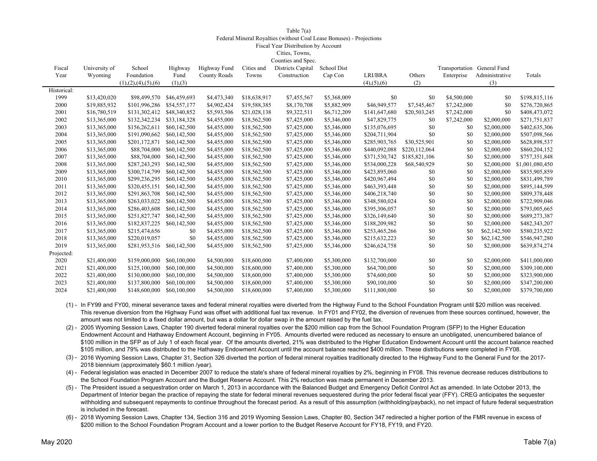#### Table 7(a) Federal Mineral Royalties (without Coal Lease Bonuses) - Projections Fiscal Year Distribution by Account Cities, Towns, Counties and Spec.

| Fiscal      | University of | School                  | Highway      | Highway Fund        | Cities and   | Districts Capital | School Dist |                       |               | Transportation | General Fund   |                 |
|-------------|---------------|-------------------------|--------------|---------------------|--------------|-------------------|-------------|-----------------------|---------------|----------------|----------------|-----------------|
| Year        | Wyoming       | Foundation              | Fund         | <b>County Roads</b> | Towns        | Construction      | Cap Con     | LRI/BRA               | Others        | Enterprise     | Administrative | Totals          |
|             |               | (1), (2), (4), (5), (6) | (1), (3)     |                     |              |                   |             | $(4)$ , $(5)$ , $(6)$ | (2)           |                | (3)            |                 |
| Historical: |               |                         |              |                     |              |                   |             |                       |               |                |                |                 |
| 1999        | \$13,420,020  | \$98,499,570            | \$46,459,693 | \$4,473,340         | \$18,638,917 | \$7,455,567       | \$5,368,009 | \$0                   | \$0           | \$4,500,000    | \$0            | \$198,815,116   |
| 2000        | \$19,885,932  | \$101,996,286           | \$54,557,177 | \$4,902,424         | \$19,588,385 | \$8,170,708       | \$5,882,909 | \$46,949,577          | \$7,545,467   | \$7,242,000    | \$0            | \$276,720,865   |
| 2001        | \$16,780,519  | \$131,302,412           | \$48,340,852 | \$5,593,506         | \$21,028,138 | \$9,322,511       | \$6,712,209 | \$141,647,680         | \$20,503,245  | \$7,242,000    | \$0            | \$408,473,072   |
| 2002        | \$13,365,000  | \$132,342,234           | \$33,184,328 | \$4,455,000         | \$18,562,500 | \$7,425,000       | \$5,346,000 | \$47,829,775          | \$0           | \$7,242,000    | \$2,000,000    | \$271,751,837   |
| 2003        | \$13,365,000  | \$156,262,611           | \$60,142,500 | \$4,455,000         | \$18,562,500 | \$7,425,000       | \$5,346,000 | \$135,076,695         | \$0           | \$0            | \$2,000,000    | \$402,635,306   |
| 2004        | \$13,365,000  | \$191,090,662           | \$60,142,500 | \$4,455,000         | \$18,562,500 | \$7,425,000       | \$5,346,000 | \$204,711,904         | \$0           | \$0            | \$2,000,000    | \$507,098,566   |
| 2005        | \$13,365,000  | \$201,172,871           | \$60,142,500 | \$4,455,000         | \$18,562,500 | \$7,425,000       | \$5,346,000 | \$285,903,765         | \$30,525,901  | \$0            | \$2,000,000    | \$628,898,537   |
| 2006        | \$13,365,000  | \$88,704,000            | \$60,142,500 | \$4,455,000         | \$18,562,500 | \$7,425,000       | \$5,346,000 | \$440,092,088         | \$220,112,064 | \$0            | \$2,000,000    | \$860,204,152   |
| 2007        | \$13,365,000  | \$88,704,000            | \$60,142,500 | \$4,455,000         | \$18,562,500 | \$7,425,000       | \$5,346,000 | \$371,530,742         | \$185,821,106 | \$0            | \$2,000,000    | \$757,351,848   |
| 2008        | \$13,365,000  | \$287,243,293           | \$60,142,500 | \$4,455,000         | \$18,562,500 | \$7,425,000       | \$5,346,000 | \$534,000,228         | \$68,540,929  | \$0            | \$2,000,000    | \$1,001,080,450 |
| 2009        | \$13,365,000  | \$300,714,799           | \$60,142,500 | \$4,455,000         | \$18,562,500 | \$7,425,000       | \$5,346,000 | \$423,895,060         | \$0           | \$0            | \$2,000,000    | \$835,905,859   |
| 2010        | \$13,365,000  | \$299,236,295           | \$60,142,500 | \$4,455,000         | \$18,562,500 | \$7,425,000       | \$5,346,000 | \$420,967,494         | \$0           | \$0            | \$2,000,000    | \$831,499,789   |
| 2011        | \$13,365,000  | \$320,455,151           | \$60,142,500 | \$4,455,000         | \$18,562,500 | \$7,425,000       | \$5,346,000 | \$463,393,448         | \$0           | \$0            | \$2,000,000    | \$895,144,599   |
| 2012        | \$13,365,000  | \$291,863,708           | \$60,142,500 | \$4,455,000         | \$18,562,500 | \$7,425,000       | \$5,346,000 | \$406,218,740         | \$0           | \$0            | \$2,000,000    | \$809,378,448   |
| 2013        | \$13,365,000  | \$263,033,022           | \$60,142,500 | \$4,455,000         | \$18,562,500 | \$7,425,000       | \$5,346,000 | \$348,580,024         | \$0           | \$0            | \$2,000,000    | \$722,909,046   |
| 2014        | \$13,365,000  | \$286,403,608           | \$60,142,500 | \$4,455,000         | \$18,562,500 | \$7,425,000       | \$5,346,000 | \$395,306,057         | \$0           | \$0            | \$2,000,000    | \$793,005,665   |
| 2015        | \$13,365,000  | \$251,827,747           | \$60,142,500 | \$4,455,000         | \$18,562,500 | \$7,425,000       | \$5,346,000 | \$326,149,640         | \$0           | \$0            | \$2,000,000    | \$689,273,387   |
| 2016        | \$13,365,000  | \$182,837,225           | \$60,142,500 | \$4,455,000         | \$18,562,500 | \$7,425,000       | \$5,346,000 | \$188,209,982         | \$0           | \$0            | \$2,000,000    | \$482,343,207   |
| 2017        | \$13,365,000  | \$215,474,656           | \$0          | \$4,455,000         | \$18,562,500 | \$7,425,000       | \$5,346,000 | \$253,465,266         | \$0           | \$0            | \$62,142,500   | \$580,235,922   |
| 2018        | \$13,365,000  | \$220,019,057           | \$0          | \$4,455,000         | \$18,562,500 | \$7,425,000       | \$5,346,000 | \$215,632,223         | \$0           | \$0            | \$62,142,500   | \$546,947,280   |
| 2019        | \$13,365,000  | \$281,953,516           | \$60,142,500 | \$4,455,000         | \$18,562,500 | \$7,425,000       | \$5,346,000 | \$246,624,758         | \$0           | \$0            | \$2,000,000    | \$639,874,274   |
| Projected:  |               |                         |              |                     |              |                   |             |                       |               |                |                |                 |
| 2020        | \$21,400,000  | \$159,000,000           | \$60,100,000 | \$4,500,000         | \$18,600,000 | \$7,400,000       | \$5,300,000 | \$132,700,000         | \$0           | \$0            | \$2,000,000    | \$411,000,000   |
| 2021        | \$21,400,000  | \$125,100,000           | \$60,100,000 | \$4,500,000         | \$18,600,000 | \$7,400,000       | \$5,300,000 | \$64,700,000          | \$0           | \$0            | \$2,000,000    | \$309,100,000   |
| 2022        | \$21,400,000  | \$130,000,000           | \$60,100,000 | \$4,500,000         | \$18,600,000 | \$7,400,000       | \$5,300,000 | \$74,600,000          | \$0           | \$0            | \$2,000,000    | \$323,900,000   |
| 2023        | \$21,400,000  | \$137,800,000           | \$60,100,000 | \$4,500,000         | \$18,600,000 | \$7,400,000       | \$5,300,000 | \$90,100,000          | \$0           | \$0            | \$2,000,000    | \$347,200,000   |
| 2024        | \$21,400,000  | \$148,600,000           | \$60,100,000 | \$4,500,000         | \$18,600,000 | \$7,400,000       | \$5,300,000 | \$111,800,000         | \$0           | \$0            | \$2,000,000    | \$379,700,000   |

(1) - In FY99 and FY00, mineral severance taxes and federal mineral royalties were diverted from the Highway Fund to the School Foundation Program until \$20 million was received. This revenue diversion from the Highway Fund was offset with additional fuel tax revenue. In FY01 and FY02, the diversion of revenues from these sources continued, however, the amount was not limited to a fixed dollar amount, but was a dollar for dollar swap in the amount raised by the fuel tax.

(2) - 2005 Wyoming Session Laws, Chapter 190 diverted federal mineral royalties over the \$200 million cap from the School Foundation Program (SFP) to the Higher Education Endowment Account and Hathaway Endowment Account, beginning in FY05. Amounts diverted were reduced as necessary to ensure an unobligated, unencumbered balance of \$100 million in the SFP as of July 1 of each fiscal year. Of the amounts diverted, 21% was distributed to the Higher Education Endowment Account until the account balance reached \$105 million, and 79% was distributed to the Hathaway Endowment Account until the account balance reached \$400 million. These distributions were completed in FY08.

(3) - 2016 Wyoming Session Laws, Chapter 31, Section 326 diverted the portion of federal mineral royalties traditionally directed to the Highway Fund to the General Fund for the 2017- 2018 biennium (approximately \$60.1 million /year).

(4) - Federal legislation was enacted in December 2007 to reduce the state's share of federal mineral royalties by 2%, beginning in FY08. This revenue decrease reduces distributions to the School Foundation Program Account and the Budget Reserve Account. This 2% reduction was made permanent in December 2013.

(5) - The President issued a sequestration order on March 1, 2013 in accordance with the Balanced Budget and Emergency Deficit Control Act as amended. In late October 2013, the Department of Interior began the practice of repaying the state for federal mineral revenues sequestered during the prior federal fiscal year (FFY). CREG anticipates the sequester withholding and subsequent repayments to continue throughout the forecast period. As a result of this assumption (withholding/payback), no net impact of future federal sequestration is included in the forecast.

(6) - 2018 Wyoming Session Laws, Chapter 134, Section 316 and 2019 Wyoming Session Laws, Chapter 80, Section 347 redirected a higher portion of the FMR revenue in excess of \$200 million to the School Foundation Program Account and a lower portion to the Budget Reserve Account for FY18, FY19, and FY20.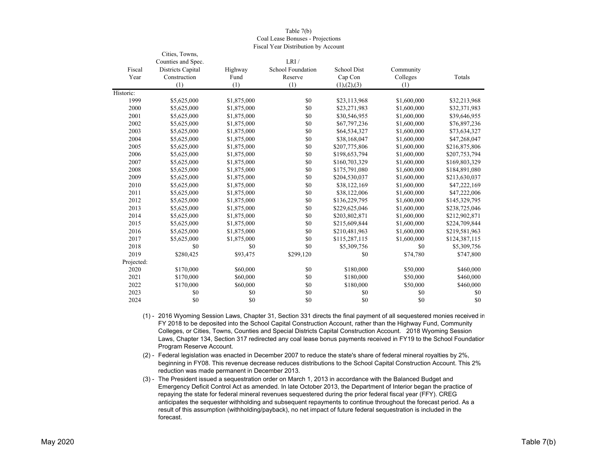|            | Cities, Towns,<br>Counties and Spec. |             | LRI/              |               |             |               |
|------------|--------------------------------------|-------------|-------------------|---------------|-------------|---------------|
| Fiscal     | Districts Capital                    | Highway     | School Foundation | School Dist   | Community   |               |
| Year       | Construction                         | Fund        | Reserve           | Cap Con       | Colleges    | Totals        |
|            | (1)                                  | (1)         | (1)               | (1), (2), (3) | (1)         |               |
| Historic:  |                                      |             |                   |               |             |               |
| 1999       | \$5,625,000                          | \$1,875,000 | \$0               | \$23,113,968  | \$1,600,000 | \$32,213,968  |
| 2000       | \$5,625,000                          | \$1,875,000 | \$0               | \$23,271,983  | \$1,600,000 | \$32,371,983  |
| 2001       | \$5,625,000                          | \$1,875,000 | \$0               | \$30,546,955  | \$1,600,000 | \$39,646,955  |
| 2002       | \$5,625,000                          | \$1,875,000 | \$0               | \$67,797,236  | \$1,600,000 | \$76,897,236  |
| 2003       | \$5,625,000                          | \$1,875,000 | \$0               | \$64,534,327  | \$1,600,000 | \$73,634,327  |
| 2004       | \$5,625,000                          | \$1,875,000 | \$0               | \$38,168,047  | \$1,600,000 | \$47,268,047  |
| 2005       | \$5,625,000                          | \$1,875,000 | \$0               | \$207,775,806 | \$1,600,000 | \$216,875,806 |
| 2006       | \$5,625,000                          | \$1,875,000 | \$0               | \$198,653,794 | \$1,600,000 | \$207,753,794 |
| 2007       | \$5,625,000                          | \$1,875,000 | \$0               | \$160,703,329 | \$1,600,000 | \$169,803,329 |
| 2008       | \$5,625,000                          | \$1,875,000 | \$0               | \$175,791,080 | \$1,600,000 | \$184,891,080 |
| 2009       | \$5,625,000                          | \$1,875,000 | \$0               | \$204,530,037 | \$1,600,000 | \$213,630,037 |
| 2010       | \$5,625,000                          | \$1,875,000 | \$0               | \$38,122,169  | \$1,600,000 | \$47,222,169  |
| 2011       | \$5,625,000                          | \$1,875,000 | \$0               | \$38,122,006  | \$1,600,000 | \$47,222,006  |
| 2012       | \$5,625,000                          | \$1,875,000 | \$0               | \$136,229,795 | \$1,600,000 | \$145,329,795 |
| 2013       | \$5,625,000                          | \$1,875,000 | \$0               | \$229,625,046 | \$1,600,000 | \$238,725,046 |
| 2014       | \$5,625,000                          | \$1,875,000 | \$0               | \$203,802,871 | \$1,600,000 | \$212,902,871 |
| 2015       | \$5,625,000                          | \$1,875,000 | \$0               | \$215,609,844 | \$1,600,000 | \$224,709,844 |
| 2016       | \$5,625,000                          | \$1,875,000 | \$0               | \$210,481,963 | \$1,600,000 | \$219,581,963 |
| 2017       | \$5,625,000                          | \$1,875,000 | \$0               | \$115,287,115 | \$1,600,000 | \$124,387,115 |
| 2018       | \$0                                  | \$0         | \$0               | \$5,309,756   | \$0         | \$5,309,756   |
| 2019       | \$280,425                            | \$93,475    | \$299,120         | \$0           | \$74,780    | \$747,800     |
| Projected: |                                      |             |                   |               |             |               |
| 2020       | \$170,000                            | \$60,000    | \$0               | \$180,000     | \$50,000    | \$460,000     |
| 2021       | \$170,000                            | \$60,000    | \$0               | \$180,000     | \$50,000    | \$460,000     |
| 2022       | \$170,000                            | \$60,000    | \$0               | \$180,000     | \$50,000    | \$460,000     |
| 2023       | \$0                                  | \$0         | \$0               | \$0           | \$0         | \$0           |
| 2024       | \$0                                  | \$0         | \$0               | \$0           | \$0         | \$0           |

Table 7(b) Coal Lease Bonuses - Projections Fiscal Year Distribution by Account

(1) - 2016 Wyoming Session Laws, Chapter 31, Section 331 directs the final payment of all sequestered monies received in FY 2018 to be deposited into the School Capital Construction Account, rather than the Highway Fund, Community Colleges, or Cities, Towns, Counties and Special Districts Capital Construction Account. 2018 Wyoming Session Laws, Chapter 134, Section 317 redirected any coal lease bonus payments received in FY19 to the School Foundation Program Reserve Account.

(2) - Federal legislation was enacted in December 2007 to reduce the state's share of federal mineral royalties by 2%, beginning in FY08. This revenue decrease reduces distributions to the School Capital Construction Account. This 2% reduction was made permanent in December 2013.

(3) - The President issued a sequestration order on March 1, 2013 in accordance with the Balanced Budget and Emergency Deficit Control Act as amended. In late October 2013, the Department of Interior began the practice of repaying the state for federal mineral revenues sequestered during the prior federal fiscal year (FFY). CREG anticipates the sequester withholding and subsequent repayments to continue throughout the forecast period. As a result of this assumption (withholding/payback), no net impact of future federal sequestration is included in the forecast.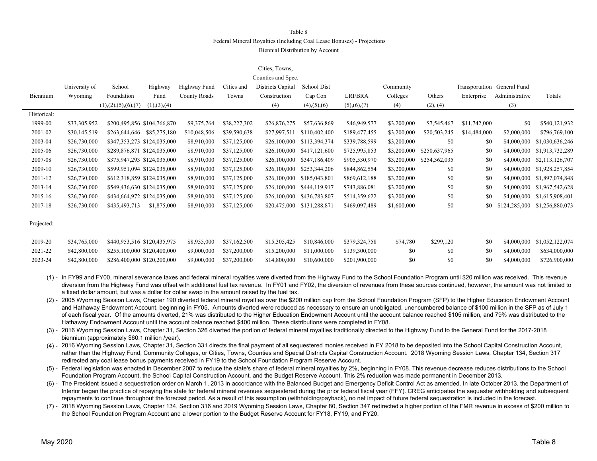#### Federal Mineral Royalties (Including Coal Lease Bonuses) - Projections

Biennial Distribution by Account

#### Cities, Towns,

|             | Counties and Spec. |                             |               |              |              |                   |                       |               |             |               |              |                             |                 |
|-------------|--------------------|-----------------------------|---------------|--------------|--------------|-------------------|-----------------------|---------------|-------------|---------------|--------------|-----------------------------|-----------------|
|             | University of      | School                      | Highway       | Highway Fund | Cities and   | Districts Capital | School Dist           |               | Community   |               |              | Transportation General Fund |                 |
| Biennium    | Wyoming            | Foundation                  | Fund          | County Roads | Towns        | Construction      | Cap Con               | LRI/BRA       | Colleges    | Others        | Enterprise   | Administrative              | Totals          |
|             |                    | (1), (2), (5), (6), (7)     | (1), (3), (4) |              |              | (4)               | $(4)$ , $(5)$ , $(6)$ | (5),(6),(7)   | (4)         | (2), (4)      |              | (3)                         |                 |
| Historical: |                    |                             |               |              |              |                   |                       |               |             |               |              |                             |                 |
| 1999-00     | \$33,305,952       | \$200,495,856 \$104,766,870 |               | \$9,375,764  | \$38,227,302 | \$26,876,275      | \$57,636,869          | \$46,949,577  | \$3,200,000 | \$7,545,467   | \$11,742,000 | \$0                         | \$540,121,932   |
| 2001-02     | \$30,145,519       | \$263,644,646               | \$85,275,180  | \$10,048,506 | \$39,590,638 | \$27,997,511      | \$110,402,400         | \$189,477,455 | \$3,200,000 | \$20,503,245  | \$14,484,000 | \$2,000,000                 | \$796,769,100   |
| 2003-04     | \$26,730,000       | \$347,353,273 \$124,035,000 |               | \$8,910,000  | \$37,125,000 | \$26,100,000      | \$113,394,374         | \$339,788,599 | \$3,200,000 | \$0           | \$0          | \$4,000,000                 | \$1,030,636,246 |
| 2005-06     | \$26,730,000       | \$289,876,871 \$124,035,000 |               | \$8,910,000  | \$37,125,000 | \$26,100,000      | \$417,121,600         | \$725,995,853 | \$3,200,000 | \$250,637,965 | \$0          | \$4,000,000                 | \$1,913,732,289 |
| 2007-08     | \$26,730,000       | \$375,947,293 \$124,035,000 |               | \$8,910,000  | \$37,125,000 | \$26,100,000      | \$347,186,409         | \$905,530,970 | \$3,200,000 | \$254,362,035 | \$0          | \$4,000,000                 | \$2,113,126,707 |
| 2009-10     | \$26,730,000       | \$599,951,094 \$124,035,000 |               | \$8,910,000  | \$37,125,000 | \$26,100,000      | \$253,344,206         | \$844,862,554 | \$3,200,000 | \$0           | \$0          | \$4,000,000                 | \$1,928,257,854 |
| 2011-12     | \$26,730,000       | \$612,318,859 \$124,035,000 |               | \$8,910,000  | \$37,125,000 | \$26,100,000      | \$185,043,801         | \$869,612,188 | \$3,200,000 | \$0           | \$0          | \$4,000,000                 | \$1,897,074,848 |
| 2013-14     | \$26,730,000       | \$549,436,630 \$124,035,000 |               | \$8,910,000  | \$37,125,000 | \$26,100,000      | \$444,119,917         | \$743,886,081 | \$3,200,000 | \$0           | \$0          | \$4,000,000                 | \$1,967,542,628 |
| 2015-16     | \$26,730,000       | \$434,664,972 \$124,035,000 |               | \$8,910,000  | \$37,125,000 | \$26,100,000      | \$436,783,807         | \$514,359,622 | \$3,200,000 | \$0           | \$0          | \$4,000,000                 | \$1,615,908,401 |
| 2017-18     | \$26,730,000       | \$435,493,713               | \$1,875,000   | \$8,910,000  | \$37,125,000 | \$20,475,000      | \$131,288,871         | \$469,097,489 | \$1,600,000 | \$0           | \$0          | \$124,285,000               | \$1,256,880,073 |
|             |                    |                             |               |              |              |                   |                       |               |             |               |              |                             |                 |
| Projected:  |                    |                             |               |              |              |                   |                       |               |             |               |              |                             |                 |
|             |                    |                             |               |              |              |                   |                       |               |             |               |              |                             |                 |
| 2019-20     | \$34,765,000       | \$440,953,516 \$120,435,975 |               | \$8,955,000  | \$37,162,500 | \$15,305,425      | \$10,846,000          | \$379,324,758 | \$74,780    | \$299,120     | \$0          | \$4,000,000                 | \$1,052,122,074 |
| 2021-22     | \$42,800,000       | \$255,100,000 \$120,400,000 |               | \$9,000,000  | \$37,200,000 | \$15,200,000      | \$11,000,000          | \$139,300,000 | \$0         | \$0           | \$0          | \$4,000,000                 | \$634,000,000   |
| 2023-24     | \$42,800,000       | \$286,400,000 \$120,200,000 |               | \$9,000,000  | \$37,200,000 | \$14,800,000      | \$10,600,000          | \$201,900,000 | \$0         | \$0           | \$0          | \$4,000,000                 | \$726,900,000   |

(1) - In FY99 and FY00, mineral severance taxes and federal mineral royalties were diverted from the Highway Fund to the School Foundation Program until \$20 million was received. This revenue diversion from the Highway Fund was offset with additional fuel tax revenue. In FY01 and FY02, the diversion of revenues from these sources continued, however, the amount was not limited to a fixed dollar amount, but was a dollar for dollar swap in the amount raised by the fuel tax.

(2) - 2005 Wyoming Session Laws, Chapter 190 diverted federal mineral royalties over the \$200 million cap from the School Foundation Program (SFP) to the Higher Education Endowment Account and Hathaway Endowment Account, beginning in FY05. Amounts diverted were reduced as necessary to ensure an unobligated, unencumbered balance of \$100 million in the SFP as of July 1 of each fiscal year. Of the amounts diverted, 21% was distributed to the Higher Education Endowment Account until the account balance reached \$105 million, and 79% was distributed to the Hathaway Endowment Account until the account balance reached \$400 million. These distributions were completed in FY08.

(3) - 2016 Wyoming Session Laws, Chapter 31, Section 326 diverted the portion of federal mineral royalties traditionally directed to the Highway Fund to the General Fund for the 2017-2018 biennium (approximately \$60.1 million /year).

(4) - 2016 Wyoming Session Laws, Chapter 31, Section 331 directs the final payment of all sequestered monies received in FY 2018 to be deposited into the School Capital Construction Account, rather than the Highway Fund, Community Colleges, or Cities, Towns, Counties and Special Districts Capital Construction Account. 2018 Wyoming Session Laws, Chapter 134, Section 317 redirected any coal lease bonus payments received in FY19 to the School Foundation Program Reserve Account.

(5) - Federal legislation was enacted in December 2007 to reduce the state's share of federal mineral royalties by 2%, beginning in FY08. This revenue decrease reduces distributions to the School Foundation Program Account, the School Capital Construction Account, and the Budget Reserve Account. This 2% reduction was made permanent in December 2013.

(6) - The President issued a sequestration order on March 1, 2013 in accordance with the Balanced Budget and Emergency Deficit Control Act as amended. In late October 2013, the Department of Interior began the practice of repaying the state for federal mineral revenues sequestered during the prior federal fiscal year (FFY). CREG anticipates the sequester withholding and subsequent repayments to continue throughout the forecast period. As a result of this assumption (withholding/payback), no net impact of future federal sequestration is included in the forecast.

(7) - 2018 Wyoming Session Laws, Chapter 134, Section 316 and 2019 Wyoming Session Laws, Chapter 80, Section 347 redirected a higher portion of the FMR revenue in excess of \$200 million to the School Foundation Program Account and a lower portion to the Budget Reserve Account for FY18, FY19, and FY20.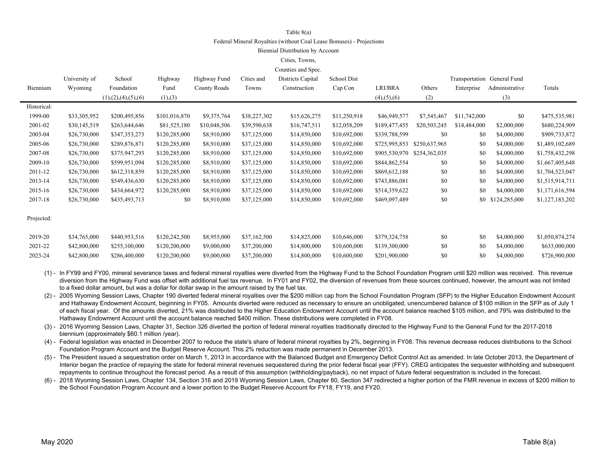#### Table 8(a)

Federal Mineral Royalties (without Coal Lease Bonuses) - Projections

#### Biennial Distribution by Account

#### Cities, Towns,

| Counties and Spec. |  |  |
|--------------------|--|--|
|--------------------|--|--|

|             | University of | School                  | Highway       | Highway Fund | Cities and   | Districts Capital | School Dist  |                       |               |              | Transportation General Fund |                 |
|-------------|---------------|-------------------------|---------------|--------------|--------------|-------------------|--------------|-----------------------|---------------|--------------|-----------------------------|-----------------|
| Biennium    | Wyoming       | Foundation              | Fund          | County Roads | Towns        | Construction      | Cap Con      | LRI/BRA               | Others        | Enterprise   | Administrative              | Totals          |
|             |               | (1), (2), (4), (5), (6) | (1),(3)       |              |              |                   |              | $(4)$ , $(5)$ , $(6)$ | (2)           |              | (3)                         |                 |
| Historical: |               |                         |               |              |              |                   |              |                       |               |              |                             |                 |
| 1999-00     | \$33,305,952  | \$200,495,856           | \$101,016,870 | \$9,375,764  | \$38,227,302 | \$15,626,275      | \$11,250,918 | \$46,949,577          | \$7,545,467   | \$11,742,000 | \$0                         | \$475,535,981   |
| 2001-02     | \$30,145,519  | \$263,644,646           | \$81,525,180  | \$10,048,506 | \$39,590,638 | \$16,747,511      | \$12,058,209 | \$189,477,455         | \$20,503,245  | \$14,484,000 | \$2,000,000                 | \$680,224,909   |
| 2003-04     | \$26,730,000  | \$347,353,273           | \$120,285,000 | \$8,910,000  | \$37,125,000 | \$14,850,000      | \$10,692,000 | \$339,788,599         | \$0           | \$0          | \$4,000,000                 | \$909,733,872   |
| 2005-06     | \$26,730,000  | \$289,876,871           | \$120,285,000 | \$8,910,000  | \$37,125,000 | \$14,850,000      | \$10,692,000 | \$725,995,853         | \$250,637,965 | \$0          | \$4,000,000                 | \$1,489,102,689 |
| 2007-08     | \$26,730,000  | \$375,947,293           | \$120,285,000 | \$8,910,000  | \$37,125,000 | \$14,850,000      | \$10,692,000 | \$905,530,970         | \$254,362,035 | \$0          | \$4,000,000                 | \$1,758,432,298 |
| 2009-10     | \$26,730,000  | \$599,951,094           | \$120,285,000 | \$8,910,000  | \$37,125,000 | \$14,850,000      | \$10,692,000 | \$844,862,554         | \$0           | \$0          | \$4,000,000                 | \$1,667,405,648 |
| 2011-12     | \$26,730,000  | \$612,318,859           | \$120,285,000 | \$8,910,000  | \$37,125,000 | \$14,850,000      | \$10,692,000 | \$869,612,188         | \$0           | \$0          | \$4,000,000                 | \$1,704,523,047 |
| 2013-14     | \$26,730,000  | \$549,436,630           | \$120,285,000 | \$8,910,000  | \$37,125,000 | \$14,850,000      | \$10,692,000 | \$743,886,081         | \$0           | \$0          | \$4,000,000                 | \$1,515,914,711 |
| 2015-16     | \$26,730,000  | \$434,664,972           | \$120,285,000 | \$8,910,000  | \$37,125,000 | \$14,850,000      | \$10,692,000 | \$514,359,622         | \$0           | \$0          | \$4,000,000                 | \$1,171,616,594 |
| 2017-18     | \$26,730,000  | \$435,493,713           | \$0           | \$8,910,000  | \$37,125,000 | \$14,850,000      | \$10,692,000 | \$469,097,489         | \$0           |              | \$0 \$124,285,000           | \$1,127,183,202 |
|             |               |                         |               |              |              |                   |              |                       |               |              |                             |                 |
| Projected:  |               |                         |               |              |              |                   |              |                       |               |              |                             |                 |
| 2019-20     | \$34,765,000  | \$440,953,516           | \$120,242,500 | \$8,955,000  | \$37,162,500 | \$14,825,000      | \$10,646,000 | \$379,324,758         | \$0           | \$0          | \$4,000,000                 | \$1,050,874,274 |
| 2021-22     | \$42,800,000  | \$255,100,000           | \$120,200,000 | \$9,000,000  | \$37,200,000 | \$14,800,000      | \$10,600,000 | \$139,300,000         | \$0           | \$0          | \$4,000,000                 | \$633,000,000   |
| 2023-24     | \$42,800,000  | \$286,400,000           | \$120,200,000 | \$9,000,000  | \$37,200,000 | \$14,800,000      | \$10,600,000 | \$201,900,000         | \$0           | \$0          | \$4,000,000                 | \$726,900,000   |
|             |               |                         |               |              |              |                   |              |                       |               |              |                             |                 |

(1) - In FY99 and FY00, mineral severance taxes and federal mineral royalties were diverted from the Highway Fund to the School Foundation Program until \$20 million was received. This revenue diversion from the Highway Fund was offset with additional fuel tax revenue. In FY01 and FY02, the diversion of revenues from these sources continued, however, the amount was not limited to a fixed dollar amount, but was a dollar for dollar swap in the amount raised by the fuel tax.

(2) - 2005 Wyoming Session Laws, Chapter 190 diverted federal mineral royalties over the \$200 million cap from the School Foundation Program (SFP) to the Higher Education Endowment Account and Hathaway Endowment Account, beginning in FY05. Amounts diverted were reduced as necessary to ensure an unobligated, unencumbered balance of \$100 million in the SFP as of July 1 of each fiscal year. Of the amounts diverted, 21% was distributed to the Higher Education Endowment Account until the account balance reached \$105 million, and 79% was distributed to the Hathaway Endowment Account until the account balance reached \$400 million. These distributions were completed in FY08.

(3) - 2016 Wyoming Session Laws, Chapter 31, Section 326 diverted the portion of federal mineral royalties traditionally directed to the Highway Fund to the General Fund for the 2017-2018 biennium (approximately \$60.1 million /year).

(4) - Federal legislation was enacted in December 2007 to reduce the state's share of federal mineral royalties by 2%, beginning in FY08. This revenue decrease reduces distributions to the School Foundation Program Account and the Budget Reserve Account. This 2% reduction was made permanent in December 2013.

(5) - The President issued a sequestration order on March 1, 2013 in accordance with the Balanced Budget and Emergency Deficit Control Act as amended. In late October 2013, the Department of Interior began the practice of repaying the state for federal mineral revenues sequestered during the prior federal fiscal year (FFY). CREG anticipates the sequester withholding and subsequent repayments to continue throughout the forecast period. As a result of this assumption (withholding/payback), no net impact of future federal sequestration is included in the forecast.

(6) - 2018 Wyoming Session Laws, Chapter 134, Section 316 and 2019 Wyoming Session Laws, Chapter 80, Section 347 redirected a higher portion of the FMR revenue in excess of \$200 million to the School Foundation Program Account and a lower portion to the Budget Reserve Account for FY18, FY19, and FY20.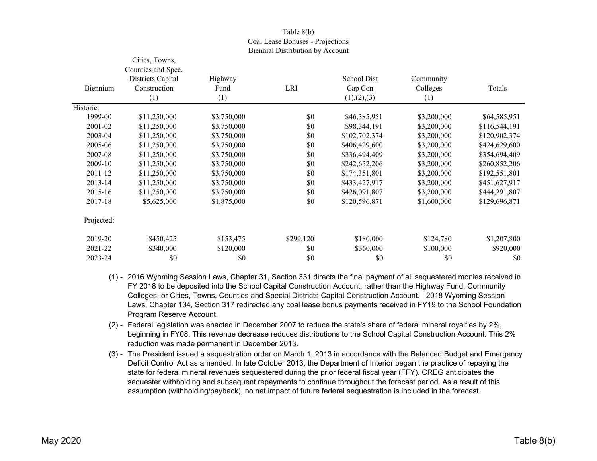### Table 8(b) Coal Lease Bonuses - Projections Biennial Distribution by Account

|            | Cities, Towns,     |             |           |               |             |               |
|------------|--------------------|-------------|-----------|---------------|-------------|---------------|
|            | Counties and Spec. |             |           |               |             |               |
|            | Districts Capital  | Highway     |           | School Dist   | Community   |               |
| Biennium   | Construction       | Fund        | LRI       | Cap Con       | Colleges    | Totals        |
|            | (1)                | (1)         |           | (1), (2), (3) | (1)         |               |
| Historic:  |                    |             |           |               |             |               |
| 1999-00    | \$11,250,000       | \$3,750,000 | \$0       | \$46,385,951  | \$3,200,000 | \$64,585,951  |
| 2001-02    | \$11,250,000       | \$3,750,000 | \$0       | \$98,344,191  | \$3,200,000 | \$116,544,191 |
| 2003-04    | \$11,250,000       | \$3,750,000 | \$0       | \$102,702,374 | \$3,200,000 | \$120,902,374 |
| 2005-06    | \$11,250,000       | \$3,750,000 | \$0       | \$406,429,600 | \$3,200,000 | \$424,629,600 |
| 2007-08    | \$11,250,000       | \$3,750,000 | \$0       | \$336,494,409 | \$3,200,000 | \$354,694,409 |
| 2009-10    | \$11,250,000       | \$3,750,000 | \$0       | \$242,652,206 | \$3,200,000 | \$260,852,206 |
| 2011-12    | \$11,250,000       | \$3,750,000 | \$0       | \$174,351,801 | \$3,200,000 | \$192,551,801 |
| 2013-14    | \$11,250,000       | \$3,750,000 | \$0       | \$433,427,917 | \$3,200,000 | \$451,627,917 |
| 2015-16    | \$11,250,000       | \$3,750,000 | \$0       | \$426,091,807 | \$3,200,000 | \$444,291,807 |
| 2017-18    | \$5,625,000        | \$1,875,000 | \$0       | \$120,596,871 | \$1,600,000 | \$129,696,871 |
| Projected: |                    |             |           |               |             |               |
| 2019-20    | \$450,425          | \$153,475   | \$299,120 | \$180,000     | \$124,780   | \$1,207,800   |
| 2021-22    | \$340,000          | \$120,000   | \$0       | \$360,000     | \$100,000   | \$920,000     |
| 2023-24    | \$0                | \$0         | \$0       | \$0           | \$0         | \$0           |

- (1) 2016 Wyoming Session Laws, Chapter 31, Section 331 directs the final payment of all sequestered monies received in FY 2018 to be deposited into the School Capital Construction Account, rather than the Highway Fund, Community Colleges, or Cities, Towns, Counties and Special Districts Capital Construction Account. 2018 Wyoming Session Laws, Chapter 134, Section 317 redirected any coal lease bonus payments received in FY19 to the School Foundation Program Reserve Account.
- (2) Federal legislation was enacted in December 2007 to reduce the state's share of federal mineral royalties by 2%, beginning in FY08. This revenue decrease reduces distributions to the School Capital Construction Account. This 2% reduction was made permanent in December 2013.
- (3) The President issued a sequestration order on March 1, 2013 in accordance with the Balanced Budget and Emergency Deficit Control Act as amended. In late October 2013, the Department of Interior began the practice of repaying the state for federal mineral revenues sequestered during the prior federal fiscal year (FFY). CREG anticipates the sequester withholding and subsequent repayments to continue throughout the forecast period. As a result of this assumption (withholding/payback), no net impact of future federal sequestration is included in the forecast.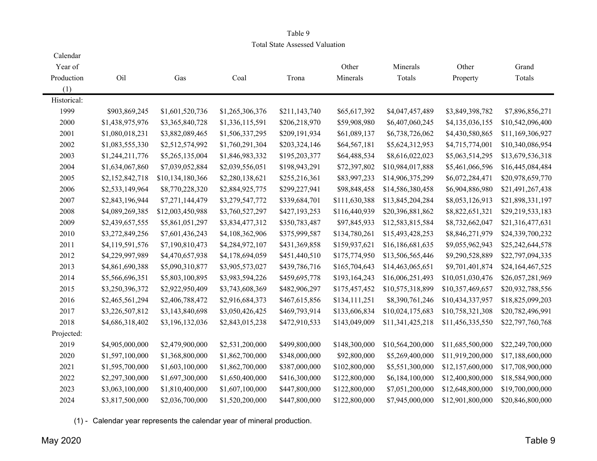### Table 9 Total State Assessed Valuation

| Calendar<br>Year of |                 |                  |                 |               | Other         | Minerals         | Other            | Grand            |
|---------------------|-----------------|------------------|-----------------|---------------|---------------|------------------|------------------|------------------|
| Production          | Oil             | Gas              | Coal            | Trona         | Minerals      | Totals           | Property         | Totals           |
| (1)                 |                 |                  |                 |               |               |                  |                  |                  |
| Historical:         |                 |                  |                 |               |               |                  |                  |                  |
| 1999                | \$903,869,245   | \$1,601,520,736  | \$1,265,306,376 | \$211,143,740 | \$65,617,392  | \$4,047,457,489  | \$3,849,398,782  | \$7,896,856,271  |
| 2000                | \$1,438,975,976 | \$3,365,840,728  | \$1,336,115,591 | \$206,218,970 | \$59,908,980  | \$6,407,060,245  | \$4,135,036,155  | \$10,542,096,400 |
| 2001                | \$1,080,018,231 | \$3,882,089,465  | \$1,506,337,295 | \$209,191,934 | \$61,089,137  | \$6,738,726,062  | \$4,430,580,865  | \$11,169,306,927 |
| 2002                | \$1,083,555,330 | \$2,512,574,992  | \$1,760,291,304 | \$203,324,146 | \$64,567,181  | \$5,624,312,953  | \$4,715,774,001  | \$10,340,086,954 |
| 2003                | \$1,244,211,776 | \$5,265,135,004  | \$1,846,983,332 | \$195,203,377 | \$64,488,534  | \$8,616,022,023  | \$5,063,514,295  | \$13,679,536,318 |
| 2004                | \$1,634,067,860 | \$7,039,052,884  | \$2,039,556,051 | \$198,943,291 | \$72,397,802  | \$10,984,017,888 | \$5,461,066,596  | \$16,445,084,484 |
| 2005                | \$2,152,842,718 | \$10,134,180,366 | \$2,280,138,621 | \$255,216,361 | \$83,997,233  | \$14,906,375,299 | \$6,072,284,471  | \$20,978,659,770 |
| 2006                | \$2,533,149,964 | \$8,770,228,320  | \$2,884,925,775 | \$299,227,941 | \$98,848,458  | \$14,586,380,458 | \$6,904,886,980  | \$21,491,267,438 |
| 2007                | \$2,843,196,944 | \$7,271,144,479  | \$3,279,547,772 | \$339,684,701 | \$111,630,388 | \$13,845,204,284 | \$8,053,126,913  | \$21,898,331,197 |
| 2008                | \$4,089,269,385 | \$12,003,450,988 | \$3,760,527,297 | \$427,193,253 | \$116,440,939 | \$20,396,881,862 | \$8,822,651,321  | \$29,219,533,183 |
| 2009                | \$2,439,657,555 | \$5,861,051,297  | \$3,834,477,312 | \$350,783,487 | \$97,845,933  | \$12,583,815,584 | \$8,732,662,047  | \$21,316,477,631 |
| 2010                | \$3,272,849,256 | \$7,601,436,243  | \$4,108,362,906 | \$375,999,587 | \$134,780,261 | \$15,493,428,253 | \$8,846,271,979  | \$24,339,700,232 |
| 2011                | \$4,119,591,576 | \$7,190,810,473  | \$4,284,972,107 | \$431,369,858 | \$159,937,621 | \$16,186,681,635 | \$9,055,962,943  | \$25,242,644,578 |
| 2012                | \$4,229,997,989 | \$4,470,657,938  | \$4,178,694,059 | \$451,440,510 | \$175,774,950 | \$13,506,565,446 | \$9,290,528,889  | \$22,797,094,335 |
| 2013                | \$4,861,690,388 | \$5,090,310,877  | \$3,905,573,027 | \$439,786,716 | \$165,704,643 | \$14,463,065,651 | \$9,701,401,874  | \$24,164,467,525 |
| 2014                | \$5,566,696,351 | \$5,803,100,895  | \$3,983,594,226 | \$459,695,778 | \$193,164,243 | \$16,006,251,493 | \$10,051,030,476 | \$26,057,281,969 |
| 2015                | \$3,250,396,372 | \$2,922,950,409  | \$3,743,608,369 | \$482,906,297 | \$175,457,452 | \$10,575,318,899 | \$10,357,469,657 | \$20,932,788,556 |
| 2016                | \$2,465,561,294 | \$2,406,788,472  | \$2,916,684,373 | \$467,615,856 | \$134,111,251 | \$8,390,761,246  | \$10,434,337,957 | \$18,825,099,203 |
| 2017                | \$3,226,507,812 | \$3,143,840,698  | \$3,050,426,425 | \$469,793,914 | \$133,606,834 | \$10,024,175,683 | \$10,758,321,308 | \$20,782,496,991 |
| 2018                | \$4,686,318,402 | \$3,196,132,036  | \$2,843,015,238 | \$472,910,533 | \$143,049,009 | \$11,341,425,218 | \$11,456,335,550 | \$22,797,760,768 |
| Projected:          |                 |                  |                 |               |               |                  |                  |                  |
| 2019                | \$4,905,000,000 | \$2,479,900,000  | \$2,531,200,000 | \$499,800,000 | \$148,300,000 | \$10,564,200,000 | \$11,685,500,000 | \$22,249,700,000 |
| 2020                | \$1,597,100,000 | \$1,368,800,000  | \$1,862,700,000 | \$348,000,000 | \$92,800,000  | \$5,269,400,000  | \$11,919,200,000 | \$17,188,600,000 |
| 2021                | \$1,595,700,000 | \$1,603,100,000  | \$1,862,700,000 | \$387,000,000 | \$102,800,000 | \$5,551,300,000  | \$12,157,600,000 | \$17,708,900,000 |
| 2022                | \$2,297,300,000 | \$1,697,300,000  | \$1,650,400,000 | \$416,300,000 | \$122,800,000 | \$6,184,100,000  | \$12,400,800,000 | \$18,584,900,000 |
| 2023                | \$3,063,100,000 | \$1,810,400,000  | \$1,607,100,000 | \$447,800,000 | \$122,800,000 | \$7,051,200,000  | \$12,648,800,000 | \$19,700,000,000 |
| 2024                | \$3,817,500,000 | \$2,036,700,000  | \$1,520,200,000 | \$447,800,000 | \$122,800,000 | \$7,945,000,000  | \$12,901,800,000 | \$20,846,800,000 |

(1) - Calendar year represents the calendar year of mineral production.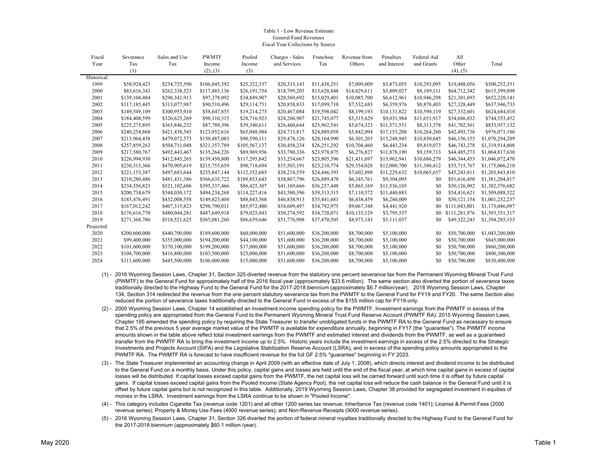#### Table 1 - Low Revenue EstimateGeneral Fund RevenuesFiscal Year Collections by Source

| Fiscal      | Severance     | Sales and Use | <b>PWMTF</b>  | Pooled        | Charges - Sales | Franchise    | Revenue from | Penalties    | Federal Aid  | All           |                 |
|-------------|---------------|---------------|---------------|---------------|-----------------|--------------|--------------|--------------|--------------|---------------|-----------------|
| Year        | Tax           | Tax           | Income        | Income        | and Services    | Tax          | Others       | and Interest | and Grants   | Other         | Total           |
|             | (1)           |               | (2), (3)      | (3)           |                 |              |              |              |              | (4), (5)      |                 |
| Historical: |               |               |               |               |                 |              |              |              |              |               |                 |
| 1999        | \$58,924,423  | \$234,725,590 | \$106,845,392 | \$25,322,337  | \$20,333,143    | \$11,438,251 | \$7,009,009  | \$5,873,055  | \$10,293,095 | \$19,488,056  | \$500,252,351   |
| 2000        | \$83,616,343  | \$262,338,523 | \$117,485,136 | \$26,191,754  | \$18,799,203    | \$13,628,848 | \$14,829,611 | \$5,809,027  | \$8,189,111  | \$64,712,342  | \$615,599,898   |
| 2001        | \$139,104,484 | \$296,341,913 | \$97,378,092  | \$34,849,907  | \$20,569,692    | \$15,029,401 | \$10,085,700 | \$6,612,961  | \$10,946,298 | \$21,301,693  | \$652,220,141   |
| 2002        | \$117,185,445 | \$313,077,987 | \$90,510,496  | \$29,114,751  | \$20,858,833    | \$17,099,710 | \$7,532,683  | \$6,359,976  | \$8,878,403  | \$27,328,449  | \$637,946,733   |
| 2003        | \$149,549,109 | \$300,953,910 | \$58,647,855  | \$19,214,275  | \$20,467,084    | \$19,598,042 | \$8,199,193  | \$10,131,822 | \$10,590,119 | \$27,332,601  | \$624,684,010   |
| 2004        | \$184,408,599 | \$326,625,269 | \$98,110,315  | \$28,716,923  | \$24,260,907    | \$21,745,077 | \$5,315,629  | \$9,031,984  | \$11,651,917 | \$34,686,832  | \$744,553,452   |
| 2005        | \$225,275,895 | \$363,846,232 | \$87,789,396  | \$39,340,611  | \$26,460,644    | \$23,962,541 | \$5,674,323  | \$11,571,551 | \$8,313,378  | \$41,702,561  | \$833,937,132   |
| 2006        | \$240,254,868 | \$421,438,545 | \$123,952,616 | \$65,048,984  | \$24,733,817    | \$24,889,058 | \$5,842,094  | \$17,153,208 | \$10,264,260 | \$42,493,736  | \$976,071,186   |
| 2007        | \$213,964,458 | \$479,072,573 | \$150,487,083 | \$90,590,111  | \$29,478,126    | \$28,164,990 | \$6,301,203  | \$15,248,945 | \$10,830,645 | \$46,156,155  | \$1,070,294,289 |
| 2008        | \$257,859,263 | \$504,711,048 | \$321,357,789 | \$105,567,137 | \$30,458,234    | \$26,251,292 | \$10,704,460 | \$6,443,234  | \$9,819,073  | \$46,743,278  | \$1,319,914,808 |
| 2009        | \$217,580,767 | \$492,443,467 | \$135,264,226 | \$89,969,956  | \$33,780,336    | \$23,978,875 | \$6,276,827  | \$11,878,190 | \$9,159,713  | \$44,485,273  | \$1,064,817,630 |
| 2010        | \$226,994,930 | \$412,845,265 | \$139,450,800 | \$117,295,842 | \$33,254,667    | \$23,805,596 | \$21,431,697 | \$13,962,941 | \$10,686,279 | \$46,344,453  | \$1,046,072,470 |
| 2011        | \$230,313,366 | \$470,905,619 | \$215,755,659 | \$90,718,694  | \$35,503,191    | \$23,210,774 | \$29,554,028 | \$12,000,700 | \$11,388,412 | \$55,715,767  | \$1,175,066,210 |
| 2012        | \$221,153,387 | \$497,683,644 | \$235,847,144 | \$112,352,685 | \$38,218,559    | \$24,446,393 | \$7,602,898  | \$11,229,632 | \$10,065,657 | \$45,243,811  | \$1,203,843,810 |
| 2013        | \$210,280,486 | \$481,431,386 | \$366,635,722 | \$189,833,643 | \$38,867,796    | \$26,889,478 | \$6,345,761  | \$9,304,095  | \$0          | \$51,616,450  | \$1,381,204,817 |
| 2014        | \$234,556,823 | \$521,102,606 | \$395,337,466 | \$86,425,307  | \$41,169,666    | \$36,257,448 | \$5,865,169  | \$11,536,105 | \$0          | \$50,126,092  | \$1,382,376,682 |
| 2015        | \$200,734,679 | \$544,030,172 | \$494,234,268 | \$114,227,416 | \$43,580,396    | \$39,313,515 | \$7,110,572  | \$11,440,883 | \$0          | \$54,416,621  | \$1,509,088,522 |
| 2016        | \$185,476,491 | \$432,008,558 | \$149,823,404 | \$88,843,568  | \$46,838,913    | \$35,441,681 | \$6,438,459  | \$6,260,009  | \$0          | \$50,121,154  | \$1,001,252,237 |
| 2017        | \$167,012,242 | \$407,315,823 | \$298,790,011 | \$85,972,480  | \$54,609,497    | \$34,792,975 | \$9,067,348  | \$4,441,920  | \$0          | \$111,043,801 | \$1,173,046,097 |
| 2018        | \$176,616,770 | \$480,044,281 | \$447,649,918 | \$79,025,043  | \$50,274,592    | \$34,728,071 | \$10,135,129 | \$3,795,537  | \$0          | \$111,281,976 | \$1,393,551,317 |
| 2019        | \$271,368,786 | \$518,521,625 | \$365,081,260 | \$86,659,646  | \$51,776,908    | \$37,470,505 | \$8,973,143  | \$5,111,037  | \$0          | \$49,322,243  | \$1,394,285,153 |
| Projected:  |               |               |               |               |                 |              |              |              |              |               |                 |
| 2020        | \$200,600,000 | \$440,700,000 | \$189,600,000 | \$60,000,000  | \$51,600,000    | \$36,200,000 | \$8,700,000  | \$5,100,000  | \$0          | \$50,700,000  | \$1,043,200,000 |
| 2021        | \$99,400,000  | \$355,000,000 | \$194,200,000 | \$44,100,000  | \$51,600,000    | \$36,200,000 | \$8,700,000  | \$5,100,000  | \$0          | \$50,700,000  | \$845,000,000   |
| 2022        | \$101,600,000 | \$370,100,000 | \$199,200,000 | \$37,000,000  | \$51,600,000    | \$36,200,000 | \$8,700,000  | \$5,100,000  | \$0          | \$50,700,000  | \$860,200,000   |
| 2023        | \$104,700,000 | \$416,800,000 | \$103,500,000 | \$23,000,000  | \$51,600,000    | \$36,200,000 | \$8,700,000  | \$5,100,000  | \$0          | \$50,700,000  | \$800,300,000   |
| 2024        | \$111,600,000 | \$445,500,000 | \$106,000,000 | \$15,000,000  | \$51,600,000    | \$36,200,000 | \$8,700,000  | \$5,100,000  | \$0          | \$50,700,000  | \$830,400,000   |
|             |               |               |               |               |                 |              |              |              |              |               |                 |

- (1) 2016 Wyoming Session Laws, Chapter 31, Section 325 diverted revenue from the statutory one percent severance tax from the Permanent Wyoming Mineral Trust Fund (PWMTF) to the General Fund for approximately half of the 2016 fiscal year (approximately \$33.6 million). The same section also diverted the portion of severance taxes traditionally directed to the Highway Fund to the General Fund for the 2017-2018 biennium (approximately \$6.7 million/year). 2018 Wyoming Session Laws, Chapter 134, Section 314 redirected the revenue from the one percent statutory severance tax from the PWMTF to the General Fund for FY19 and FY20. The same Section also reduced the portion of severance taxes traditionally directed to the General Fund in excess of the \$155 million cap for FY19 only.
- (2) 2000 Wyoming Session Laws, Chapter 14 established an investment income spending policy for the PWMTF. Investment earnings from the PWMTF in excess of the spending policy are appropriated from the General Fund to the Permanent Wyoming Mineral Trust Fund Reserve Account (PWMTF RA). 2015 Wyoming Session Laws, Chapter 195 amended the spending policy by requiring the State Treasurer to transfer unobligated funds in the PWMTF RA to the General Fund as necessary to ensure that 2.5% of the previous 5 year average market value of the PWMTF is available for expenditure annually, beginning in FY17 (the "guarantee"). The PWMTF income amounts shown in the table above reflect total investment earnings from the PWMTF and estimated interest and dividends from the PWMTF, as well as a guaranteed transfer from the PWMTF RA to bring the investment income up to 2.5%. Historic years include the investment earnings in excess of the 2.5% directed to the Strategic Investments and Projects Account (SIPA) and the Legislative Stabilization Reserve Account (LSRA), and in excess of the spending policy amounts appropriated to the PWMTF RA. The PWMTF RA is forecast to have insufficient revenue for the full GF 2.5% "guarantee" beginning in FY 2023.
- (3) The State Treasurer implemented an accounting change in April 2009 (with an effective date of July 1, 2008), which directs interest and dividend income to be distributed to the General Fund on a monthly basis. Under this policy, capital gains and losses are held until the end of the fiscal year, at which time capital gains in excess of capital losses will be distributed. If capital losses exceed capital gains from the PWMTF, the net capital loss will be carried forward until such time it is offset by future capital gains. If capital losses exceed capital gains from the Pooled Income (State Agency Pool), the net capital loss will reduce the cash balance in the General Fund until it is offset by future capital gains but is not recognized in this table. Additionally, 2019 Wyoming Session Laws, Chapter 38 provided for segregated investment in equities of monies in the LSRA. Investment earnings from the LSRA continue to be shown in "Pooled Income".
- (4) This category includes Cigarette Tax (revenue code 1201) and all other 1200 series tax revenue; Inheritance Tax (revenue code 1401); License & Permit Fees (2000 revenue series); Property & Money Use Fees (4000 revenue series); and Non-Revenue Receipts (9000 revenue series).
- (5) 2016 Wyoming Session Laws, Chapter 31, Section 326 diverted the portion of federal mineral royalties traditionally directed to the Highway Fund to the General Fund for the 2017-2018 biennium (approximately \$60.1 million /year).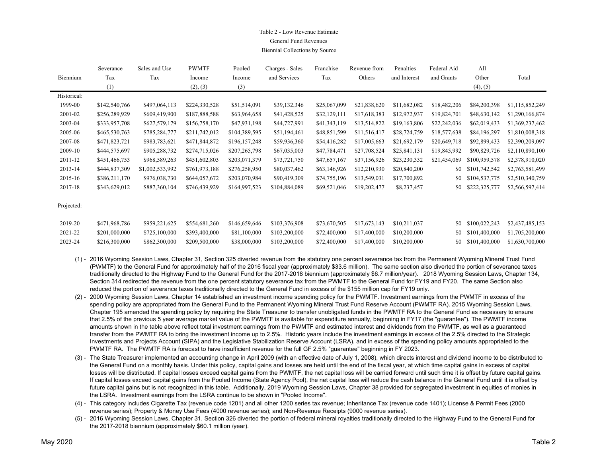### Table 2 - Low Revenue EstimateGeneral Fund RevenuesBiennial Collections by Source

|             | Severance     | Sales and Use   | <b>PWMTF</b>  | Pooled        | Charges - Sales | Franchise    | Revenue from | Penalties    | Federal Aid  | All           |                 |
|-------------|---------------|-----------------|---------------|---------------|-----------------|--------------|--------------|--------------|--------------|---------------|-----------------|
| Biennium    | Tax           | Tax             | Income        | Income        | and Services    | Tax          | Others       | and Interest | and Grants   | Other         | Total           |
|             | (1)           |                 | (2), (3)      | (3)           |                 |              |              |              |              | (4), (5)      |                 |
| Historical: |               |                 |               |               |                 |              |              |              |              |               |                 |
| 1999-00     | \$142,540,766 | \$497,064,113   | \$224,330,528 | \$51,514,091  | \$39,132,346    | \$25,067,099 | \$21,838,620 | \$11,682,082 | \$18,482,206 | \$84,200,398  | \$1,115,852,249 |
| 2001-02     | \$256,289,929 | \$609,419,900   | \$187,888,588 | \$63,964,658  | \$41,428,525    | \$32,129,111 | \$17,618,383 | \$12,972,937 | \$19,824,701 | \$48,630,142  | \$1,290,166,874 |
| 2003-04     | \$333,957,708 | \$627,579,179   | \$156,758,170 | \$47,931,198  | \$44,727,991    | \$41,343,119 | \$13,514,822 | \$19,163,806 | \$22,242,036 | \$62,019,433  | \$1,369,237,462 |
| 2005-06     | \$465,530,763 | \$785,284,777   | \$211,742,012 | \$104,389,595 | \$51,194,461    | \$48,851,599 | \$11,516,417 | \$28,724,759 | \$18,577,638 | \$84,196,297  | \$1,810,008,318 |
| 2007-08     | \$471,823,721 | \$983,783,621   | \$471,844,872 | \$196,157,248 | \$59,936,360    | \$54,416,282 | \$17,005,663 | \$21,692,179 | \$20,649,718 | \$92,899,433  | \$2,390,209,097 |
| 2009-10     | \$444,575,697 | \$905,288,732   | \$274,715,026 | \$207,265,798 | \$67,035,003    | \$47,784,471 | \$27,708,524 | \$25,841,131 | \$19,845,992 | \$90,829,726  | \$2,110,890,100 |
| 2011-12     | \$451,466,753 | \$968,589,263   | \$451,602,803 | \$203,071,379 | \$73,721,750    | \$47,657,167 | \$37,156,926 | \$23,230,332 | \$21,454,069 | \$100,959,578 | \$2,378,910,020 |
| 2013-14     | \$444,837,309 | \$1,002,533,992 | \$761,973,188 | \$276,258,950 | \$80,037,462    | \$63,146,926 | \$12,210,930 | \$20,840,200 | \$0          | \$101,742,542 | \$2,763,581,499 |
| 2015-16     | \$386,211,170 | \$976,038,730   | \$644,057,672 | \$203,070,984 | \$90,419,309    | \$74,755,196 | \$13,549,031 | \$17,700,892 | \$0          | \$104,537,775 | \$2,510,340,759 |
| 2017-18     | \$343,629,012 | \$887,360,104   | \$746,439,929 | \$164,997,523 | \$104,884,089   | \$69,521,046 | \$19,202,477 | \$8,237,457  | \$0          | \$222,325,777 | \$2,566,597,414 |
|             |               |                 |               |               |                 |              |              |              |              |               |                 |

Projected:

| 2019-20 | \$471,968,786 | \$959,221,625 | \$554,681,260 | \$146,659,646 | \$103,376,908 | \$73,670,505 \$17,673,143 \$10,211,037 |  |  | \$0 \$100,022,243 \$2,437,485,153 |
|---------|---------------|---------------|---------------|---------------|---------------|----------------------------------------|--|--|-----------------------------------|
| 2021-22 | \$201,000,000 | \$725,100,000 | \$393,400,000 | \$81.100,000  | \$103,200,000 | \$72,400,000 \$17,400,000 \$10,200,000 |  |  | \$0 \$101,400,000 \$1,705,200,000 |
| 2023-24 | \$216,300,000 | \$862,300,000 | \$209,500,000 | \$38,000,000  | \$103,200,000 | \$72,400,000 \$17,400,000 \$10,200,000 |  |  | \$0 \$101,400,000 \$1,630,700,000 |

- (1) 2016 Wyoming Session Laws, Chapter 31, Section 325 diverted revenue from the statutory one percent severance tax from the Permanent Wyoming Mineral Trust Fund (PWMTF) to the General Fund for approximately half of the 2016 fiscal year (approximately \$33.6 million). The same section also diverted the portion of severance taxes traditionally directed to the Highway Fund to the General Fund for the 2017-2018 biennium (approximately \$6.7 million/year). 2018 Wyoming Session Laws, Chapter 134, Section 314 redirected the revenue from the one percent statutory severance tax from the PWMTF to the General Fund for FY19 and FY20. The same Section also reduced the portion of severance taxes traditionally directed to the General Fund in excess of the \$155 million cap for FY19 only.
- (2) 2000 Wyoming Session Laws, Chapter 14 established an investment income spending policy for the PWMTF. Investment earnings from the PWMTF in excess of the spending policy are appropriated from the General Fund to the Permanent Wyoming Mineral Trust Fund Reserve Account (PWMTF RA). 2015 Wyoming Session Laws, Chapter 195 amended the spending policy by requiring the State Treasurer to transfer unobligated funds in the PWMTF RA to the General Fund as necessary to ensure that 2.5% of the previous 5 year average market value of the PWMTF is available for expenditure annually, beginning in FY17 (the "guarantee"). The PWMTF income amounts shown in the table above reflect total investment earnings from the PWMTF and estimated interest and dividends from the PWMTF, as well as a guaranteed transfer from the PWMTF RA to bring the investment income up to 2.5%. Historic years include the investment earnings in excess of the 2.5% directed to the Strategic Investments and Projects Account (SIPA) and the Legislative Stabilization Reserve Account (LSRA), and in excess of the spending policy amounts appropriated to the PWMTF RA. The PWMTF RA is forecast to have insufficient revenue for the full GF 2.5% "guarantee" beginning in FY 2023.
- (3) The State Treasurer implemented an accounting change in April 2009 (with an effective date of July 1, 2008), which directs interest and dividend income to be distributed to the General Fund on a monthly basis. Under this policy, capital gains and losses are held until the end of the fiscal year, at which time capital gains in excess of capital losses will be distributed. If capital losses exceed capital gains from the PWMTF, the net capital loss will be carried forward until such time it is offset by future capital gains. If capital losses exceed capital gains from the Pooled Income (State Agency Pool), the net capital loss will reduce the cash balance in the General Fund until it is offset by future capital gains but is not recognized in this table. Additionally, 2019 Wyoming Session Laws, Chapter 38 provided for segregated investment in equities of monies in the LSRA. Investment earnings from the LSRA continue to be shown in "Pooled Income".
- (4) This category includes Cigarette Tax (revenue code 1201) and all other 1200 series tax revenue; Inheritance Tax (revenue code 1401); License & Permit Fees (2000 revenue series); Property & Money Use Fees (4000 revenue series); and Non-Revenue Receipts (9000 revenue series).
- (5) 2016 Wyoming Session Laws, Chapter 31, Section 326 diverted the portion of federal mineral royalties traditionally directed to the Highway Fund to the General Fund for the 2017-2018 biennium (approximately \$60.1 million /year).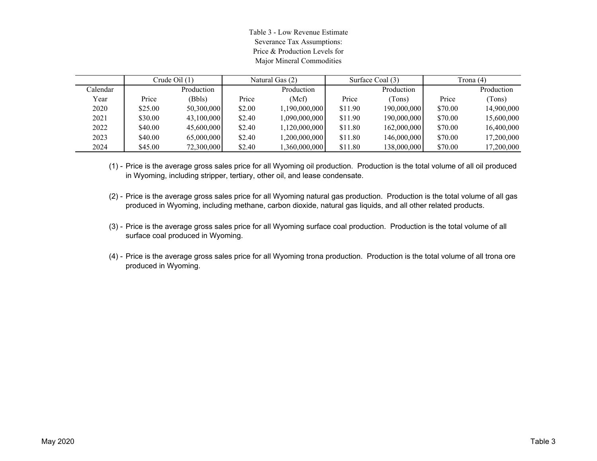Table 3 - Low Revenue Estimate Severance Tax Assumptions: Price & Production Levels forMajor Mineral Commodities

|          |         | Crude Oil $(1)$ |        | Natural Gas (2) | Surface Coal (3) |             | Trona (4) |            |
|----------|---------|-----------------|--------|-----------------|------------------|-------------|-----------|------------|
| Calendar |         | Production      |        | Production      |                  | Production  |           | Production |
| Year     | Price   | (Bbls)          | Price  | (Mcf)           | Price            | (Tons)      | Price     | (Tons)     |
| 2020     | \$25.00 | 50,300,000      | \$2.00 | 1,190,000,000   | \$11.90          | 190,000,000 | \$70.00   | 14,900,000 |
| 2021     | \$30.00 | 43,100,000      | \$2.40 | 1,090,000,000   | \$11.90          | 190,000,000 | \$70.00   | 15,600,000 |
| 2022     | \$40.00 | 45,600,000      | \$2.40 | 1,120,000,000   | \$11.80          | 162,000,000 | \$70.00   | 16,400,000 |
| 2023     | \$40.00 | 65,000,000      | \$2.40 | 1,200,000,000   | \$11.80          | 146,000,000 | \$70.00   | 17,200,000 |
| 2024     | \$45.00 | 72,300,000      | \$2.40 | 1,360,000,000   | \$11.80          | 138,000,000 | \$70.00   | 17,200,000 |

(1) - Price is the average gross sales price for all Wyoming oil production. Production is the total volume of all oil produced in Wyoming, including stripper, tertiary, other oil, and lease condensate.

- (2) Price is the average gross sales price for all Wyoming natural gas production. Production is the total volume of all gas produced in Wyoming, including methane, carbon dioxide, natural gas liquids, and all other related products.
- (3) Price is the average gross sales price for all Wyoming surface coal production. Production is the total volume of all surface coal produced in Wyoming.
- (4) Price is the average gross sales price for all Wyoming trona production. Production is the total volume of all trona ore produced in Wyoming.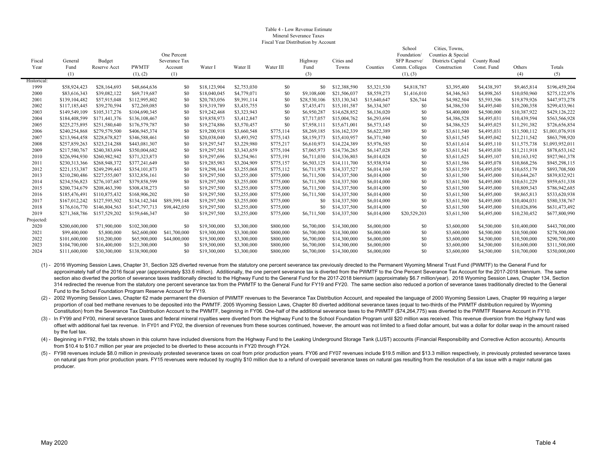#### Table 4 - Low Revenue EstimateMineral Severance TaxesFiscal Year Distribution by Account

|             |               |               |               |               |              |             |           |              |              |              | School         | Cities, Towns,     |             |              |                 |
|-------------|---------------|---------------|---------------|---------------|--------------|-------------|-----------|--------------|--------------|--------------|----------------|--------------------|-------------|--------------|-----------------|
|             |               |               |               | One Percent   |              |             |           |              |              |              | Foundation/    | Counties & Special |             |              |                 |
| Fiscal      | General       | Budget        |               | Severance Tax |              |             |           | Highway      | Cities and   |              | SFP Reserve/   | Districts Capital  | County Road |              |                 |
| Year        | Fund          | Reserve Acct  | <b>PWMTF</b>  | Account       | Water I      | Water II    | Water III | Fund         | Towns        | Counties     | Comm. Colleges | Construction       | Const. Fund | Others       | Totals          |
|             | (1)           |               | (1), (2)      | (1)           |              |             |           | (3)          |              |              | (1), (3)       |                    |             | (4)          | (5)             |
| Historical: |               |               |               |               |              |             |           |              |              |              |                |                    |             |              |                 |
| 1999        | \$58,924,423  | \$28,164,693  | \$48,664,636  | \$0           | \$18,123,904 | \$2,753,030 | \$0       | \$0          | \$12,388,590 | \$5,321,530  | \$4,818,787    | \$3,395,400        | \$4,438,397 | \$9,465,814  | \$196,459,204   |
| 2000        | \$83,616,343  | \$39,082,122  | \$69,719,687  | \$0           | \$18,040,045 | \$4,779,071 | \$0       | \$9,108,600  | \$21,506,037 | \$8,559,273  | \$1,416,010    | \$4,346,563        | \$4,898,265 | \$10,050,960 | \$275,122,976   |
| 2001        | \$139,104,482 | \$57,915,048  | \$112,995,802 | \$0           | \$20,783,056 | \$9,391,114 | \$0       | \$28,530,106 | \$33,130,343 | \$15,640,647 | \$26,744       | \$4,982,504        | \$5,593,506 | \$19,879,926 | \$447,973,278   |
| 2002        | \$117,185,445 | \$39,270,594  | \$72,269,085  | \$0           | \$19,319,789 | \$3,435,755 | \$0       | \$7,435,471  | \$15,101,587 | \$6,334,307  | \$0            | \$4,386,530        | \$4,495,040 | \$10,200,358 | \$299,433,961   |
| 2003        | \$149,549,109 | \$105,317,276 | \$104,690,345 | \$0           | \$19,242,468 | \$3,323,943 | \$0       | \$6,950,287  | \$14,628,852 | \$6,136,020  | \$0            | \$4,400,000        | \$4,500,000 | \$10,387,922 | \$429,126,222   |
| 2004        | \$184,408,599 | \$171,441,376 | \$136,108,467 | -80           | \$19,858,973 | \$3,412,847 | \$0       | \$7,717,057  | \$15,004,762 | \$6,293,694  | \$0            | \$4,386,528        | \$4,495,031 | \$10,439,594 | \$563,566,928   |
| 2005        | \$225,275,895 | \$251,580,640 | \$176,579,787 | -\$0          | \$19,274,886 | \$3,570,457 | \$0       | \$7,958,111  | \$15,671,001 | \$6,573,145  | \$0            | \$4,386,525        | \$4,495,025 | \$11,291,382 | \$726,656,854   |
| 2006        | \$240,254,868 | \$279,579,500 | \$406,945,374 | \$0           | \$19,200,918 | \$3,660,548 | \$775,114 | \$8,269,185  | \$16,162,339 | \$6,622,389  | \$0            | \$3,611,540        | \$4,495,031 | \$11,500,112 | \$1,001,076,918 |
| 2007        | \$213,964,458 | \$228,678,827 | \$346,588,461 | \$0           | \$20,038,040 | \$3,493,592 | \$775,143 | \$8,159,373  | \$15,410,957 | \$6,371,940  | \$0            | \$3,611,545        | \$4,495,042 | \$12,211,542 | \$863,798,920   |
| 2008        | \$257,859,263 | \$323,214,288 | \$443,081,307 | -\$0          | \$19,297,547 | \$3,229,980 | \$775,217 | \$6,610,973  | \$14,224,389 | \$5,976,585  | \$0            | \$3,611,614        | \$4,495,110 | \$11,575,738 | \$1,093,952,01  |
| 2009        | \$217,580,767 | \$240,383,694 | \$350,004,682 | \$0           | \$19,297,501 | \$3,343,659 | \$775,104 | \$7,065,973  | \$14,736,265 | \$6,147,028  | \$0            | \$3,611,541        | \$4,495,030 | \$11,211,918 | \$878,653,162   |
| 2010        | \$226,994,930 | \$260,982,942 | \$371,323,873 | -\$0          | \$19,297,696 | \$3,254,961 | \$775,191 | \$6,711,030  | \$14,336,803 | \$6,014,028  | \$0            | \$3,611,625        | \$4,495,107 | \$10,163,192 | \$927,961,378   |
| 2011        | \$230,313,366 | \$268,948,372 | \$377.241.649 | -\$0          | \$19,285,983 | \$3,204,909 | \$775,157 | \$6,503,125  | \$14,111,700 | \$5,938,934  | \$0            | \$3,611,586        | \$4,495,078 | \$10,868,256 | \$945,298,115   |
| 2012        | \$221,153,387 | \$249,299,443 | \$354,101,873 | -\$0          | \$19,298,164 | \$3,255,068 | \$775,112 | \$6,711,978  | \$14,337,527 | \$6,014,160  | \$0            | \$3,611,559        | \$4,495,050 | \$10,655,179 | \$893,708,500   |
| 2013        | \$210,280,486 | \$227,555,007 | \$332,856,161 | -\$0          | \$19,297,500 | \$3,255,000 | \$775,000 | \$6,711,500  | \$14,337,500 | \$6,014,000  | \$0            | \$3,611,500        | \$4,495,000 | \$10,644,267 | \$839,832,921   |
| 2014        | \$234,556,823 | \$276,107,687 | \$379,858,599 | \$0           | \$19,297,500 | \$3,255,000 | \$775,000 | \$6,711,500  | \$14,337,500 | \$6,014,000  | \$0            | \$3,611,500        | \$4,495,000 | \$10,631,229 | \$959,651,338   |
| 2015        | \$200,734,679 | \$208,463,390 | \$308,438,273 | -\$0          | \$19,297,500 | \$3,255,000 | \$775,000 | \$6,711,500  | \$14,337,500 | \$6,014,000  | \$0            | \$3,611,500        | \$4,495,000 | \$10,809,343 | \$786,942,685   |
| 2016        | \$185,476,491 | \$110,875,432 | \$168,906,202 | \$0           | \$19,297,500 | \$3,255,000 | \$775,000 | \$6,711,500  | \$14,337,500 | \$6,014,000  | \$0            | \$3,611,500        | \$4,495,000 | \$9,865,813  | \$533,620,938   |
| 2017        | \$167,012,242 | \$127,595,502 | \$134,142,344 | \$89,399,148  | \$19,297,500 | \$3,255,000 | \$775,000 | SO.          | \$14,337,500 | \$6,014,000  | \$0            | \$3,611,500        | \$4,495,000 | \$10,404,031 | \$580,338,767   |
| 2018        | \$176,616,770 | \$146,804,563 | \$147,797,713 | \$98,442,050  | \$19,297,500 | \$3,255,000 | \$775,000 | \$0          | \$14,337,500 | \$6,014,000  | \$0            | \$3,611,500        | \$4,495,000 | \$10,026,896 | \$631,473,492   |
| 2019        | \$271,368,786 | \$157,529,202 | \$159,646,347 | \$0           | \$19,297,500 | \$3,255,000 | \$775,000 | \$6,711,500  | \$14,337,500 | \$6,014,000  | \$20,529,203   | \$3,611,500        | \$4,495,000 | \$10,230,452 | \$677,800,990   |
| Projected:  |               |               |               |               |              |             |           |              |              |              |                |                    |             |              |                 |
| 2020        | \$200,600,000 | \$71,900,000  | \$102,300,000 | \$0           | \$19,300,000 | \$3,300,000 | \$800,000 | \$6,700,000  | \$14,300,000 | \$6,000,000  | \$0            | \$3,600,000        | \$4,500,000 | \$10,400,000 | \$443,700,000   |
| 2021        | \$99,400,000  | \$5,800,000   | \$62,600,000  | \$41,700,000  | \$19,300,000 | \$3,300,000 | \$800,000 | \$6,700,000  | \$14,300,000 | \$6,000,000  | \$0            | \$3,600,000        | \$4,500,000 | \$10,500,000 | \$278,500,000   |
| 2022        | \$101,600,000 | \$10,200,000  | \$65,900,000  | \$44,000,000  | \$19,300,000 | \$3,300,000 | \$800,000 | \$6,700,000  | \$14,300,000 | \$6,000,000  | \$0            | \$3,600,000        | \$4,500,000 | \$10,500,000 | \$290,700,000   |
| 2023        | \$104,700,000 | \$16,400,000  | \$121,300,000 | \$0           | \$19,300,000 | \$3,300,000 | \$800,000 | \$6,700,000  | \$14,300,000 | \$6,000,000  | \$0            | \$3,600,000        | \$4,500,000 | \$10,600,000 | \$311,500,000   |
| 2024        | \$111,600,000 | \$30,300,000  | \$138,900,000 | \$0           | \$19,300,000 | \$3,300,000 | \$800,000 | \$6,700,000  | \$14,300,000 | \$6,000,000  | \$0            | \$3,600,000        | \$4,500,000 | \$10,700,000 | \$350,000,000   |
|             |               |               |               |               |              |             |           |              |              |              |                |                    |             |              |                 |

(1) - 2016 Wyoming Session Laws, Chapter 31, Section 325 diverted revenue from the statutory one percent severance tax previously directed to the Permanent Wyoming Mineral Trust Fund (PWMTF) to the General Fund for approximately half of the 2016 fiscal year (approximately \$33.6 million). Additionally, the one percent severance tax is diverted from the PWMTF to the One Percent Severance Tax Account for the 2017-2018 biennium. The same section also diverted the portion of severance taxes traditionally directed to the Highway Fund to the General Fund for the 2017-2018 biennium (approximately \$6.7 million/year). 2018 Wyoming Session Laws, Chapter 134, Sect 314 redirected the revenue from the statutory one percent severance tax from the PWMTF to the General Fund for FY19 and FY20. The same section also reduced a portion of severance taxes traditionally directed to the General Fund to the School Foundation Program Reserve Account for FY19.

(2) - 2002 Wyoming Session Laws, Chapter 62 made permanent the diversion of PWMTF revenues to the Severance Tax Distribution Account, and repealed the language of 2000 Wyoming Session Laws, Chapter 99 requiring a larger proportion of coal bed methane revenues to be deposited into the PWMTF. 2005 Wyoming Session Laws, Chapter 80 diverted additional severance taxes (equal to two-thirds of the PWMTF distribution required by Wyoming Constitution) from the Severance Tax Distribution Account to the PWMTF, beginning in FY06. One-half of the additional severance taxes to the PWMTF (\$74,264,775) was diverted to the PWMTF Reserve Account in FY10.

(3) - In FY99 and FY00, mineral severance taxes and federal mineral royalties were diverted from the Highway Fund to the School Foundation Program until \$20 million was received. This revenue diversion from the Highway fun offset with additional fuel tax revenue. In FY01 and FY02, the diversion of revenues from these sources continued, however, the amount was not limited to a fixed dollar amount, but was a dollar for dollar swap in the amoun by the fuel tax.

(4) - Beginning in FY92, the totals shown in this column have included diversions from the Highway Fund to the Leaking Underground Storage Tank (LUST) accounts (Financial Responsibility and Corrective Action accounts). Amo from \$10.4 to \$10.7 million per year are projected to be diverted to these accounts in FY20 through FY24.

(5) - FY98 revenues include \$8.0 million in previously protested severance taxes on coal from prior production years. FY06 and FY07 revenues include \$19.5 million and \$13.3 million respectively, in previously protested sev on natural gas from prior production years. FY15 revenues were reduced by roughly \$10 million due to a refund of overpaid severance taxes on natural gas resulting from the resolution of a tax issue with a major natural gas producer.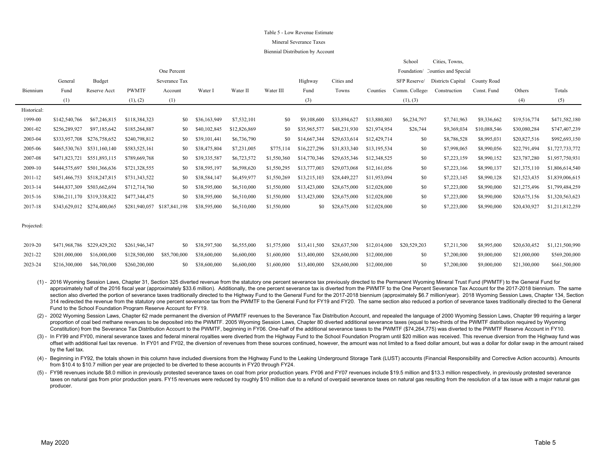#### Table 5 - Low Revenue Estimate

#### Mineral Severance Taxes

#### Biennial Distribution by Account

|             |               |                             |               |               |              |              |             |              |              |              | School         | Cities, Towns,                   |              |              |                 |
|-------------|---------------|-----------------------------|---------------|---------------|--------------|--------------|-------------|--------------|--------------|--------------|----------------|----------------------------------|--------------|--------------|-----------------|
|             |               |                             |               | One Percent   |              |              |             |              |              |              |                | Foundation/ Counties and Special |              |              |                 |
|             | General       | Budget                      |               | Severance Tax |              |              |             | Highway      | Cities and   |              | SFP Reserve/   | Districts Capital                | County Road  |              |                 |
| Biennium    | Fund          | Reserve Acct                | <b>PWMTF</b>  | Account       | Water I      | Water II     | Water III   | Fund         | Towns        | Counties     | Comm. Colleges | Construction                     | Const. Fund  | Others       | Totals          |
|             | (1)           |                             | (1), (2)      | (1)           |              |              |             | (3)          |              |              | (1), (3)       |                                  |              | (4)          | (5)             |
| Historical: |               |                             |               |               |              |              |             |              |              |              |                |                                  |              |              |                 |
| 1999-00     | \$142,540,766 | \$67,246,815                | \$118,384,323 | \$0           | \$36,163,949 | \$7,532,101  | \$0         | \$9,108,600  | \$33,894,627 | \$13,880,803 | \$6,234,797    | \$7,741,963                      | \$9,336,662  | \$19,516,774 | \$471,582,180   |
| 2001-02     | \$256,289,927 | \$97,185,642                | \$185,264,887 | \$0           | \$40,102,845 | \$12,826,869 | \$0         | \$35,965,577 | \$48,231,930 | \$21,974,954 | \$26,744       | \$9,369,034                      | \$10,088,546 | \$30,080,284 | \$747,407,239   |
| 2003-04     | \$333,957,708 | \$276,758,652               | \$240,798,812 | \$0           | \$39,101,441 | \$6,736,790  | \$0         | \$14,667,344 | \$29,633,614 | \$12,429,714 | \$0            | \$8,786,528                      | \$8,995,031  | \$20,827,516 | \$992,693,150   |
| 2005-06     | \$465,530,763 | \$531,160,140               | \$583,525,161 | \$0           | \$38,475,804 | \$7,231,005  | \$775,114   | \$16,227,296 | \$31,833,340 | \$13,195,534 | \$0            | \$7,998,065                      | \$8,990,056  | \$22,791,494 | \$1,727,733,772 |
| 2007-08     | \$471,823,721 | \$551,893,115               | \$789,669,768 | \$0           | \$39,335,587 | \$6,723,572  | \$1,550,360 | \$14,770,346 | \$29,635,346 | \$12,348,525 | \$0            | \$7,223,159                      | \$8,990,152  | \$23,787,280 | \$1,957,750,931 |
| 2009-10     | \$444,575,697 | \$501,366,636               | \$721,328,555 | \$0           | \$38,595,197 | \$6,598,620  | \$1,550,295 | \$13,777,003 | \$29,073,068 | \$12,161,056 | \$0            | \$7,223,166                      | \$8,990,137  | \$21,375,110 | \$1,806,614,540 |
| 2011-12     |               | \$451,466,753 \$518,247,815 | \$731,343,522 | \$0           | \$38,584,147 | \$6,459,977  | \$1,550,269 | \$13,215,103 | \$28,449,227 | \$11,953,094 | \$0            | \$7,223,145                      | \$8,990,128  | \$21,523,435 | \$1,839,006,615 |
| 2013-14     | \$444,837,309 | \$503,662,694               | \$712,714,760 | \$0           | \$38,595,000 | \$6,510,000  | \$1,550,000 | \$13,423,000 | \$28,675,000 | \$12,028,000 | \$0            | \$7,223,000                      | \$8,990,000  | \$21,275,496 | \$1,799,484,259 |
| 2015-16     |               | \$386,211,170 \$319,338,822 | \$477,344,475 | \$0           | \$38,595,000 | \$6,510,000  | \$1,550,000 | \$13,423,000 | \$28,675,000 | \$12,028,000 | \$0            | \$7,223,000                      | \$8,990,000  | \$20,675,156 | \$1,320,563,623 |
| 2017-18     |               | \$343,629,012 \$274,400,065 | \$281,940,057 | \$187,841,198 | \$38,595,000 | \$6,510,000  | \$1,550,000 | \$0          | \$28,675,000 | \$12,028,000 | \$0            | \$7,223,000                      | \$8,990,000  | \$20,430,927 | \$1,211,812,259 |
|             |               |                             |               |               |              |              |             |              |              |              |                |                                  |              |              |                 |

Projected:

|         | 2019-20 \$471,968,786 \$229,429,202 \$261,946,347 |                                                                                                                                             | \$0 \$38,597,500 \$6,555,000 \$1,575,000 \$13,411,500 \$28,637,500 \$12,014,000 \$20,529,203 |  |  |       |  |                                      | \$7,211,500 \$8,995,000 \$20,630,452 \$1,121,500,990   |
|---------|---------------------------------------------------|---------------------------------------------------------------------------------------------------------------------------------------------|----------------------------------------------------------------------------------------------|--|--|-------|--|--------------------------------------|--------------------------------------------------------|
| 2021-22 |                                                   | $$201,000,000$ $$16,000,000$ $$128,500,000$ $$85,700,000$ $$38,600,000$ $$6,600,000$ $$1,600,000$ $$13,400,000$ $$28,600,000$ $$12,000,000$ |                                                                                              |  |  |       |  |                                      | \$0 \$7,200,000 \$9,000,000 \$21,000,000 \$569,200,000 |
| 2023-24 | \$216,300,000 \$46,700,000 \$260,200,000          |                                                                                                                                             | \$0 \$38,600,000 \$6,600,000 \$1,600,000 \$13,400,000 \$28,600,000 \$12,000,000              |  |  | -80 - |  | \$7,200,000 \$9,000,000 \$21,300,000 | \$661,500,000                                          |

(1) - 2016 Wyoming Session Laws, Chapter 31, Section 325 diverted revenue from the statutory one percent severance tax previously directed to the Permanent Wyoming Mineral Trust Fund (PWMTF) to the General Fund for approximately half of the 2016 fiscal year (approximately \$33.6 million). Additionally, the one percent severance tax is diverted from the PWMTF to the One Percent Severance Tax Account for the 2017-2018 biennium. The same section also diverted the portion of severance taxes traditionally directed to the Highway Fund to the General Fund for the 2017-2018 biennium (approximately \$6.7 million/year). 2018 Wyoming Session Laws, Chapter 134, Sect 314 redirected the revenue from the statutory one percent severance tax from the PWMTF to the General Fund for FY19 and FY20. The same section also reduced a portion of severance taxes traditionally directed to the General Fund to the School Foundation Program Reserve Account for FY19.

(2) - 2002 Wyoming Session Laws, Chapter 62 made permanent the diversion of PWMTF revenues to the Severance Tax Distribution Account, and repealed the language of 2000 Wyoming Session Laws, Chapter 99 requiring a larger proportion of coal bed methane revenues to be deposited into the PWMTF. 2005 Wyoming Session Laws, Chapter 80 diverted additional severance taxes (equal to two-thirds of the PWMTF distribution required by Wyoming Constitution) from the Severance Tax Distribution Account to the PWMTF, beginning in FY06. One-half of the additional severance taxes to the PWMTF (\$74,264,775) was diverted to the PWMTF Reserve Account in FY10.

(3) - In FY99 and FY00, mineral severance taxes and federal mineral royalties were diverted from the Highway Fund to the School Foundation Program until \$20 million was received. This revenue diversion from the Highway fun offset with additional fuel tax revenue. In FY01 and FY02, the diversion of revenues from these sources continued, however, the amount was not limited to a fixed dollar amount, but was a dollar for dollar swap in the amoun by the fuel tax.

(4) - Beginning in FY92, the totals shown in this column have included diversions from the Highway Fund to the Leaking Underground Storage Tank (LUST) accounts (Financial Responsibility and Corrective Action accounts). Amo from \$10.4 to \$10.7 million per year are projected to be diverted to these accounts in FY20 through FY24.

(5) - FY98 revenues include \$8.0 million in previously protested severance taxes on coal from prior production years. FY06 and FY07 revenues include \$19.5 million and \$13.3 million respectively, in previously protested sev taxes on natural gas from prior production years. FY15 revenues were reduced by roughly \$10 million due to a refund of overpaid severance taxes on natural gas resulting from the resolution of a tax issue with a major natur producer.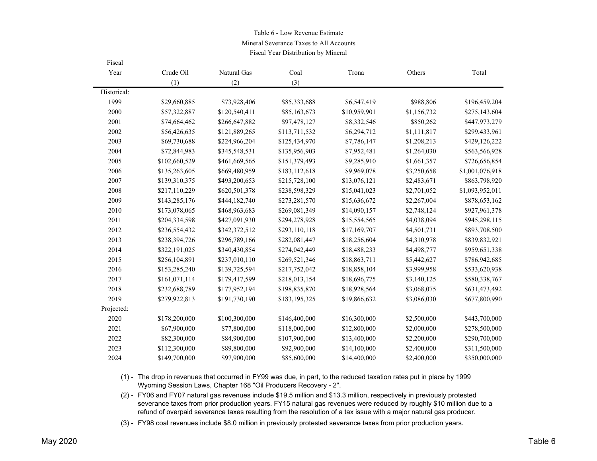#### Table 6 - Low Revenue Estimate

Mineral Severance Taxes to All Accounts

Fiscal Year Distribution by Mineral

| Fiscal      |               |               |               |              |             |                 |
|-------------|---------------|---------------|---------------|--------------|-------------|-----------------|
| Year        | Crude Oil     | Natural Gas   | Coal          | Trona        | Others      | Total           |
|             | (1)           | (2)           | (3)           |              |             |                 |
| Historical: |               |               |               |              |             |                 |
| 1999        | \$29,660,885  | \$73,928,406  | \$85,333,688  | \$6,547,419  | \$988,806   | \$196,459,204   |
| 2000        | \$57,322,887  | \$120,540,411 | \$85,163,673  | \$10,959,901 | \$1,156,732 | \$275,143,604   |
| 2001        | \$74,664,462  | \$266,647,882 | \$97,478,127  | \$8,332,546  | \$850,262   | \$447,973,279   |
| 2002        | \$56,426,635  | \$121,889,265 | \$113,711,532 | \$6,294,712  | \$1,111,817 | \$299,433,961   |
| 2003        | \$69,730,688  | \$224,966,204 | \$125,434,970 | \$7,786,147  | \$1,208,213 | \$429,126,222   |
| 2004        | \$72,844,983  | \$345,548,531 | \$135,956,903 | \$7,952,481  | \$1,264,030 | \$563,566,928   |
| 2005        | \$102,660,529 | \$461,669,565 | \$151,379,493 | \$9,285,910  | \$1,661,357 | \$726,656,854   |
| 2006        | \$135,263,605 | \$669,480,959 | \$183,112,618 | \$9,969,078  | \$3,250,658 | \$1,001,076,918 |
| 2007        | \$139,310,375 | \$493,200,653 | \$215,728,100 | \$13,076,121 | \$2,483,671 | \$863,798,920   |
| 2008        | \$217,110,229 | \$620,501,378 | \$238,598,329 | \$15,041,023 | \$2,701,052 | \$1,093,952,011 |
| 2009        | \$143,285,176 | \$444,182,740 | \$273,281,570 | \$15,636,672 | \$2,267,004 | \$878,653,162   |
| 2010        | \$173,078,065 | \$468,963,683 | \$269,081,349 | \$14,090,157 | \$2,748,124 | \$927,961,378   |
| 2011        | \$204,334,598 | \$427,091,930 | \$294,278,928 | \$15,554,565 | \$4,038,094 | \$945,298,115   |
| 2012        | \$236,554,432 | \$342,372,512 | \$293,110,118 | \$17,169,707 | \$4,501,731 | \$893,708,500   |
| 2013        | \$238,394,726 | \$296,789,166 | \$282,081,447 | \$18,256,604 | \$4,310,978 | \$839,832,921   |
| 2014        | \$322,191,025 | \$340,430,854 | \$274,042,449 | \$18,488,233 | \$4,498,777 | \$959,651,338   |
| 2015        | \$256,104,891 | \$237,010,110 | \$269,521,346 | \$18,863,711 | \$5,442,627 | \$786,942,685   |
| 2016        | \$153,285,240 | \$139,725,594 | \$217,752,042 | \$18,858,104 | \$3,999,958 | \$533,620,938   |
| 2017        | \$161,071,114 | \$179,417,599 | \$218,013,154 | \$18,696,775 | \$3,140,125 | \$580,338,767   |
| 2018        | \$232,688,789 | \$177,952,194 | \$198,835,870 | \$18,928,564 | \$3,068,075 | \$631,473,492   |
| 2019        | \$279,922,813 | \$191,730,190 | \$183,195,325 | \$19,866,632 | \$3,086,030 | \$677,800,990   |
| Projected:  |               |               |               |              |             |                 |
| 2020        | \$178,200,000 | \$100,300,000 | \$146,400,000 | \$16,300,000 | \$2,500,000 | \$443,700,000   |
| 2021        | \$67,900,000  | \$77,800,000  | \$118,000,000 | \$12,800,000 | \$2,000,000 | \$278,500,000   |
| 2022        | \$82,300,000  | \$84,900,000  | \$107,900,000 | \$13,400,000 | \$2,200,000 | \$290,700,000   |
| 2023        | \$112,300,000 | \$89,800,000  | \$92,900,000  | \$14,100,000 | \$2,400,000 | \$311,500,000   |
| 2024        | \$149,700,000 | \$97,900,000  | \$85,600,000  | \$14,400,000 | \$2,400,000 | \$350,000,000   |

(1) - The drop in revenues that occurred in FY99 was due, in part, to the reduced taxation rates put in place by 1999 Wyoming Session Laws, Chapter 168 "Oil Producers Recovery - 2".

(2) - FY06 and FY07 natural gas revenues include \$19.5 million and \$13.3 million, respectively in previously protested severance taxes from prior production years. FY15 natural gas revenues were reduced by roughly \$10 million due to a refund of overpaid severance taxes resulting from the resolution of a tax issue with a major natural gas producer.

(3) - FY98 coal revenues include \$8.0 million in previously protested severance taxes from prior production years.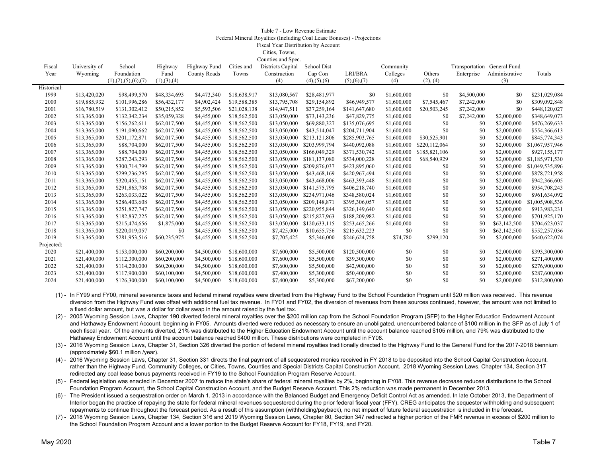#### Table 7 - Low Revenue EstimateFederal Mineral Royalties (Including Coal Lease Bonuses) - Projections Fiscal Year Distribution by Account Cities, Towns,

 $C = \frac{1}{2}$ 

| Fiscal      | University of | School                  | Highway       | Highway Fund | Cities and   | Counties and Spec.<br>Districts Capital | <b>School Dist</b>    |               | Community   |               | Transportation General Fund |                |                 |
|-------------|---------------|-------------------------|---------------|--------------|--------------|-----------------------------------------|-----------------------|---------------|-------------|---------------|-----------------------------|----------------|-----------------|
| Year        | Wyoming       | Foundation              | Fund          | County Roads | Towns        | Construction                            | Cap Con               | LRI/BRA       | Colleges    | Others        | Enterprise                  | Administrative | Totals          |
|             |               | (1), (2), (5), (6), (7) | (1), (3), (4) |              |              | (4)                                     | $(4)$ , $(5)$ , $(6)$ | (5), (6), (7) | (4)         | (2), (4)      |                             | (3)            |                 |
| Historical: |               |                         |               |              |              |                                         |                       |               |             |               |                             |                |                 |
| 1999        | \$13,420,020  | \$98,499,570            | \$48,334,693  | \$4,473,340  | \$18,638,917 | \$13,080,567                            | \$28,481,977          | \$0           | \$1,600,000 | \$0           | \$4,500,000                 | \$0            | \$231,029,084   |
| 2000        | \$19,885,932  | \$101,996,286           | \$56,432,177  | \$4,902,424  | \$19,588,385 | \$13,795,708                            | \$29,154,892          | \$46,949,577  | \$1,600,000 | \$7,545,467   | \$7,242,000                 | \$0            | \$309,092,848   |
| 2001        | \$16,780,519  | \$131,302,412           | \$50,215,852  | \$5,593,506  | \$21,028,138 | \$14,947,511                            | \$37,259,164          | \$141,647,680 | \$1,600,000 | \$20,503,245  | \$7,242,000                 | \$0            | \$448,120,027   |
| 2002        | \$13,365,000  | \$132,342,234           | \$35,059,328  | \$4,455,000  | \$18,562,500 | \$13,050,000                            | \$73,143,236          | \$47,829,775  | \$1,600,000 | \$0           | \$7,242,000                 | \$2,000,000    | \$348,649,073   |
| 2003        | \$13,365,000  | \$156,262,611           | \$62,017,500  | \$4,455,000  | \$18,562,500 | \$13,050,000                            | \$69,880,327          | \$135,076,695 | \$1,600,000 | \$0           | \$0                         | \$2,000,000    | \$476,269,633   |
| 2004        | \$13,365,000  | \$191,090,662           | \$62,017,500  | \$4,455,000  | \$18,562,500 | \$13,050,000                            | \$43,514,047          | \$204,711,904 | \$1,600,000 | \$0           | \$0                         | \$2,000,000    | \$554,366,613   |
| 2005        | \$13,365,000  | \$201,172,871           | \$62,017,500  | \$4,455,000  | \$18,562,500 | \$13,050,000                            | \$213,121,806         | \$285,903,765 | \$1,600,000 | \$30,525,901  | \$0                         | \$2,000,000    | \$845,774,343   |
| 2006        | \$13,365,000  | \$88,704,000            | \$62,017,500  | \$4,455,000  | \$18,562,500 | \$13,050,000                            | \$203,999,794         | \$440,092,088 | \$1,600,000 | \$220,112,064 | \$0                         | \$2,000,000    | \$1,067,957,946 |
| 2007        | \$13,365,000  | \$88,704,000            | \$62,017,500  | \$4,455,000  | \$18,562,500 | \$13,050,000                            | \$166,049,329         | \$371,530,742 | \$1,600,000 | \$185,821,106 | \$0                         | \$2,000,000    | \$927,155,177   |
| 2008        | \$13,365,000  | \$287,243,293           | \$62,017,500  | \$4,455,000  | \$18,562,500 | \$13,050,000                            | \$181,137,080         | \$534,000,228 | \$1,600,000 | \$68,540,929  | \$0                         | \$2,000,000    | \$1,185,971,530 |
| 2009        | \$13,365,000  | \$300,714,799           | \$62,017,500  | \$4,455,000  | \$18,562,500 | \$13,050,000                            | \$209,876,037         | \$423,895,060 | \$1,600,000 | \$0           | \$0                         | \$2,000,000    | \$1,049,535,896 |
| 2010        | \$13,365,000  | \$299,236,295           | \$62,017,500  | \$4,455,000  | \$18,562,500 | \$13,050,000                            | \$43,468,169          | \$420,967,494 | \$1,600,000 | \$0           | \$0                         | \$2,000,000    | \$878,721,958   |
| 2011        | \$13,365,000  | \$320,455,151           | \$62,017,500  | \$4,455,000  | \$18,562,500 | \$13,050,000                            | \$43,468,006          | \$463,393,448 | \$1,600,000 | \$0           | \$0                         | \$2,000,000    | \$942,366,605   |
| 2012        | \$13,365,000  | \$291,863,708           | \$62,017,500  | \$4,455,000  | \$18,562,500 | \$13,050,000                            | \$141,575,795         | \$406,218,740 | \$1,600,000 | \$0           | \$0                         | \$2,000,000    | \$954,708,243   |
| 2013        | \$13,365,000  | \$263,033,022           | \$62,017,500  | \$4,455,000  | \$18,562,500 | \$13,050,000                            | \$234,971,046         | \$348,580,024 | \$1,600,000 | \$0           | \$0                         | \$2,000,000    | \$961,634,092   |
| 2014        | \$13,365,000  | \$286,403,608           | \$62,017,500  | \$4,455,000  | \$18,562,500 | \$13,050,000                            | \$209,148,871         | \$395,306,057 | \$1,600,000 | \$0           | \$0                         | \$2,000,000    | \$1,005,908,536 |
| 2015        | \$13,365,000  | \$251,827,747           | \$62,017,500  | \$4,455,000  | \$18,562,500 | \$13,050,000                            | \$220,955,844         | \$326,149,640 | \$1,600,000 | \$0           | \$0                         | \$2,000,000    | \$913,983,231   |
| 2016        | \$13,365,000  | \$182,837,225           | \$62,017,500  | \$4,455,000  | \$18,562,500 | \$13,050,000                            | \$215,827,963         | \$188,209,982 | \$1,600,000 | \$0           | \$0                         | \$2,000,000    | \$701,925,170   |
| 2017        | \$13,365,000  | \$215,474,656           | \$1,875,000   | \$4,455,000  | \$18,562,500 | \$13,050,000                            | \$120,633,115         | \$253,465,266 | \$1,600,000 | \$0           | \$0                         | \$62,142,500   | \$704,623,037   |
| 2018        | \$13,365,000  | \$220,019,057           | \$0           | \$4,455,000  | \$18,562,500 | \$7,425,000                             | \$10,655,756          | \$215,632,223 | \$0         | \$0           | \$0                         | \$62,142,500   | \$552,257,036   |
| 2019        | \$13,365,000  | \$281,953,516           | \$60,235,975  | \$4,455,000  | \$18,562,500 | \$7,705,425                             | \$5,346,000           | \$246,624,758 | \$74,780    | \$299,120     | \$0                         | \$2,000,000    | \$640,622,074   |
| Projected:  |               |                         |               |              |              |                                         |                       |               |             |               |                             |                |                 |
| 2020        | \$21,400,000  | \$153,000,000           | \$60,200,000  | \$4,500,000  | \$18,600,000 | \$7,600,000                             | \$5,500,000           | \$120,500,000 | \$0         | \$0           | \$0                         | \$2,000,000    | \$393,300,000   |
| 2021        | \$21,400,000  | \$112,300,000           | \$60,200,000  | \$4,500,000  | \$18,600,000 | \$7,600,000                             | \$5,500,000           | \$39,300,000  | \$0         | \$0           | \$0                         | \$2,000,000    | \$271,400,000   |
| 2022        | \$21,400,000  | \$114,200,000           | \$60,200,000  | \$4,500,000  | \$18,600,000 | \$7,600,000                             | \$5,500,000           | \$42,900,000  | \$0         | \$0           | \$0                         | \$2,000,000    | \$276,900,000   |
| 2023        | \$21,400,000  | \$117,900,000           | \$60,100,000  | \$4,500,000  | \$18,600,000 | \$7,400,000                             | \$5,300,000           | \$50,400,000  | \$0         | \$0           | \$0                         | \$2,000,000    | \$287,600,000   |
| 2024        | \$21,400,000  | \$126,300,000           | \$60,100,000  | \$4,500,000  | \$18,600,000 | \$7,400,000                             | \$5,300,000           | \$67,200,000  | \$0         | \$0           | \$0                         | \$2,000,000    | \$312,800,000   |

- (1) In FY99 and FY00, mineral severance taxes and federal mineral royalties were diverted from the Highway Fund to the School Foundation Program until \$20 million was received. This revenue diversion from the Highway Fund was offset with additional fuel tax revenue. In FY01 and FY02, the diversion of revenues from these sources continued, however, the amount was not limited to a fixed dollar amount, but was a dollar for dollar swap in the amount raised by the fuel tax.
- (2) 2005 Wyoming Session Laws, Chapter 190 diverted federal mineral royalties over the \$200 million cap from the School Foundation Program (SFP) to the Higher Education Endowment Account and Hathaway Endowment Account, beginning in FY05. Amounts diverted were reduced as necessary to ensure an unobligated, unencumbered balance of \$100 million in the SFP as of July 1 of each fiscal year. Of the amounts diverted, 21% was distributed to the Higher Education Endowment Account until the account balance reached \$105 million, and 79% was distributed to the Hathaway Endowment Account until the account balance reached \$400 million. These distributions were completed in FY08.
- (3) 2016 Wyoming Session Laws, Chapter 31, Section 326 diverted the portion of federal mineral royalties traditionally directed to the Highway Fund to the General Fund for the 2017-2018 biennium (approximately \$60.1 million /year).
- (4) 2016 Wyoming Session Laws, Chapter 31, Section 331 directs the final payment of all sequestered monies received in FY 2018 to be deposited into the School Capital Construction Account, rather than the Highway Fund, Community Colleges, or Cities, Towns, Counties and Special Districts Capital Construction Account. 2018 Wyoming Session Laws, Chapter 134, Section 317 redirected any coal lease bonus payments received in FY19 to the School Foundation Program Reserve Account.
- (5) Federal legislation was enacted in December 2007 to reduce the state's share of federal mineral royalties by 2%, beginning in FY08. This revenue decrease reduces distributions to the School Foundation Program Account, the School Capital Construction Account, and the Budget Reserve Account. This 2% reduction was made permanent in December 2013.
- (6) The President issued a sequestration order on March 1, 2013 in accordance with the Balanced Budget and Emergency Deficit Control Act as amended. In late October 2013, the Department of Interior began the practice of repaying the state for federal mineral revenues sequestered during the prior federal fiscal year (FFY). CREG anticipates the sequester withholding and subsequent repayments to continue throughout the forecast period. As a result of this assumption (withholding/payback), no net impact of future federal sequestration is included in the forecast.
- (7) 2018 Wyoming Session Laws, Chapter 134, Section 316 and 2019 Wyoming Session Laws, Chapter 80, Section 347 redirected a higher portion of the FMR revenue in excess of \$200 million to the School Foundation Program Account and a lower portion to the Budget Reserve Account for FY18, FY19, and FY20.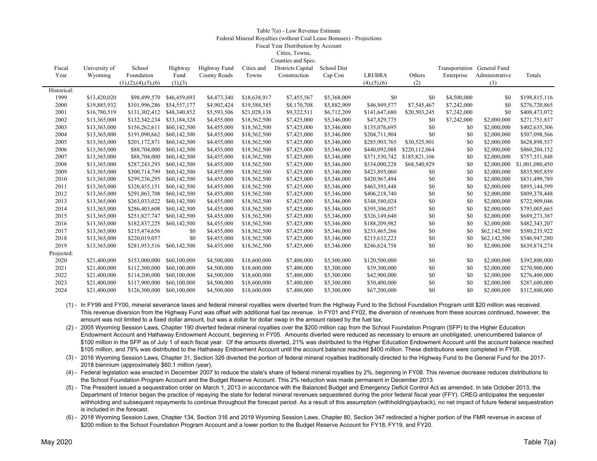### Table 7(a) - Low Revenue Estimate Federal Mineral Royalties (without Coal Lease Bonuses) - Projections Fiscal Year Distribution by Account Cities, Towns,

|             |               |                         |              |                     |              | Counties and Spec. |             |                       |               |                             |                |                 |
|-------------|---------------|-------------------------|--------------|---------------------|--------------|--------------------|-------------|-----------------------|---------------|-----------------------------|----------------|-----------------|
| Fiscal      | University of | School                  | Highway      | Highway Fund        | Cities and   | Districts Capital  | School Dist |                       |               | Transportation General Fund |                |                 |
| Year        | Wyoming       | Foundation              | Fund         | <b>County Roads</b> | Towns        | Construction       | Cap Con     | LRI/BRA               | Others        | Enterprise                  | Administrative | Totals          |
|             |               | (1), (2), (4), (5), (6) | (1), (3)     |                     |              |                    |             | $(4)$ , $(5)$ , $(6)$ | (2)           |                             | (3)            |                 |
| Historical: |               |                         |              |                     |              |                    |             |                       |               |                             |                |                 |
| 1999        | \$13,420,020  | \$98,499,570            | \$46,459,693 | \$4,473,340         | \$18,638,917 | \$7,455,567        | \$5,368,009 | \$0                   | \$0           | \$4,500,000                 | \$0            | \$198,815,116   |
| 2000        | \$19,885,932  | \$101,996,286           | \$54,557,177 | \$4,902,424         | \$19,588,385 | \$8,170,708        | \$5,882,909 | \$46,949,577          | \$7,545,467   | \$7,242,000                 | \$0            | \$276,720,865   |
| 2001        | \$16,780,519  | \$131,302,412           | \$48,340,852 | \$5,593,506         | \$21,028,138 | \$9,322,511        | \$6,712,209 | \$141,647,680         | \$20,503,245  | \$7,242,000                 | \$0            | \$408,473,072   |
| 2002        | \$13,365,000  | \$132,342,234           | \$33,184,328 | \$4,455,000         | \$18,562,500 | \$7,425,000        | \$5,346,000 | \$47,829,775          | \$0           | \$7,242,000                 | \$2,000,000    | \$271,751,837   |
| 2003        | \$13,365,000  | \$156,262,611           | \$60,142,500 | \$4,455,000         | \$18,562,500 | \$7,425,000        | \$5,346,000 | \$135,076,695         | \$0           | \$0                         | \$2,000,000    | \$402,635,306   |
| 2004        | \$13,365,000  | \$191,090,662           | \$60,142,500 | \$4,455,000         | \$18,562,500 | \$7,425,000        | \$5,346,000 | \$204,711,904         | \$0           | \$0                         | \$2,000,000    | \$507,098,566   |
| 2005        | \$13,365,000  | \$201,172,871           | \$60,142,500 | \$4,455,000         | \$18,562,500 | \$7,425,000        | \$5,346,000 | \$285,903,765         | \$30,525,901  | \$0                         | \$2,000,000    | \$628,898,537   |
| 2006        | \$13,365,000  | \$88,704,000            | \$60,142,500 | \$4,455,000         | \$18,562,500 | \$7,425,000        | \$5,346,000 | \$440,092,088         | \$220,112,064 | \$0                         | \$2,000,000    | \$860,204,152   |
| 2007        | \$13,365,000  | \$88,704,000            | \$60,142,500 | \$4,455,000         | \$18,562,500 | \$7,425,000        | \$5,346,000 | \$371,530,742         | \$185,821,106 | \$0                         | \$2,000,000    | \$757,351,848   |
| 2008        | \$13,365,000  | \$287,243,293           | \$60,142,500 | \$4,455,000         | \$18,562,500 | \$7,425,000        | \$5,346,000 | \$534,000,228         | \$68,540,929  | \$0                         | \$2,000,000    | \$1,001,080,450 |
| 2009        | \$13,365,000  | \$300,714,799           | \$60,142,500 | \$4,455,000         | \$18,562,500 | \$7,425,000        | \$5,346,000 | \$423,895,060         | \$0           | \$0                         | \$2,000,000    | \$835,905,859   |
| 2010        | \$13,365,000  | \$299,236,295           | \$60,142,500 | \$4,455,000         | \$18,562,500 | \$7,425,000        | \$5,346,000 | \$420,967,494         | \$0           | \$0                         | \$2,000,000    | \$831,499,789   |
| 2011        | \$13,365,000  | \$320,455,151           | \$60,142,500 | \$4,455,000         | \$18,562,500 | \$7,425,000        | \$5,346,000 | \$463,393,448         | \$0           | \$0                         | \$2,000,000    | \$895,144,599   |
| 2012        | \$13,365,000  | \$291,863,708           | \$60,142,500 | \$4,455,000         | \$18,562,500 | \$7,425,000        | \$5,346,000 | \$406,218,740         | \$0           | \$0                         | \$2,000,000    | \$809,378,448   |
| 2013        | \$13,365,000  | \$263,033,022           | \$60,142,500 | \$4,455,000         | \$18,562,500 | \$7,425,000        | \$5,346,000 | \$348,580,024         | \$0           | \$0                         | \$2,000,000    | \$722,909,046   |
| 2014        | \$13,365,000  | \$286,403,608           | \$60,142,500 | \$4,455,000         | \$18,562,500 | \$7,425,000        | \$5,346,000 | \$395,306,057         | \$0           | \$0                         | \$2,000,000    | \$793,005,665   |
| 2015        | \$13,365,000  | \$251,827,747           | \$60,142,500 | \$4,455,000         | \$18,562,500 | \$7,425,000        | \$5,346,000 | \$326,149,640         | \$0           | \$0                         | \$2,000,000    | \$689,273,387   |
| 2016        | \$13,365,000  | \$182,837,225           | \$60,142,500 | \$4,455,000         | \$18,562,500 | \$7,425,000        | \$5,346,000 | \$188,209,982         | \$0           | \$0                         | \$2,000,000    | \$482,343,207   |
| 2017        | \$13,365,000  | \$215,474,656           | \$0          | \$4,455,000         | \$18,562,500 | \$7,425,000        | \$5,346,000 | \$253,465,266         | \$0           | \$0                         | \$62,142,500   | \$580,235,922   |
| 2018        | \$13,365,000  | \$220,019,057           | \$0          | \$4,455,000         | \$18,562,500 | \$7,425,000        | \$5,346,000 | \$215,632,223         | \$0           | \$0                         | \$62,142,500   | \$546,947,280   |
| 2019        | \$13,365,000  | \$281,953,516           | \$60,142,500 | \$4,455,000         | \$18,562,500 | \$7,425,000        | \$5,346,000 | \$246,624,758         | \$0           | \$0                         | \$2,000,000    | \$639,874,274   |
| Projected:  |               |                         |              |                     |              |                    |             |                       |               |                             |                |                 |
| 2020        | \$21,400,000  | \$153,000,000           | \$60,100,000 | \$4,500,000         | \$18,600,000 | \$7,400,000        | \$5,300,000 | \$120,500,000         | \$0           | \$0                         | \$2,000,000    | \$392,800,000   |
| 2021        | \$21,400,000  | \$112,300,000           | \$60,100,000 | \$4,500,000         | \$18,600,000 | \$7,400,000        | \$5,300,000 | \$39,300,000          | \$0           | \$0                         | \$2,000,000    | \$270,900,000   |
| 2022        | \$21,400,000  | \$114,200,000           | \$60,100,000 | \$4,500,000         | \$18,600,000 | \$7,400,000        | \$5,300,000 | \$42,900,000          | \$0           | \$0                         | \$2,000,000    | \$276,400,000   |
| 2023        | \$21,400,000  | \$117,900,000           | \$60,100,000 | \$4,500,000         | \$18,600,000 | \$7,400,000        | \$5,300,000 | \$50,400,000          | \$0           | \$0                         | \$2,000,000    | \$287,600,000   |
| 2024        | \$21,400,000  | \$126,300,000           | \$60,100,000 | \$4,500,000         | \$18,600,000 | \$7,400,000        | \$5,300,000 | \$67,200,000          | \$0           | \$0                         | \$2,000,000    | \$312,800,000   |
|             |               |                         |              |                     |              |                    |             |                       |               |                             |                |                 |

(1) - In FY99 and FY00, mineral severance taxes and federal mineral royalties were diverted from the Highway Fund to the School Foundation Program until \$20 million was received. This revenue diversion from the Highway Fund was offset with additional fuel tax revenue. In FY01 and FY02, the diversion of revenues from these sources continued, however, the amount was not limited to a fixed dollar amount, but was a dollar for dollar swap in the amount raised by the fuel tax.

(2) - 2005 Wyoming Session Laws, Chapter 190 diverted federal mineral royalties over the \$200 million cap from the School Foundation Program (SFP) to the Higher Education Endowment Account and Hathaway Endowment Account, beginning in FY05. Amounts diverted were reduced as necessary to ensure an unobligated, unencumbered balance of \$100 million in the SFP as of July 1 of each fiscal year. Of the amounts diverted, 21% was distributed to the Higher Education Endowment Account until the account balance reached \$105 million, and 79% was distributed to the Hathaway Endowment Account until the account balance reached \$400 million. These distributions were completed in FY08.

(3) - 2016 Wyoming Session Laws, Chapter 31, Section 326 diverted the portion of federal mineral royalties traditionally directed to the Highway Fund to the General Fund for the 2017- 2018 biennium (approximately \$60.1 million /year).

(4) - Federal legislation was enacted in December 2007 to reduce the state's share of federal mineral royalties by 2%, beginning in FY08. This revenue decrease reduces distributions to the School Foundation Program Account and the Budget Reserve Account. This 2% reduction was made permanent in December 2013.

(5) - The President issued a sequestration order on March 1, 2013 in accordance with the Balanced Budget and Emergency Deficit Control Act as amended. In late October 2013, the Department of Interior began the practice of repaying the state for federal mineral revenues sequestered during the prior federal fiscal year (FFY). CREG anticipates the sequester withholding and subsequent repayments to continue throughout the forecast period. As a result of this assumption (withholding/payback), no net impact of future federal sequestration is included in the forecast.

(6) - 2018 Wyoming Session Laws, Chapter 134, Section 316 and 2019 Wyoming Session Laws, Chapter 80, Section 347 redirected a higher portion of the FMR revenue in excess of \$200 million to the School Foundation Program Account and a lower portion to the Budget Reserve Account for FY18, FY19, and FY20.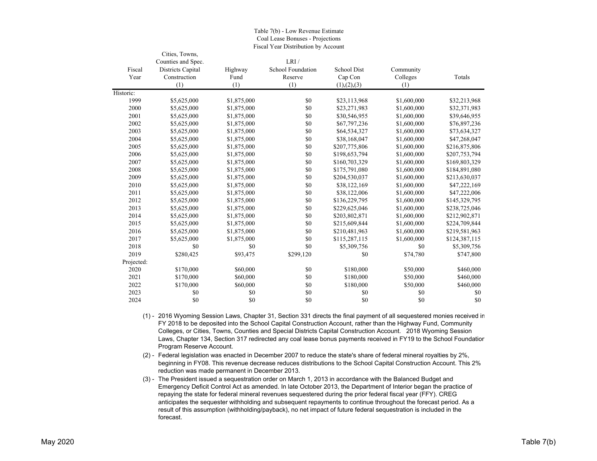|            | Cities, Towns,     |             |                   |                    |             |               |
|------------|--------------------|-------------|-------------------|--------------------|-------------|---------------|
|            | Counties and Spec. |             | LRI/              |                    |             |               |
| Fiscal     | Districts Capital  | Highway     | School Foundation | <b>School Dist</b> | Community   |               |
| Year       | Construction       | Fund        | Reserve           | Cap Con            | Colleges    | Totals        |
|            | (1)                | (1)         | (1)               | (1), (2), (3)      | (1)         |               |
| Historic:  |                    |             |                   |                    |             |               |
| 1999       | \$5,625,000        | \$1,875,000 | \$0               | \$23,113,968       | \$1,600,000 | \$32,213,968  |
| 2000       | \$5,625,000        | \$1,875,000 | \$0               | \$23,271,983       | \$1,600,000 | \$32,371,983  |
| 2001       | \$5,625,000        | \$1,875,000 | \$0               | \$30,546,955       | \$1,600,000 | \$39,646,955  |
| 2002       | \$5,625,000        | \$1,875,000 | \$0               | \$67,797,236       | \$1,600,000 | \$76,897,236  |
| 2003       | \$5,625,000        | \$1,875,000 | \$0               | \$64,534,327       | \$1,600,000 | \$73,634,327  |
| 2004       | \$5,625,000        | \$1,875,000 | \$0               | \$38,168,047       | \$1,600,000 | \$47,268,047  |
| 2005       | \$5,625,000        | \$1,875,000 | \$0               | \$207,775,806      | \$1,600,000 | \$216,875,806 |
| 2006       | \$5,625,000        | \$1,875,000 | \$0               | \$198,653,794      | \$1,600,000 | \$207,753,794 |
| 2007       | \$5,625,000        | \$1,875,000 | \$0               | \$160,703,329      | \$1,600,000 | \$169,803,329 |
| 2008       | \$5,625,000        | \$1,875,000 | \$0               | \$175,791,080      | \$1,600,000 | \$184,891,080 |
| 2009       | \$5,625,000        | \$1,875,000 | \$0               | \$204,530,037      | \$1,600,000 | \$213,630,037 |
| 2010       | \$5,625,000        | \$1,875,000 | \$0               | \$38,122,169       | \$1,600,000 | \$47,222,169  |
| 2011       | \$5,625,000        | \$1,875,000 | \$0               | \$38,122,006       | \$1,600,000 | \$47,222,006  |
| 2012       | \$5,625,000        | \$1,875,000 | \$0               | \$136,229,795      | \$1,600,000 | \$145,329,795 |
| 2013       | \$5,625,000        | \$1,875,000 | \$0               | \$229,625,046      | \$1,600,000 | \$238,725,046 |
| 2014       | \$5,625,000        | \$1,875,000 | \$0               | \$203,802,871      | \$1,600,000 | \$212,902,871 |
| 2015       | \$5,625,000        | \$1,875,000 | \$0               | \$215,609,844      | \$1,600,000 | \$224,709,844 |
| 2016       | \$5,625,000        | \$1,875,000 | \$0               | \$210,481,963      | \$1,600,000 | \$219,581,963 |
| 2017       | \$5,625,000        | \$1,875,000 | \$0               | \$115,287,115      | \$1,600,000 | \$124,387,115 |
| 2018       | \$0                | \$0         | \$0               | \$5,309,756        | \$0         | \$5,309,756   |
| 2019       | \$280,425          | \$93,475    | \$299,120         | \$0                | \$74,780    | \$747,800     |
| Projected: |                    |             |                   |                    |             |               |
| 2020       | \$170,000          | \$60,000    | \$0               | \$180,000          | \$50,000    | \$460,000     |
| 2021       | \$170,000          | \$60,000    | \$0               | \$180,000          | \$50,000    | \$460,000     |
| 2022       | \$170,000          | \$60,000    | \$0               | \$180,000          | \$50,000    | \$460,000     |
| 2023       | \$0                | \$0         | \$0               | \$0                | \$0         | \$0           |
| 2024       | \$0                | \$0         | \$0               | \$0                | \$0         | \$0           |

Table 7(b) - Low Revenue Estimate Coal Lease Bonuses - Projections Fiscal Year Distribution by Account

(1) - 2016 Wyoming Session Laws, Chapter 31, Section 331 directs the final payment of all sequestered monies received in FY 2018 to be deposited into the School Capital Construction Account, rather than the Highway Fund, Community Colleges, or Cities, Towns, Counties and Special Districts Capital Construction Account. 2018 Wyoming Session Laws, Chapter 134, Section 317 redirected any coal lease bonus payments received in FY19 to the School Foundation Program Reserve Account.

(2) - Federal legislation was enacted in December 2007 to reduce the state's share of federal mineral royalties by 2%, beginning in FY08. This revenue decrease reduces distributions to the School Capital Construction Account. This 2% reduction was made permanent in December 2013.

(3) - The President issued a sequestration order on March 1, 2013 in accordance with the Balanced Budget and Emergency Deficit Control Act as amended. In late October 2013, the Department of Interior began the practice of repaying the state for federal mineral revenues sequestered during the prior federal fiscal year (FFY). CREG anticipates the sequester withholding and subsequent repayments to continue throughout the forecast period. As a result of this assumption (withholding/payback), no net impact of future federal sequestration is included in the forecast.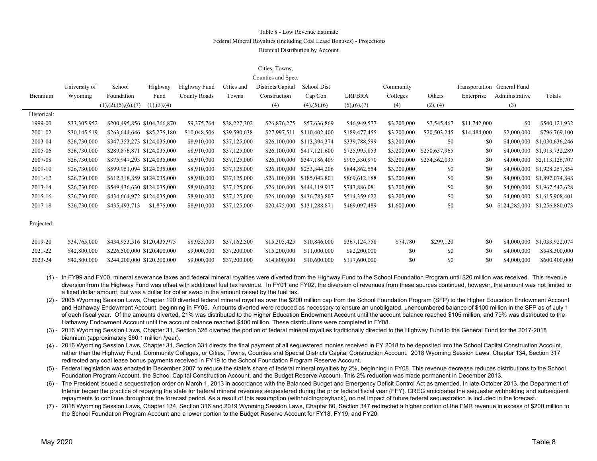### Table 8 - Low Revenue EstimateFederal Mineral Royalties (Including Coal Lease Bonuses) - Projections Biennial Distribution by Account

### Cities, Towns,

|             |               |                             |               |              |              | Counties and Spec. |                       |               |             |               |              |                             |                 |
|-------------|---------------|-----------------------------|---------------|--------------|--------------|--------------------|-----------------------|---------------|-------------|---------------|--------------|-----------------------------|-----------------|
|             | University of | School                      | Highway       | Highway Fund | Cities and   | Districts Capital  | School Dist           |               | Community   |               |              | Transportation General Fund |                 |
| Biennium    | Wyoming       | Foundation                  | Fund          | County Roads | Towns        | Construction       | Cap Con               | LRI/BRA       | Colleges    | Others        | Enterprise   | Administrative              | Totals          |
|             |               | (1), (2), (5), (6), (7)     | (1), (3), (4) |              |              | (4)                | $(4)$ , $(5)$ , $(6)$ | (5),(6),(7)   | (4)         | (2), (4)      |              | (3)                         |                 |
| Historical: |               |                             |               |              |              |                    |                       |               |             |               |              |                             |                 |
| 1999-00     | \$33,305,952  | \$200,495,856 \$104,766,870 |               | \$9,375,764  | \$38,227,302 | \$26,876,275       | \$57,636,869          | \$46,949,577  | \$3,200,000 | \$7,545,467   | \$11,742,000 | \$0                         | \$540,121,932   |
| 2001-02     | \$30,145,519  | \$263,644,646 \$85,275,180  |               | \$10,048,506 | \$39,590,638 | \$27,997,511       | \$110,402,400         | \$189,477,455 | \$3,200,000 | \$20,503,245  | \$14,484,000 | \$2,000,000                 | \$796,769,100   |
| 2003-04     | \$26,730,000  | \$347,353,273 \$124,035,000 |               | \$8,910,000  | \$37,125,000 | \$26,100,000       | \$113,394,374         | \$339,788,599 | \$3,200,000 | \$0           | \$0          | \$4,000,000                 | \$1,030,636,246 |
| 2005-06     | \$26,730,000  | \$289,876,871 \$124,035,000 |               | \$8,910,000  | \$37,125,000 | \$26,100,000       | \$417,121,600         | \$725,995,853 | \$3,200,000 | \$250,637,965 | SO.          | \$4,000,000                 | \$1,913,732,289 |
| 2007-08     | \$26,730,000  | \$375,947,293 \$124,035,000 |               | \$8,910,000  | \$37,125,000 | \$26,100,000       | \$347,186,409         | \$905,530,970 | \$3,200,000 | \$254,362,035 | \$0          | \$4,000,000                 | \$2,113,126,707 |
| 2009-10     | \$26,730,000  | \$599,951,094 \$124,035,000 |               | \$8,910,000  | \$37,125,000 | \$26,100,000       | \$253,344,206         | \$844,862,554 | \$3,200,000 | \$0           | \$0          | \$4,000,000                 | \$1,928,257,854 |
| 2011-12     | \$26,730,000  | \$612,318,859 \$124,035,000 |               | \$8,910,000  | \$37,125,000 | \$26,100,000       | \$185,043,801         | \$869,612,188 | \$3,200,000 | \$0           | \$0          | \$4,000,000                 | \$1,897,074,848 |
| 2013-14     | \$26,730,000  | \$549,436,630 \$124,035,000 |               | \$8,910,000  | \$37,125,000 | \$26,100,000       | \$444,119,917         | \$743,886,081 | \$3,200,000 | \$0           | \$0          | \$4,000,000                 | \$1,967,542,628 |
| 2015-16     | \$26,730,000  | \$434,664,972 \$124,035,000 |               | \$8,910,000  | \$37,125,000 | \$26,100,000       | \$436,783,807         | \$514,359,622 | \$3,200,000 | \$0           | \$0          | \$4,000,000                 | \$1,615,908,401 |
| 2017-18     | \$26,730,000  | \$435,493,713               | \$1,875,000   | \$8,910,000  | \$37,125,000 | \$20,475,000       | \$131,288,871         | \$469,097,489 | \$1,600,000 | \$0           | \$0          | \$124,285,000               | \$1,256,880,073 |
|             |               |                             |               |              |              |                    |                       |               |             |               |              |                             |                 |
| Projected:  |               |                             |               |              |              |                    |                       |               |             |               |              |                             |                 |
|             |               |                             |               |              |              |                    |                       |               |             |               |              |                             |                 |
| 2019-20     | \$34,765,000  | \$434,953,516 \$120,435,975 |               | \$8,955,000  | \$37,162,500 | \$15,305,425       | \$10,846,000          | \$367,124,758 | \$74,780    | \$299,120     | \$0          | \$4,000,000                 | \$1,033,922,074 |
| 2021-22     | \$42,800,000  | \$226,500,000 \$120,400,000 |               | \$9,000,000  | \$37,200,000 | \$15,200,000       | \$11,000,000          | \$82,200,000  | \$0         | \$0           | \$0          | \$4,000,000                 | \$548,300,000   |

(1) - In FY99 and FY00, mineral severance taxes and federal mineral royalties were diverted from the Highway Fund to the School Foundation Program until \$20 million was received. This revenue diversion from the Highway Fund was offset with additional fuel tax revenue. In FY01 and FY02, the diversion of revenues from these sources continued, however, the amount was not limited to a fixed dollar amount, but was a dollar for dollar swap in the amount raised by the fuel tax.

2023-24 \$42,800,000 \$244,200,000 \$120,200,000 \$9,000,000 \$37,200,000 \$14,800,000 \$10,600,000 \$117,600,000 \$0 \$0 \$0 \$4,000,000 \$600,400,000

(2) - 2005 Wyoming Session Laws, Chapter 190 diverted federal mineral royalties over the \$200 million cap from the School Foundation Program (SFP) to the Higher Education Endowment Account and Hathaway Endowment Account, beginning in FY05. Amounts diverted were reduced as necessary to ensure an unobligated, unencumbered balance of \$100 million in the SFP as of July 1 of each fiscal year. Of the amounts diverted, 21% was distributed to the Higher Education Endowment Account until the account balance reached \$105 million, and 79% was distributed to the Hathaway Endowment Account until the account balance reached \$400 million. These distributions were completed in FY08.

(3) - 2016 Wyoming Session Laws, Chapter 31, Section 326 diverted the portion of federal mineral royalties traditionally directed to the Highway Fund to the General Fund for the 2017-2018 biennium (approximately \$60.1 million /year).

(4) - 2016 Wyoming Session Laws, Chapter 31, Section 331 directs the final payment of all sequestered monies received in FY 2018 to be deposited into the School Capital Construction Account, rather than the Highway Fund, Community Colleges, or Cities, Towns, Counties and Special Districts Capital Construction Account. 2018 Wyoming Session Laws, Chapter 134, Section 317 redirected any coal lease bonus payments received in FY19 to the School Foundation Program Reserve Account.

(5) - Federal legislation was enacted in December 2007 to reduce the state's share of federal mineral royalties by 2%, beginning in FY08. This revenue decrease reduces distributions to the School Foundation Program Account, the School Capital Construction Account, and the Budget Reserve Account. This 2% reduction was made permanent in December 2013.

(6) - The President issued a sequestration order on March 1, 2013 in accordance with the Balanced Budget and Emergency Deficit Control Act as amended. In late October 2013, the Department of Interior began the practice of repaying the state for federal mineral revenues sequestered during the prior federal fiscal year (FFY). CREG anticipates the sequester withholding and subsequent repayments to continue throughout the forecast period. As a result of this assumption (withholding/payback), no net impact of future federal sequestration is included in the forecast.

(7) - 2018 Wyoming Session Laws, Chapter 134, Section 316 and 2019 Wyoming Session Laws, Chapter 80, Section 347 redirected a higher portion of the FMR revenue in excess of \$200 million to the School Foundation Program Account and a lower portion to the Budget Reserve Account for FY18, FY19, and FY20.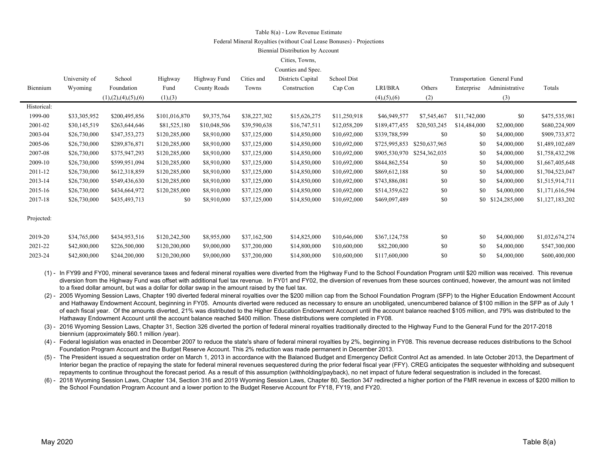#### Table 8(a) - Low Revenue Estimate

#### Federal Mineral Royalties (without Coal Lease Bonuses) - Projections

#### Biennial Distribution by Account

#### Cities, Towns,

| Counties and Spec. |  |
|--------------------|--|
|--------------------|--|

|             | University of | School                  | Highway       | Highway Fund | Cities and   | Districts Capital | School Dist  |                       |               |              | Transportation General Fund |                 |
|-------------|---------------|-------------------------|---------------|--------------|--------------|-------------------|--------------|-----------------------|---------------|--------------|-----------------------------|-----------------|
| Biennium    | Wyoming       | Foundation              | Fund          | County Roads | Towns        | Construction      | Cap Con      | LRI/BRA               | Others        | Enterprise   | Administrative              | Totals          |
|             |               | (1), (2), (4), (5), (6) | (1),(3)       |              |              |                   |              | $(4)$ , $(5)$ , $(6)$ | (2)           |              | (3)                         |                 |
| Historical: |               |                         |               |              |              |                   |              |                       |               |              |                             |                 |
| 1999-00     | \$33,305,952  | \$200,495,856           | \$101,016,870 | \$9,375,764  | \$38,227,302 | \$15,626,275      | \$11,250,918 | \$46,949,577          | \$7,545,467   | \$11,742,000 | \$0                         | \$475,535,981   |
| 2001-02     | \$30,145,519  | \$263,644,646           | \$81,525,180  | \$10,048,506 | \$39,590,638 | \$16,747,511      | \$12,058,209 | \$189,477,455         | \$20,503,245  | \$14,484,000 | \$2,000,000                 | \$680,224,909   |
| 2003-04     | \$26,730,000  | \$347,353,273           | \$120,285,000 | \$8,910,000  | \$37,125,000 | \$14,850,000      | \$10,692,000 | \$339,788,599         | \$0           | \$0          | \$4,000,000                 | \$909,733,872   |
| 2005-06     | \$26,730,000  | \$289,876,871           | \$120,285,000 | \$8,910,000  | \$37,125,000 | \$14,850,000      | \$10,692,000 | \$725,995,853         | \$250,637,965 | \$0          | \$4,000,000                 | \$1,489,102,689 |
| 2007-08     | \$26,730,000  | \$375,947,293           | \$120,285,000 | \$8,910,000  | \$37,125,000 | \$14,850,000      | \$10,692,000 | \$905,530,970         | \$254,362,035 | \$0          | \$4,000,000                 | \$1,758,432,298 |
| 2009-10     | \$26,730,000  | \$599,951,094           | \$120,285,000 | \$8,910,000  | \$37,125,000 | \$14,850,000      | \$10,692,000 | \$844,862,554         | \$0           | \$0          | \$4,000,000                 | \$1,667,405,648 |
| 2011-12     | \$26,730,000  | \$612,318,859           | \$120,285,000 | \$8,910,000  | \$37,125,000 | \$14,850,000      | \$10,692,000 | \$869,612,188         | \$0           | \$0          | \$4,000,000                 | \$1,704,523,047 |
| 2013-14     | \$26,730,000  | \$549,436,630           | \$120,285,000 | \$8,910,000  | \$37,125,000 | \$14,850,000      | \$10,692,000 | \$743,886,081         | \$0           | \$0          | \$4,000,000                 | \$1,515,914,711 |
| 2015-16     | \$26,730,000  | \$434,664,972           | \$120,285,000 | \$8,910,000  | \$37,125,000 | \$14,850,000      | \$10,692,000 | \$514,359,622         | \$0           | \$0          | \$4,000,000                 | \$1,171,616,594 |
| 2017-18     | \$26,730,000  | \$435,493,713           | \$0           | \$8,910,000  | \$37,125,000 | \$14,850,000      | \$10,692,000 | \$469,097,489         | \$0           |              | \$0 \$124,285,000           | \$1,127,183,202 |
|             |               |                         |               |              |              |                   |              |                       |               |              |                             |                 |
| Projected:  |               |                         |               |              |              |                   |              |                       |               |              |                             |                 |
|             |               |                         |               |              |              |                   |              |                       |               |              |                             |                 |
| 2019-20     | \$34,765,000  | \$434,953,516           | \$120,242,500 | \$8,955,000  | \$37,162,500 | \$14,825,000      | \$10,646,000 | \$367,124,758         | \$0           | \$0          | \$4,000,000                 | \$1,032,674,274 |
| 2021-22     | \$42,800,000  | \$226,500,000           | \$120,200,000 | \$9,000,000  | \$37,200,000 | \$14,800,000      | \$10,600,000 | \$82,200,000          | \$0           | \$0          | \$4,000,000                 | \$547,300,000   |
| 2023-24     | \$42,800,000  | \$244,200,000           | \$120,200,000 | \$9,000,000  | \$37,200,000 | \$14,800,000      | \$10,600,000 | \$117,600,000         | \$0           | \$0          | \$4,000,000                 | \$600,400,000   |
|             |               |                         |               |              |              |                   |              |                       |               |              |                             |                 |

(1) - In FY99 and FY00, mineral severance taxes and federal mineral royalties were diverted from the Highway Fund to the School Foundation Program until \$20 million was received. This revenue diversion from the Highway Fund was offset with additional fuel tax revenue. In FY01 and FY02, the diversion of revenues from these sources continued, however, the amount was not limited to a fixed dollar amount, but was a dollar for dollar swap in the amount raised by the fuel tax.

(2) - 2005 Wyoming Session Laws, Chapter 190 diverted federal mineral royalties over the \$200 million cap from the School Foundation Program (SFP) to the Higher Education Endowment Account and Hathaway Endowment Account, beginning in FY05. Amounts diverted were reduced as necessary to ensure an unobligated, unencumbered balance of \$100 million in the SFP as of July 1 of each fiscal year. Of the amounts diverted, 21% was distributed to the Higher Education Endowment Account until the account balance reached \$105 million, and 79% was distributed to the Hathaway Endowment Account until the account balance reached \$400 million. These distributions were completed in FY08.

(3) - 2016 Wyoming Session Laws, Chapter 31, Section 326 diverted the portion of federal mineral royalties traditionally directed to the Highway Fund to the General Fund for the 2017-2018 biennium (approximately \$60.1 million /year).

(4) - Federal legislation was enacted in December 2007 to reduce the state's share of federal mineral royalties by 2%, beginning in FY08. This revenue decrease reduces distributions to the School Foundation Program Account and the Budget Reserve Account. This 2% reduction was made permanent in December 2013.

(5) - The President issued a sequestration order on March 1, 2013 in accordance with the Balanced Budget and Emergency Deficit Control Act as amended. In late October 2013, the Department of Interior began the practice of repaying the state for federal mineral revenues sequestered during the prior federal fiscal year (FFY). CREG anticipates the sequester withholding and subsequent repayments to continue throughout the forecast period. As a result of this assumption (withholding/payback), no net impact of future federal sequestration is included in the forecast.

(6) - 2018 Wyoming Session Laws, Chapter 134, Section 316 and 2019 Wyoming Session Laws, Chapter 80, Section 347 redirected a higher portion of the FMR revenue in excess of \$200 million to the School Foundation Program Account and a lower portion to the Budget Reserve Account for FY18, FY19, and FY20.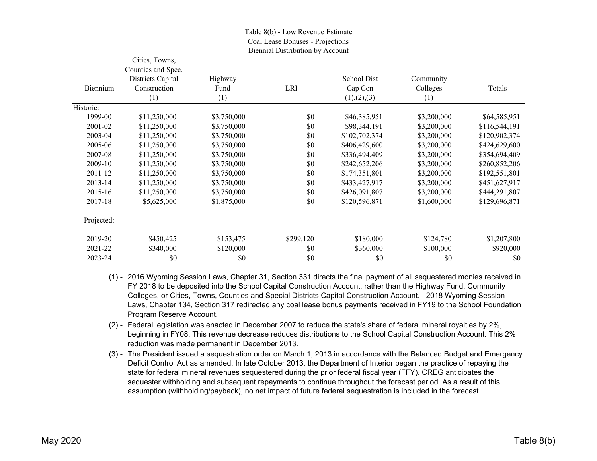### Table 8(b) - Low Revenue Estimate Coal Lease Bonuses - Projections Biennial Distribution by Account

|            | Cities, Towns,     |             |           |               |             |               |
|------------|--------------------|-------------|-----------|---------------|-------------|---------------|
|            | Counties and Spec. |             |           |               |             |               |
|            | Districts Capital  | Highway     |           | School Dist   | Community   |               |
| Biennium   | Construction       | Fund        | LRI       | Cap Con       | Colleges    | Totals        |
|            | (1)                | (1)         |           | (1), (2), (3) | (1)         |               |
| Historic:  |                    |             |           |               |             |               |
| 1999-00    | \$11,250,000       | \$3,750,000 | \$0       | \$46,385,951  | \$3,200,000 | \$64,585,951  |
| 2001-02    | \$11,250,000       | \$3,750,000 | \$0       | \$98,344,191  | \$3,200,000 | \$116,544,191 |
| 2003-04    | \$11,250,000       | \$3,750,000 | \$0       | \$102,702,374 | \$3,200,000 | \$120,902,374 |
| 2005-06    | \$11,250,000       | \$3,750,000 | \$0       | \$406,429,600 | \$3,200,000 | \$424,629,600 |
| 2007-08    | \$11,250,000       | \$3,750,000 | \$0       | \$336,494,409 | \$3,200,000 | \$354,694,409 |
| 2009-10    | \$11,250,000       | \$3,750,000 | \$0       | \$242,652,206 | \$3,200,000 | \$260,852,206 |
| 2011-12    | \$11,250,000       | \$3,750,000 | \$0       | \$174,351,801 | \$3,200,000 | \$192,551,801 |
| 2013-14    | \$11,250,000       | \$3,750,000 | \$0       | \$433,427,917 | \$3,200,000 | \$451,627,917 |
| 2015-16    | \$11,250,000       | \$3,750,000 | \$0       | \$426,091,807 | \$3,200,000 | \$444,291,807 |
| 2017-18    | \$5,625,000        | \$1,875,000 | \$0       | \$120,596,871 | \$1,600,000 | \$129,696,871 |
| Projected: |                    |             |           |               |             |               |
| 2019-20    | \$450,425          | \$153,475   | \$299,120 | \$180,000     | \$124,780   | \$1,207,800   |
| 2021-22    | \$340,000          | \$120,000   | \$0       | \$360,000     | \$100,000   | \$920,000     |
| 2023-24    | \$0                | \$0         | \$0       | \$0           | \$0         | \$0           |

- (1) 2016 Wyoming Session Laws, Chapter 31, Section 331 directs the final payment of all sequestered monies received in FY 2018 to be deposited into the School Capital Construction Account, rather than the Highway Fund, Community Colleges, or Cities, Towns, Counties and Special Districts Capital Construction Account. 2018 Wyoming Session Laws, Chapter 134, Section 317 redirected any coal lease bonus payments received in FY19 to the School Foundation Program Reserve Account.
- (2) Federal legislation was enacted in December 2007 to reduce the state's share of federal mineral royalties by 2%, beginning in FY08. This revenue decrease reduces distributions to the School Capital Construction Account. This 2% reduction was made permanent in December 2013.
- (3) The President issued a sequestration order on March 1, 2013 in accordance with the Balanced Budget and Emergency Deficit Control Act as amended. In late October 2013, the Department of Interior began the practice of repaying the state for federal mineral revenues sequestered during the prior federal fiscal year (FFY). CREG anticipates the sequester withholding and subsequent repayments to continue throughout the forecast period. As a result of this assumption (withholding/payback), no net impact of future federal sequestration is included in the forecast.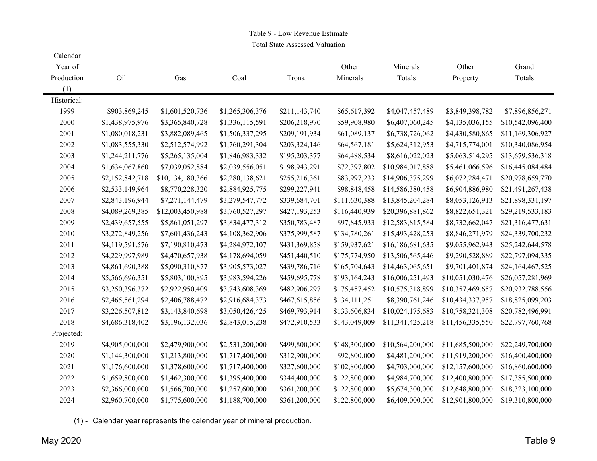# Table 9 - Low Revenue Estimate

Total State Assessed Valuation

| Calendar    |                 |                  |                 |               |               |                  |                  |                  |
|-------------|-----------------|------------------|-----------------|---------------|---------------|------------------|------------------|------------------|
| Year of     |                 |                  |                 |               | Other         | Minerals         | Other            | Grand            |
| Production  | Oil             | Gas              | Coal            | Trona         | Minerals      | Totals           | Property         | Totals           |
| (1)         |                 |                  |                 |               |               |                  |                  |                  |
| Historical: |                 |                  |                 |               |               |                  |                  |                  |
| 1999        | \$903,869,245   | \$1,601,520,736  | \$1,265,306,376 | \$211,143,740 | \$65,617,392  | \$4,047,457,489  | \$3,849,398,782  | \$7,896,856,271  |
| 2000        | \$1,438,975,976 | \$3,365,840,728  | \$1,336,115,591 | \$206,218,970 | \$59,908,980  | \$6,407,060,245  | \$4,135,036,155  | \$10,542,096,400 |
| 2001        | \$1,080,018,231 | \$3,882,089,465  | \$1,506,337,295 | \$209,191,934 | \$61,089,137  | \$6,738,726,062  | \$4,430,580,865  | \$11,169,306,927 |
| 2002        | \$1,083,555,330 | \$2,512,574,992  | \$1,760,291,304 | \$203,324,146 | \$64,567,181  | \$5,624,312,953  | \$4,715,774,001  | \$10,340,086,954 |
| 2003        | \$1,244,211,776 | \$5,265,135,004  | \$1,846,983,332 | \$195,203,377 | \$64,488,534  | \$8,616,022,023  | \$5,063,514,295  | \$13,679,536,318 |
| 2004        | \$1,634,067,860 | \$7,039,052,884  | \$2,039,556,051 | \$198,943,291 | \$72,397,802  | \$10,984,017,888 | \$5,461,066,596  | \$16,445,084,484 |
| 2005        | \$2,152,842,718 | \$10,134,180,366 | \$2,280,138,621 | \$255,216,361 | \$83,997,233  | \$14,906,375,299 | \$6,072,284,471  | \$20,978,659,770 |
| 2006        | \$2,533,149,964 | \$8,770,228,320  | \$2,884,925,775 | \$299,227,941 | \$98,848,458  | \$14,586,380,458 | \$6,904,886,980  | \$21,491,267,438 |
| 2007        | \$2,843,196,944 | \$7,271,144,479  | \$3,279,547,772 | \$339,684,701 | \$111,630,388 | \$13,845,204,284 | \$8,053,126,913  | \$21,898,331,197 |
| 2008        | \$4,089,269,385 | \$12,003,450,988 | \$3,760,527,297 | \$427,193,253 | \$116,440,939 | \$20,396,881,862 | \$8,822,651,321  | \$29,219,533,183 |
| 2009        | \$2,439,657,555 | \$5,861,051,297  | \$3,834,477,312 | \$350,783,487 | \$97,845,933  | \$12,583,815,584 | \$8,732,662,047  | \$21,316,477,631 |
| 2010        | \$3,272,849,256 | \$7,601,436,243  | \$4,108,362,906 | \$375,999,587 | \$134,780,261 | \$15,493,428,253 | \$8,846,271,979  | \$24,339,700,232 |
| 2011        | \$4,119,591,576 | \$7,190,810,473  | \$4,284,972,107 | \$431,369,858 | \$159,937,621 | \$16,186,681,635 | \$9,055,962,943  | \$25,242,644,578 |
| 2012        | \$4,229,997,989 | \$4,470,657,938  | \$4,178,694,059 | \$451,440,510 | \$175,774,950 | \$13,506,565,446 | \$9,290,528,889  | \$22,797,094,335 |
| 2013        | \$4,861,690,388 | \$5,090,310,877  | \$3,905,573,027 | \$439,786,716 | \$165,704,643 | \$14,463,065,651 | \$9,701,401,874  | \$24,164,467,525 |
| 2014        | \$5,566,696,351 | \$5,803,100,895  | \$3,983,594,226 | \$459,695,778 | \$193,164,243 | \$16,006,251,493 | \$10,051,030,476 | \$26,057,281,969 |
| 2015        | \$3,250,396,372 | \$2,922,950,409  | \$3,743,608,369 | \$482,906,297 | \$175,457,452 | \$10,575,318,899 | \$10,357,469,657 | \$20,932,788,556 |
| 2016        | \$2,465,561,294 | \$2,406,788,472  | \$2,916,684,373 | \$467,615,856 | \$134,111,251 | \$8,390,761,246  | \$10,434,337,957 | \$18,825,099,203 |
| 2017        | \$3,226,507,812 | \$3,143,840,698  | \$3,050,426,425 | \$469,793,914 | \$133,606,834 | \$10,024,175,683 | \$10,758,321,308 | \$20,782,496,991 |
| 2018        | \$4,686,318,402 | \$3,196,132,036  | \$2,843,015,238 | \$472,910,533 | \$143,049,009 | \$11,341,425,218 | \$11,456,335,550 | \$22,797,760,768 |
| Projected:  |                 |                  |                 |               |               |                  |                  |                  |
| 2019        | \$4,905,000,000 | \$2,479,900,000  | \$2,531,200,000 | \$499,800,000 | \$148,300,000 | \$10,564,200,000 | \$11,685,500,000 | \$22,249,700,000 |
| 2020        | \$1,144,300,000 | \$1,213,800,000  | \$1,717,400,000 | \$312,900,000 | \$92,800,000  | \$4,481,200,000  | \$11,919,200,000 | \$16,400,400,000 |
| 2021        | \$1,176,600,000 | \$1,378,600,000  | \$1,717,400,000 | \$327,600,000 | \$102,800,000 | \$4,703,000,000  | \$12,157,600,000 | \$16,860,600,000 |
| 2022        | \$1,659,800,000 | \$1,462,300,000  | \$1,395,400,000 | \$344,400,000 | \$122,800,000 | \$4,984,700,000  | \$12,400,800,000 | \$17,385,500,000 |
| 2023        | \$2,366,000,000 | \$1,566,700,000  | \$1,257,600,000 | \$361,200,000 | \$122,800,000 | \$5,674,300,000  | \$12,648,800,000 | \$18,323,100,000 |
| 2024        | \$2,960,700,000 | \$1,775,600,000  | \$1,188,700,000 | \$361,200,000 | \$122,800,000 | \$6,409,000,000  | \$12,901,800,000 | \$19,310,800,000 |

(1) - Calendar year represents the calendar year of mineral production.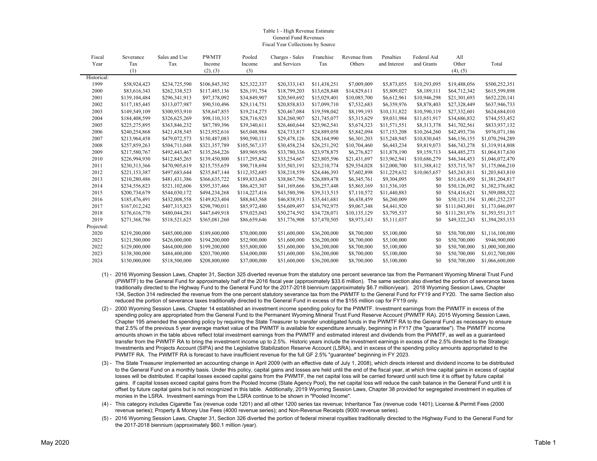#### Table 1 - High Revenue Estimate General Fund RevenuesFiscal Year Collections by Source

| Fiscal      | Severance     | Sales and Use | <b>PWMTF</b>  | Pooled        | Charges - Sales | Franchise    | Revenue from | Penalties    | Federal Aid  | All           |                 |
|-------------|---------------|---------------|---------------|---------------|-----------------|--------------|--------------|--------------|--------------|---------------|-----------------|
| Year        | Tax           | Tax           | Income        | Income        | and Services    | Tax          | Others       | and Interest | and Grants   | Other         | Total           |
|             | (1)           |               | (2), (3)      | (3)           |                 |              |              |              |              | (4), (5)      |                 |
| Historical: |               |               |               |               |                 |              |              |              |              |               |                 |
| 1999        | \$58,924,423  | \$234,725,590 | \$106,845,392 | \$25,322,337  | \$20,333,143    | \$11,438,251 | \$7,009,009  | \$5,873,055  | \$10,293,095 | \$19,488,056  | \$500,252,351   |
| 2000        | \$83,616,343  | \$262,338,523 | \$117,485,136 | \$26,191,754  | \$18,799,203    | \$13,628,848 | \$14,829,611 | \$5,809,027  | \$8,189,111  | \$64,712,342  | \$615,599,898   |
| 2001        | \$139,104,484 | \$296,341,913 | \$97,378,092  | \$34,849,907  | \$20,569,692    | \$15,029,401 | \$10,085,700 | \$6,612,961  | \$10,946,298 | \$21,301,693  | \$652,220,141   |
| 2002        | \$117,185,445 | \$313,077,987 | \$90,510,496  | \$29,114,751  | \$20,858,833    | \$17,099,710 | \$7,532,683  | \$6,359,976  | \$8,878,403  | \$27,328,449  | \$637,946,733   |
| 2003        | \$149,549,109 | \$300,953,910 | \$58,647,855  | \$19,214,275  | \$20,467,084    | \$19,598,042 | \$8,199,193  | \$10.131.822 | \$10,590,119 | \$27,332,601  | \$624,684,010   |
| 2004        | \$184,408,599 | \$326,625,269 | \$98,110,315  | \$28,716,923  | \$24,260,907    | \$21,745,077 | \$5,315,629  | \$9,031,984  | \$11,651,917 | \$34,686,832  | \$744,553,452   |
| 2005        | \$225,275,895 | \$363,846,232 | \$87,789,396  | \$39,340,611  | \$26,460,644    | \$23,962,541 | \$5,674,323  | \$11,571,551 | \$8,313,378  | \$41,702,561  | \$833,937,132   |
| 2006        | \$240,254,868 | \$421,438,545 | \$123,952,616 | \$65,048,984  | \$24,733,817    | \$24,889,058 | \$5,842,094  | \$17,153,208 | \$10,264,260 | \$42,493,736  | \$976,071,186   |
| 2007        | \$213,964,458 | \$479,072,573 | \$150,487,083 | \$90,590,111  | \$29,478,126    | \$28,164,990 | \$6,301,203  | \$15,248,945 | \$10,830,645 | \$46,156,155  | \$1,070,294,289 |
| 2008        | \$257,859,263 | \$504,711,048 | \$321,357,789 | \$105,567,137 | \$30,458,234    | \$26,251,292 | \$10,704,460 | \$6,443,234  | \$9,819,073  | \$46,743,278  | \$1,319,914,808 |
| 2009        | \$217,580,767 | \$492,443,467 | \$135,264,226 | \$89,969,956  | \$33,780,336    | \$23,978,875 | \$6,276,827  | \$11,878,190 | \$9,159,713  | \$44,485,273  | \$1,064,817,630 |
| 2010        | \$226,994,930 | \$412,845,265 | \$139,450,800 | \$117,295,842 | \$33,254,667    | \$23,805,596 | \$21,431,697 | \$13,962,941 | \$10,686,279 | \$46,344,453  | \$1,046,072,470 |
| 2011        | \$230,313,366 | \$470,905,619 | \$215,755,659 | \$90,718,694  | \$35,503,191    | \$23,210,774 | \$29,554,028 | \$12,000,700 | \$11,388,412 | \$55,715,767  | \$1,175,066,210 |
| 2012        | \$221,153,387 | \$497,683,644 | \$235,847,144 | \$112,352,685 | \$38,218,559    | \$24,446,393 | \$7,602,898  | \$11,229,632 | \$10,065,657 | \$45,243,811  | \$1,203,843,810 |
| 2013        | \$210,280,486 | \$481,431,386 | \$366,635,722 | \$189,833,643 | \$38,867,796    | \$26,889,478 | \$6,345,761  | \$9,304,095  | \$0          | \$51,616,450  | \$1,381,204,817 |
| 2014        | \$234,556,823 | \$521,102,606 | \$395,337,466 | \$86,425,307  | \$41,169,666    | \$36,257,448 | \$5,865,169  | \$11,536,105 | \$0          | \$50,126,092  | \$1,382,376,682 |
| 2015        | \$200,734,679 | \$544,030,172 | \$494,234,268 | \$114,227,416 | \$43,580,396    | \$39,313,515 | \$7,110,572  | \$11,440,883 | \$0          | \$54,416,621  | \$1,509,088,522 |
| 2016        | \$185,476,491 | \$432,008,558 | \$149,823,404 | \$88,843,568  | \$46,838,913    | \$35,441,681 | \$6,438,459  | \$6,260,009  | \$0          | \$50,121,154  | \$1,001,252,237 |
| 2017        | \$167,012,242 | \$407,315,823 | \$298,790,011 | \$85,972,480  | \$54,609,497    | \$34,792,975 | \$9,067,348  | \$4,441,920  | \$0          | \$111,043,801 | \$1,173,046,097 |
| 2018        | \$176,616,770 | \$480,044,281 | \$447,649,918 | \$79,025,043  | \$50,274,592    | \$34,728,071 | \$10,135,129 | \$3,795,537  | \$0          | \$111,281,976 | \$1,393,551,317 |
| 2019        | \$271,368,786 | \$518,521,625 | \$365,081,260 | \$86,659,646  | \$51,776,908    | \$37,470,505 | \$8,973,143  | \$5,111,037  | \$0          | \$49,322,243  | \$1,394,285,153 |
| Projected:  |               |               |               |               |                 |              |              |              |              |               |                 |
| 2020        | \$219,200,000 | \$485,000,000 | \$189,600,000 | \$70,000,000  | \$51,600,000    | \$36,200,000 | \$8,700,000  | \$5,100,000  | \$0          | \$50,700,000  | \$1,116,100,000 |
| 2021        | \$121,500,000 | \$426,000,000 | \$194,200,000 | \$52,900,000  | \$51,600,000    | \$36,200,000 | \$8,700,000  | \$5,100,000  | \$0          | \$50,700,000  | \$946,900,000   |
| 2022        | \$129,000,000 | \$464,000,000 | \$199,200,000 | \$55,800,000  | \$51,600,000    | \$36,200,000 | \$8,700,000  | \$5,100,000  | \$0          | \$50,700,000  | \$1,000,300,000 |
| 2023        | \$138,300,000 | \$484,400,000 | \$203,700,000 | \$34,000,000  | \$51,600,000    | \$36,200,000 | \$8,700,000  | \$5,100,000  | \$0          | \$50,700,000  | \$1,012,700,000 |
| 2024        | \$150,000,000 | \$518,500,000 | \$208,800,000 | \$37,000,000  | \$51,600,000    | \$36,200,000 | \$8,700,000  | \$5,100,000  | \$0          | \$50,700,000  | \$1,066,600,000 |
|             |               |               |               |               |                 |              |              |              |              |               |                 |

- (1) 2016 Wyoming Session Laws, Chapter 31, Section 325 diverted revenue from the statutory one percent severance tax from the Permanent Wyoming Mineral Trust Fund (PWMTF) to the General Fund for approximately half of the 2016 fiscal year (approximately \$33.6 million). The same section also diverted the portion of severance taxes traditionally directed to the Highway Fund to the General Fund for the 2017-2018 biennium (approximately \$6.7 million/year). 2018 Wyoming Session Laws, Chapter 134, Section 314 redirected the revenue from the one percent statutory severance tax from the PWMTF to the General Fund for FY19 and FY20. The same Section also reduced the portion of severance taxes traditionally directed to the General Fund in excess of the \$155 million cap for FY19 only.
- (2) 2000 Wyoming Session Laws, Chapter 14 established an investment income spending policy for the PWMTF. Investment earnings from the PWMTF in excess of the spending policy are appropriated from the General Fund to the Permanent Wyoming Mineral Trust Fund Reserve Account (PWMTF RA). 2015 Wyoming Session Laws, Chapter 195 amended the spending policy by requiring the State Treasurer to transfer unobligated funds in the PWMTF RA to the General Fund as necessary to ensure that 2.5% of the previous 5 year average market value of the PWMTF is available for expenditure annually, beginning in FY17 (the "guarantee"). The PWMTF income amounts shown in the table above reflect total investment earnings from the PWMTF and estimated interest and dividends from the PWMTF, as well as a guaranteed transfer from the PWMTF RA to bring the investment income up to 2.5%. Historic years include the investment earnings in excess of the 2.5% directed to the Strategic Investments and Projects Account (SIPA) and the Legislative Stabilization Reserve Account (LSRA), and in excess of the spending policy amounts appropriated to the PWMTF RA. The PWMTF RA is forecast to have insufficient revenue for the full GF 2.5% "guarantee" beginning in FY 2023.
- (3) The State Treasurer implemented an accounting change in April 2009 (with an effective date of July 1, 2008), which directs interest and dividend income to be distributed to the General Fund on a monthly basis. Under this policy, capital gains and losses are held until the end of the fiscal year, at which time capital gains in excess of capital losses will be distributed. If capital losses exceed capital gains from the PWMTF, the net capital loss will be carried forward until such time it is offset by future capital gains. If capital losses exceed capital gains from the Pooled Income (State Agency Pool), the net capital loss will reduce the cash balance in the General Fund until it is offset by future capital gains but is not recognized in this table. Additionally, 2019 Wyoming Session Laws, Chapter 38 provided for segregated investment in equities of monies in the LSRA. Investment earnings from the LSRA continue to be shown in "Pooled Income".
- (4) This category includes Cigarette Tax (revenue code 1201) and all other 1200 series tax revenue; Inheritance Tax (revenue code 1401); License & Permit Fees (2000 revenue series); Property & Money Use Fees (4000 revenue series); and Non-Revenue Receipts (9000 revenue series).
- (5) 2016 Wyoming Session Laws, Chapter 31, Section 326 diverted the portion of federal mineral royalties traditionally directed to the Highway Fund to the General Fund for the 2017-2018 biennium (approximately \$60.1 million /year).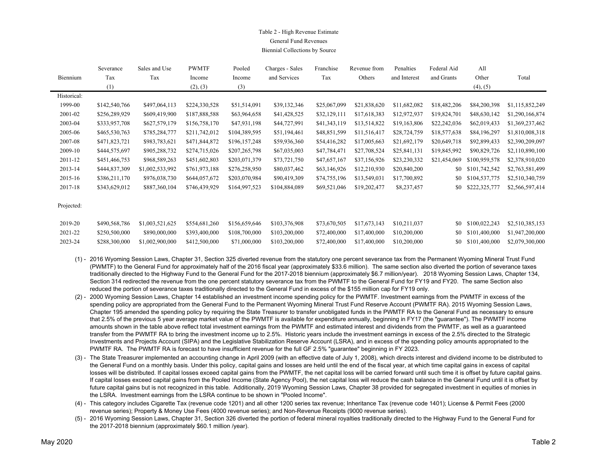### Table 2 - High Revenue Estimate General Fund RevenuesBiennial Collections by Source

|             | Severance     | Sales and Use   | <b>PWMTF</b>  | Pooled        | Charges - Sales | Franchise    | Revenue from | Penalties    | Federal Aid  | All           |                 |
|-------------|---------------|-----------------|---------------|---------------|-----------------|--------------|--------------|--------------|--------------|---------------|-----------------|
| Biennium    | Tax           | Tax             | Income        | Income        | and Services    | Tax          | Others       | and Interest | and Grants   | Other         | Total           |
|             | (1)           |                 | (2), (3)      | (3)           |                 |              |              |              |              | (4), (5)      |                 |
| Historical: |               |                 |               |               |                 |              |              |              |              |               |                 |
| 1999-00     | \$142,540,766 | \$497,064,113   | \$224,330,528 | \$51,514,091  | \$39,132,346    | \$25,067,099 | \$21,838,620 | \$11,682,082 | \$18,482,206 | \$84,200,398  | \$1,115,852,249 |
| 2001-02     | \$256,289,929 | \$609,419,900   | \$187,888,588 | \$63,964,658  | \$41,428,525    | \$32,129,111 | \$17,618,383 | \$12,972,937 | \$19,824,701 | \$48,630,142  | \$1,290,166,874 |
| 2003-04     | \$333,957,708 | \$627,579,179   | \$156,758,170 | \$47,931,198  | \$44,727,991    | \$41,343,119 | \$13,514,822 | \$19,163,806 | \$22,242,036 | \$62,019,433  | \$1,369,237,462 |
| 2005-06     | \$465,530,763 | \$785,284,777   | \$211,742,012 | \$104,389,595 | \$51,194,461    | \$48,851,599 | \$11,516,417 | \$28,724,759 | \$18,577,638 | \$84,196,297  | \$1,810,008,318 |
| 2007-08     | \$471,823,721 | \$983,783,621   | \$471,844,872 | \$196,157,248 | \$59,936,360    | \$54,416,282 | \$17,005,663 | \$21,692,179 | \$20,649,718 | \$92,899,433  | \$2,390,209,097 |
| 2009-10     | \$444,575,697 | \$905,288,732   | \$274,715,026 | \$207,265,798 | \$67,035,003    | \$47,784,471 | \$27,708,524 | \$25,841,131 | \$19,845,992 | \$90,829,726  | \$2,110,890,100 |
| 2011-12     | \$451,466,753 | \$968,589,263   | \$451,602,803 | \$203,071,379 | \$73,721,750    | \$47,657,167 | \$37,156,926 | \$23,230,332 | \$21,454,069 | \$100,959,578 | \$2,378,910,020 |
| 2013-14     | \$444,837,309 | \$1,002,533,992 | \$761,973,188 | \$276,258,950 | \$80,037,462    | \$63,146,926 | \$12,210,930 | \$20,840,200 | \$0          | \$101,742,542 | \$2,763,581,499 |
| 2015-16     | \$386,211,170 | \$976,038,730   | \$644,057,672 | \$203,070,984 | \$90,419,309    | \$74,755,196 | \$13,549,031 | \$17,700,892 | \$0          | \$104,537,775 | \$2,510,340,759 |
| 2017-18     | \$343,629,012 | \$887,360,104   | \$746,439,929 | \$164,997,523 | \$104,884,089   | \$69,521,046 | \$19,202,477 | \$8,237,457  | \$0          | \$222,325,777 | \$2,566,597,414 |
|             |               |                 |               |               |                 |              |              |              |              |               |                 |

Projected:

| 2019-20 | \$490,568,786 | \$1,003,521,625               | \$554.681.260               | \$156,659,646 | \$103,376,908 |                                        | \$73,670,505 \$17,673,143 \$10,211,037 |  | \$0 \$100,022,243 | \$2,510,385,153                   |
|---------|---------------|-------------------------------|-----------------------------|---------------|---------------|----------------------------------------|----------------------------------------|--|-------------------|-----------------------------------|
| 2021-22 | \$250,500,000 |                               | \$890,000,000 \$393,400,000 | \$108,700,000 | \$103,200,000 | \$72,400,000 \$17,400,000 \$10,200,000 |                                        |  |                   | \$0 \$101,400,000 \$1,947,200,000 |
| 2023-24 | \$288,300,000 | \$1,002,900,000 \$412,500,000 |                             | \$71,000,000  | \$103,200,000 |                                        | \$72,400,000 \$17,400,000 \$10,200,000 |  |                   | \$0 \$101,400,000 \$2,079,300,000 |

- (1) 2016 Wyoming Session Laws, Chapter 31, Section 325 diverted revenue from the statutory one percent severance tax from the Permanent Wyoming Mineral Trust Fund (PWMTF) to the General Fund for approximately half of the 2016 fiscal year (approximately \$33.6 million). The same section also diverted the portion of severance taxes traditionally directed to the Highway Fund to the General Fund for the 2017-2018 biennium (approximately \$6.7 million/year). 2018 Wyoming Session Laws, Chapter 134, Section 314 redirected the revenue from the one percent statutory severance tax from the PWMTF to the General Fund for FY19 and FY20. The same Section also reduced the portion of severance taxes traditionally directed to the General Fund in excess of the \$155 million cap for FY19 only.
- (2) 2000 Wyoming Session Laws, Chapter 14 established an investment income spending policy for the PWMTF. Investment earnings from the PWMTF in excess of the spending policy are appropriated from the General Fund to the Permanent Wyoming Mineral Trust Fund Reserve Account (PWMTF RA). 2015 Wyoming Session Laws, Chapter 195 amended the spending policy by requiring the State Treasurer to transfer unobligated funds in the PWMTF RA to the General Fund as necessary to ensure that 2.5% of the previous 5 year average market value of the PWMTF is available for expenditure annually, beginning in FY17 (the "guarantee"). The PWMTF income amounts shown in the table above reflect total investment earnings from the PWMTF and estimated interest and dividends from the PWMTF, as well as a guaranteed transfer from the PWMTF RA to bring the investment income up to 2.5%. Historic years include the investment earnings in excess of the 2.5% directed to the Strategic Investments and Projects Account (SIPA) and the Legislative Stabilization Reserve Account (LSRA), and in excess of the spending policy amounts appropriated to the PWMTF RA. The PWMTF RA is forecast to have insufficient revenue for the full GF 2.5% "guarantee" beginning in FY 2023.
- (3) The State Treasurer implemented an accounting change in April 2009 (with an effective date of July 1, 2008), which directs interest and dividend income to be distributed to the General Fund on a monthly basis. Under this policy, capital gains and losses are held until the end of the fiscal year, at which time capital gains in excess of capital losses will be distributed. If capital losses exceed capital gains from the PWMTF, the net capital loss will be carried forward until such time it is offset by future capital gains. If capital losses exceed capital gains from the Pooled Income (State Agency Pool), the net capital loss will reduce the cash balance in the General Fund until it is offset by future capital gains but is not recognized in this table. Additionally, 2019 Wyoming Session Laws, Chapter 38 provided for segregated investment in equities of monies in the LSRA. Investment earnings from the LSRA continue to be shown in "Pooled Income".
- (4) This category includes Cigarette Tax (revenue code 1201) and all other 1200 series tax revenue; Inheritance Tax (revenue code 1401); License & Permit Fees (2000 revenue series); Property & Money Use Fees (4000 revenue series); and Non-Revenue Receipts (9000 revenue series).
- (5) 2016 Wyoming Session Laws, Chapter 31, Section 326 diverted the portion of federal mineral royalties traditionally directed to the Highway Fund to the General Fund for the 2017-2018 biennium (approximately \$60.1 million /year).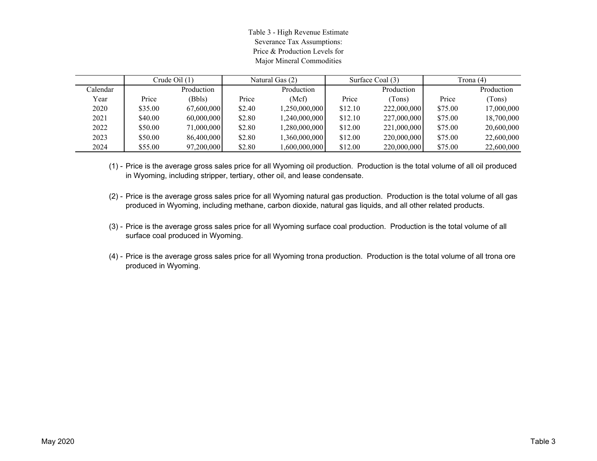Table 3 - High Revenue Estimate Severance Tax Assumptions: Price & Production Levels forMajor Mineral Commodities

|          |         | Crude Oil $(1)$ | Natural Gas (2) |               |         | Surface Coal (3) | Trona (4) |            |
|----------|---------|-----------------|-----------------|---------------|---------|------------------|-----------|------------|
| Calendar |         | Production      |                 | Production    |         | Production       |           | Production |
| Year     | Price   | (Bbls)          | Price           | (Mcf)         | Price   | (Tons)           | Price     | (Tons)     |
| 2020     | \$35.00 | 67,600,000      | \$2.40          | 1,250,000,000 | \$12.10 | 222,000,000      | \$75.00   | 17,000,000 |
| 2021     | \$40.00 | 60,000,000      | \$2.80          | 1,240,000,000 | \$12.10 | 227,000,000      | \$75.00   | 18,700,000 |
| 2022     | \$50.00 | 71,000,000      | \$2.80          | 1,280,000,000 | \$12.00 | 221,000,000      | \$75.00   | 20,600,000 |
| 2023     | \$50.00 | 86,400,000      | \$2.80          | 1,360,000,000 | \$12.00 | 220,000,000      | \$75.00   | 22,600,000 |
| 2024     | \$55.00 | 97,200,000      | \$2.80          | 1.600.000.000 | \$12.00 | 220,000,000      | \$75.00   | 22,600,000 |

(1) - Price is the average gross sales price for all Wyoming oil production. Production is the total volume of all oil produced in Wyoming, including stripper, tertiary, other oil, and lease condensate.

- (2) Price is the average gross sales price for all Wyoming natural gas production. Production is the total volume of all gas produced in Wyoming, including methane, carbon dioxide, natural gas liquids, and all other related products.
- (3) Price is the average gross sales price for all Wyoming surface coal production. Production is the total volume of all surface coal produced in Wyoming.
- (4) Price is the average gross sales price for all Wyoming trona production. Production is the total volume of all trona ore produced in Wyoming.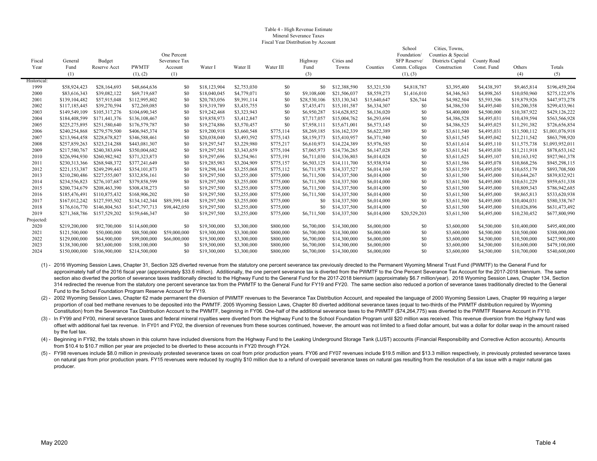#### Table 4 - High Revenue Estimate Mineral Severance TaxesFiscal Year Distribution by Account

|             |                 |                        |               |                              |              |             |                |                 |              |              | School                      | Cities, Towns,                    |                            |              |                 |
|-------------|-----------------|------------------------|---------------|------------------------------|--------------|-------------|----------------|-----------------|--------------|--------------|-----------------------------|-----------------------------------|----------------------------|--------------|-----------------|
| Fiscal      |                 |                        |               | One Percent<br>Severance Tax |              |             |                |                 | Cities and   |              | Foundation/<br>SFP Reserve/ | Counties & Special                |                            |              |                 |
| Year        | General<br>Fund | Budget<br>Reserve Acct | <b>PWMTF</b>  | Account                      | Water I      | Water II    | Water III      | Highway<br>Fund | Towns        | Counties     | Comm. Colleges              | Districts Capital<br>Construction | County Road<br>Const. Fund | Others       | Totals          |
|             | (1)             |                        | (1), (2)      | (1)                          |              |             |                | (3)             |              |              | (1), (3)                    |                                   |                            | (4)          | (5)             |
| Historical: |                 |                        |               |                              |              |             |                |                 |              |              |                             |                                   |                            |              |                 |
| 1999        | \$58,924,423    | \$28,164,693           | \$48,664,636  | \$0                          | \$18,123,904 | \$2,753,030 | S <sub>0</sub> | \$0             | \$12,388,590 | \$5,321,530  | \$4,818,787                 | \$3,395,400                       | \$4,438,397                | \$9,465,814  | \$196,459,204   |
| 2000        | \$83,616,343    | \$39,082,122           | \$69,719,687  | \$0                          | \$18,040,045 | \$4,779,071 | \$0            | \$9,108,600     | \$21,506,037 | \$8,559,273  | \$1,416,010                 | \$4,346,563                       | \$4,898,265                | \$10,050,960 | \$275,122,976   |
| 2001        | \$139,104,482   | \$57,915,048           | \$112,995,802 | \$0                          | \$20,783,056 | \$9,391,114 | S <sub>0</sub> | \$28,530,106    | \$33,130,343 | \$15,640,647 | \$26,744                    | \$4,982,504                       | \$5,593,506                | \$19,879,926 | \$447,973,278   |
| 2002        | \$117,185,445   | \$39,270,594           | \$72,269,085  | \$0                          | \$19,319,789 | \$3,435,755 | S <sub>0</sub> | \$7,435,471     | \$15,101,587 | \$6,334,307  | \$0                         | \$4,386,530                       | \$4,495,040                | \$10,200,358 | \$299,433,961   |
| 2003        | \$149,549,109   | \$105,317,276          | \$104,690,345 | \$0                          | \$19,242,468 | \$3,323,943 | \$0            | \$6,950,287     | \$14,628,852 | \$6,136,020  | \$0                         | \$4,400,000                       | \$4,500,000                | \$10,387,922 | \$429,126,222   |
| 2004        | \$184,408,599   | \$171,441,376          | \$136,108,467 | \$0                          | \$19,858,973 | \$3,412,847 | \$0            | \$7,717,057     | \$15,004,762 | \$6,293,694  | \$0                         | \$4,386,528                       | \$4,495,031                | \$10,439,594 | \$563,566,928   |
| 2005        | \$225,275,895   | \$251,580,640          | \$176,579,787 | \$0                          | \$19,274,886 | \$3,570,457 | \$0            | \$7,958,111     | \$15,671,001 | \$6,573,145  | \$0                         | \$4,386,525                       | \$4,495,025                | \$11,291,382 | \$726,656,854   |
| 2006        | \$240,254,868   | \$279,579,500          | \$406,945,374 | \$0                          | \$19,200,918 | \$3,660,548 | \$775,114      | \$8,269,185     | \$16,162,339 | \$6,622,389  | \$0                         | \$3,611,540                       | \$4,495,031                | \$11,500,112 | \$1,001,076,918 |
| 2007        | \$213,964,458   | \$228,678,827          | \$346,588,461 | \$0                          | \$20,038,040 | \$3,493,592 | \$775,143      | \$8,159,373     | \$15,410,957 | \$6,371,940  | \$0                         | \$3,611,545                       | \$4,495,042                | \$12,211,542 | \$863,798,920   |
| 2008        | \$257,859,263   | \$323,214,288          | \$443,081,307 | \$0                          | \$19,297,547 | \$3,229,980 | \$775,217      | \$6,610,973     | \$14,224,389 | \$5,976,585  | \$0                         | \$3,611,614                       | \$4,495,110                | \$11,575,738 | \$1,093,952,011 |
| 2009        | \$217,580,767   | \$240,383,694          | \$350,004,682 | \$0                          | \$19,297,501 | \$3,343,659 | \$775,104      | \$7,065,973     | \$14,736,265 | \$6,147,028  | \$0                         | \$3,611,541                       | \$4,495,030                | \$11,211,918 | \$878,653,162   |
| 2010        | \$226,994,930   | \$260,982,942          | \$371,323,873 | \$0                          | \$19,297,696 | \$3,254,961 | \$775,191      | \$6,711,030     | \$14,336,803 | \$6,014,028  | \$0                         | \$3,611,625                       | \$4,495,107                | \$10,163,192 | \$927,961,378   |
| 2011        | \$230,313,366   | \$268,948,372          | \$377,241,649 | \$0                          | \$19,285,983 | \$3,204,909 | \$775,157      | \$6,503,125     | \$14,111,700 | \$5,938,934  | \$0                         | \$3,611,586                       | \$4,495,078                | \$10,868,256 | \$945,298,115   |
| 2012        | \$221,153,387   | \$249,299,443          | \$354,101,873 | \$0                          | \$19,298,164 | \$3,255,068 | \$775,112      | \$6,711,978     | \$14,337,527 | \$6,014,160  | \$0                         | \$3,611,559                       | \$4,495,050                | \$10,655,179 | \$893,708,500   |
| 2013        | \$210,280,486   | \$227,555,007          | \$332,856,161 | \$0                          | \$19,297,500 | \$3,255,000 | \$775,000      | \$6,711,500     | \$14,337,500 | \$6,014,000  | \$0                         | \$3,611,500                       | \$4,495,000                | \$10,644,267 | \$839,832,921   |
| 2014        | \$234,556,823   | \$276,107,687          | \$379,858,599 | \$0                          | \$19,297,500 | \$3,255,000 | \$775,000      | \$6,711,500     | \$14,337,500 | \$6,014,000  | \$0                         | \$3,611,500                       | \$4,495,000                | \$10,631,229 | \$959,651,338   |
| 2015        | \$200,734,679   | \$208,463,390          | \$308,438,273 | \$0                          | \$19,297,500 | \$3,255,000 | \$775,000      | \$6,711,500     | \$14,337,500 | \$6,014,000  | \$0                         | \$3,611,500                       | \$4,495,000                | \$10,809,343 | \$786,942,685   |
| 2016        | \$185,476,491   | \$110,875,432          | \$168,906,202 | \$0                          | \$19,297,500 | \$3,255,000 | \$775,000      | \$6,711,500     | \$14,337,500 | \$6,014,000  | \$0                         | \$3,611,500                       | \$4,495,000                | \$9,865,813  | \$533,620,938   |
| 2017        | \$167,012,242   | \$127,595,502          | \$134,142,344 | \$89,399,148                 | \$19,297,500 | \$3,255,000 | \$775,000      | \$0             | \$14,337,500 | \$6,014,000  | \$0                         | \$3,611,500                       | \$4,495,000                | \$10,404,031 | \$580,338,767   |
| 2018        | \$176,616,770   | \$146,804,563          | \$147,797,713 | \$98,442,050                 | \$19,297,500 | \$3,255,000 | \$775,000      | \$0             | \$14,337,500 | \$6,014,000  | \$0                         | \$3,611,500                       | \$4,495,000                | \$10,026,896 | \$631,473,492   |
| 2019        | \$271,368,786   | \$157,529,202          | \$159,646,347 | \$0                          | \$19,297,500 | \$3,255,000 | \$775,000      | \$6,711,500     | \$14,337,500 | \$6,014,000  | \$20,529,203                | \$3,611,500                       | \$4,495,000                | \$10,230,452 | \$677,800,990   |
| Projected:  |                 |                        |               |                              |              |             |                |                 |              |              |                             |                                   |                            |              |                 |
| 2020        | \$219,200,000   | \$92,700,000           | \$114,600,000 | \$0                          | \$19,300,000 | \$3,300,000 | \$800,000      | \$6,700,000     | \$14,300,000 | \$6,000,000  | \$0                         | \$3,600,000                       | \$4,500,000                | \$10,400,000 | \$495,400,000   |
| 2021        | \$121,500,000   | \$50,000,000           | \$88,500,000  | \$59,000,000                 | \$19,300,000 | \$3,300,000 | \$800,000      | \$6,700,000     | \$14,300,000 | \$6,000,000  | \$0                         | \$3,600,000                       | \$4,500,000                | \$10,500,000 | \$388,000,000   |
| 2022        | \$129,000,000   | \$64,900,000           | \$99,000,000  | \$66,000,000                 | \$19,300,000 | \$3,300,000 | \$800,000      | \$6,700,000     | \$14,300,000 | \$6,000,000  | \$0                         | \$3,600,000                       | \$4,500,000                | \$10,500,000 | \$427,900,000   |
| 2023        | \$138,300,000   | \$83,600,000           | \$188,100,000 | \$0                          | \$19,300,000 | \$3,300,000 | \$800,000      | \$6,700,000     | \$14,300,000 | \$6,000,000  | \$0                         | \$3,600,000                       | \$4,500,000                | \$10,600,000 | \$479,100,000   |
| 2024        | \$150,000,000   | \$106,900,000          | \$214,500,000 | \$0                          | \$19,300,000 | \$3,300,000 | \$800,000      | \$6,700,000     | \$14,300,000 | \$6,000,000  | \$0                         | \$3,600,000                       | \$4,500,000                | \$10,700,000 | \$540,600,000   |

(1) - 2016 Wyoming Session Laws, Chapter 31, Section 325 diverted revenue from the statutory one percent severance tax previously directed to the Permanent Wyoming Mineral Trust Fund (PWMTF) to the General Fund for approximately half of the 2016 fiscal year (approximately \$33.6 million). Additionally, the one percent severance tax is diverted from the PWMTF to the One Percent Severance Tax Account for the 2017-2018 biennium. The same section also diverted the portion of severance taxes traditionally directed to the Highway Fund to the General Fund for the 2017-2018 biennium (approximately \$6.7 million/year). 2018 Wyoming Session Laws, Chapter 134, Sect 314 redirected the revenue from the statutory one percent severance tax from the PWMTF to the General Fund for FY19 and FY20. The same section also reduced a portion of severance taxes traditionally directed to the General Fund to the School Foundation Program Reserve Account for FY19.

(2) - 2002 Wyoming Session Laws, Chapter 62 made permanent the diversion of PWMTF revenues to the Severance Tax Distribution Account, and repealed the language of 2000 Wyoming Session Laws, Chapter 99 requiring a larger proportion of coal bed methane revenues to be deposited into the PWMTF. 2005 Wyoming Session Laws, Chapter 80 diverted additional severance taxes (equal to two-thirds of the PWMTF distribution required by Wyoming Constitution) from the Severance Tax Distribution Account to the PWMTF, beginning in FY06. One-half of the additional severance taxes to the PWMTF (\$74,264,775) was diverted to the PWMTF Reserve Account in FY10.

(3) - In FY99 and FY00, mineral severance taxes and federal mineral royalties were diverted from the Highway Fund to the School Foundation Program until \$20 million was received. This revenue diversion from the Highway fun offset with additional fuel tax revenue. In FY01 and FY02, the diversion of revenues from these sources continued, however, the amount was not limited to a fixed dollar amount, but was a dollar for dollar swap in the amoun by the fuel tax.

(4) - Beginning in FY92, the totals shown in this column have included diversions from the Highway Fund to the Leaking Underground Storage Tank (LUST) accounts (Financial Responsibility and Corrective Action accounts). Amo from \$10.4 to \$10.7 million per year are projected to be diverted to these accounts in FY20 through FY24.

(5) - FY98 revenues include \$8.0 million in previously protested severance taxes on coal from prior production years. FY06 and FY07 revenues include \$19.5 million and \$13.3 million respectively, in previously protested sev on natural gas from prior production years. FY15 revenues were reduced by roughly \$10 million due to a refund of overpaid severance taxes on natural gas resulting from the resolution of a tax issue with a major natural gas producer.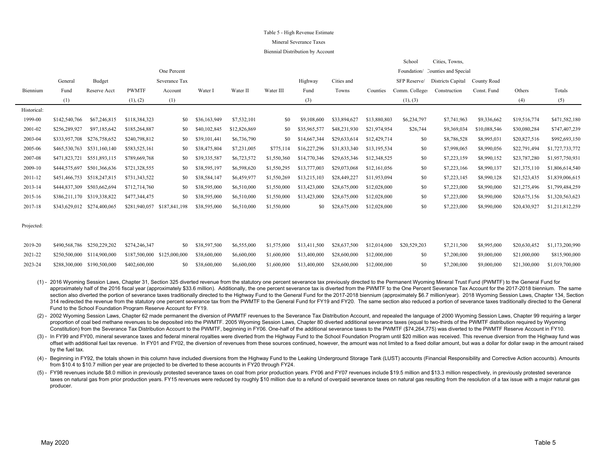#### Table 5 - High Revenue Estimate

#### Mineral Severance Taxes

#### Biennial Distribution by Account

|             |               |                             |               |               |              |              |             |              |              |              | School         | Cities, Towns,                   |              |              |                 |
|-------------|---------------|-----------------------------|---------------|---------------|--------------|--------------|-------------|--------------|--------------|--------------|----------------|----------------------------------|--------------|--------------|-----------------|
|             |               |                             |               | One Percent   |              |              |             |              |              |              |                | Foundation/ Counties and Special |              |              |                 |
|             | General       | Budget                      |               | Severance Tax |              |              |             | Highway      | Cities and   |              | SFP Reserve/   | Districts Capital                | County Road  |              |                 |
| Biennium    | Fund          | Reserve Acct                | <b>PWMTF</b>  | Account       | Water I      | Water II     | Water III   | Fund         | Towns        | Counties     | Comm. Colleges | Construction                     | Const. Fund  | Others       | Totals          |
|             | (1)           |                             | (1), (2)      | (1)           |              |              |             | (3)          |              |              | (1), (3)       |                                  |              | (4)          | (5)             |
| Historical: |               |                             |               |               |              |              |             |              |              |              |                |                                  |              |              |                 |
| 1999-00     | \$142,540,766 | \$67,246,815                | \$118,384,323 | \$0           | \$36,163,949 | \$7,532,101  | \$0         | \$9,108,600  | \$33,894,627 | \$13,880,803 | \$6,234,797    | \$7,741,963                      | \$9,336,662  | \$19,516,774 | \$471,582,180   |
| 2001-02     | \$256,289,927 | \$97,185,642                | \$185,264,887 | \$0           | \$40,102,845 | \$12,826,869 | \$0         | \$35,965,577 | \$48,231,930 | \$21,974,954 | \$26,744       | \$9,369,034                      | \$10,088,546 | \$30,080,284 | \$747,407,239   |
| 2003-04     |               | \$333,957,708 \$276,758,652 | \$240,798,812 | \$0           | \$39,101,441 | \$6,736,790  | \$0         | \$14,667,344 | \$29,633,614 | \$12,429,714 | \$0            | \$8,786,528                      | \$8,995,031  | \$20,827,516 | \$992,693,150   |
| 2005-06     | \$465,530,763 | \$531,160,140               | \$583,525,161 | SO.           | \$38,475,804 | \$7,231,005  | \$775,114   | \$16,227,296 | \$31,833,340 | \$13,195,534 | \$0            | \$7,998,065                      | \$8,990,056  | \$22,791,494 | \$1,727,733,772 |
| 2007-08     | \$471,823,721 | \$551,893,115               | \$789,669,768 | \$0           | \$39,335,587 | \$6,723,572  | \$1,550,360 | \$14,770,346 | \$29,635,346 | \$12,348,525 | \$0            | \$7,223,159                      | \$8,990,152  | \$23,787,280 | \$1,957,750,931 |
| 2009-10     | \$444,575,697 | \$501,366,636               | \$721,328,555 | \$0           | \$38,595,197 | \$6,598,620  | \$1,550,295 | \$13,777,003 | \$29,073,068 | \$12,161,056 | \$0            | \$7,223,166                      | \$8,990,137  | \$21,375,110 | \$1,806,614,540 |
| 2011-12     | \$451,466,753 | \$518,247,815               | \$731,343,522 | \$0           | \$38,584,147 | \$6,459,977  | \$1,550,269 | \$13,215,103 | \$28,449,227 | \$11,953,094 | \$0            | \$7,223,145                      | \$8,990,128  | \$21,523,435 | \$1,839,006,615 |
| 2013-14     | \$444,837,309 | \$503,662,694               | \$712,714,760 | \$0           | \$38,595,000 | \$6,510,000  | \$1,550,000 | \$13,423,000 | \$28,675,000 | \$12,028,000 | \$0            | \$7,223,000                      | \$8,990,000  | \$21,275,496 | \$1,799,484,259 |
| 2015-16     |               | \$386,211,170 \$319,338,822 | \$477,344,475 | \$0           | \$38,595,000 | \$6,510,000  | \$1,550,000 | \$13,423,000 | \$28,675,000 | \$12,028,000 | \$0            | \$7,223,000                      | \$8,990,000  | \$20,675,156 | \$1,320,563,623 |
| 2017-18     |               | \$343,629,012 \$274,400,065 | \$281,940,057 | \$187,841,198 | \$38,595,000 | \$6,510,000  | \$1,550,000 | \$0          | \$28,675,000 | \$12,028,000 | \$0            | \$7,223,000                      | \$8,990,000  | \$20,430,927 | \$1,211,812,259 |
|             |               |                             |               |               |              |              |             |              |              |              |                |                                  |              |              |                 |

Projected:

|         | 2019-20 \$490,568,786 \$250,229,202 \$274,246,347 |                                                                                                                                               | \$0 \$38,597,500 \$6,555,000 \$1,575,000 \$13,411,500 \$28,637,500 \$12,014,000 \$20,529,203 |  |  |       |  | \$7,211,500 \$8,995,000 \$20,630,452 \$1,173,200,990     |
|---------|---------------------------------------------------|-----------------------------------------------------------------------------------------------------------------------------------------------|----------------------------------------------------------------------------------------------|--|--|-------|--|----------------------------------------------------------|
| 2021-22 |                                                   | $$250,500,000$ $$114,900,000$ $$187,500,000$ $$125,000,000$ $$38,600,000$ $$6,600,000$ $$1,600,000$ $$13,400,000$ $$28,600,000$ $$12,000,000$ |                                                                                              |  |  |       |  | \$0 \$7,200,000 \$9,000,000 \$21,000,000 \$815,900,000   |
| 2023-24 | \$288,300,000 \$190,500,000 \$402,600,000         |                                                                                                                                               | \$0 \$38,600,000 \$6,600,000 \$1,600,000 \$13,400,000 \$28,600,000 \$12,000,000              |  |  | -80 - |  | $$7,200,000$ $$9,000,000$ $$21,300,000$ $$1,019,700,000$ |

(1) - 2016 Wyoming Session Laws, Chapter 31, Section 325 diverted revenue from the statutory one percent severance tax previously directed to the Permanent Wyoming Mineral Trust Fund (PWMTF) to the General Fund for approximately half of the 2016 fiscal year (approximately \$33.6 million). Additionally, the one percent severance tax is diverted from the PWMTF to the One Percent Severance Tax Account for the 2017-2018 biennium. The same section also diverted the portion of severance taxes traditionally directed to the Highway Fund to the General Fund for the 2017-2018 biennium (approximately \$6.7 million/year). 2018 Wyoming Session Laws, Chapter 134, Sect 314 redirected the revenue from the statutory one percent severance tax from the PWMTF to the General Fund for FY19 and FY20. The same section also reduced a portion of severance taxes traditionally directed to the General Fund to the School Foundation Program Reserve Account for FY19.

(2) - 2002 Wyoming Session Laws, Chapter 62 made permanent the diversion of PWMTF revenues to the Severance Tax Distribution Account, and repealed the language of 2000 Wyoming Session Laws, Chapter 99 requiring a larger proportion of coal bed methane revenues to be deposited into the PWMTF. 2005 Wyoming Session Laws, Chapter 80 diverted additional severance taxes (equal to two-thirds of the PWMTF distribution required by Wyoming Constitution) from the Severance Tax Distribution Account to the PWMTF, beginning in FY06. One-half of the additional severance taxes to the PWMTF (\$74,264,775) was diverted to the PWMTF Reserve Account in FY10.

(3) - In FY99 and FY00, mineral severance taxes and federal mineral royalties were diverted from the Highway Fund to the School Foundation Program until \$20 million was received. This revenue diversion from the Highway fun offset with additional fuel tax revenue. In FY01 and FY02, the diversion of revenues from these sources continued, however, the amount was not limited to a fixed dollar amount, but was a dollar for dollar swap in the amoun by the fuel tax.

(4) - Beginning in FY92, the totals shown in this column have included diversions from the Highway Fund to the Leaking Underground Storage Tank (LUST) accounts (Financial Responsibility and Corrective Action accounts). Amo from \$10.4 to \$10.7 million per year are projected to be diverted to these accounts in FY20 through FY24.

(5) - FY98 revenues include \$8.0 million in previously protested severance taxes on coal from prior production years. FY06 and FY07 revenues include \$19.5 million and \$13.3 million respectively, in previously protested sev taxes on natural gas from prior production years. FY15 revenues were reduced by roughly \$10 million due to a refund of overpaid severance taxes on natural gas resulting from the resolution of a tax issue with a major natur producer.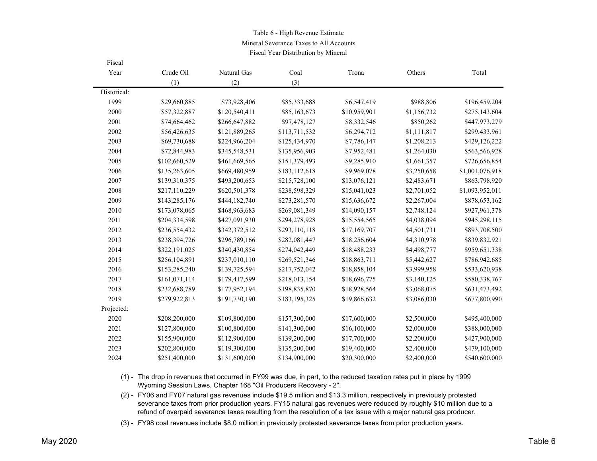### Table 6 - High Revenue Estimate Mineral Severance Taxes to All Accounts

Fiscal Year Distribution by Mineral

| Fiscal      |               |               |               |              |             |                 |
|-------------|---------------|---------------|---------------|--------------|-------------|-----------------|
| Year        | Crude Oil     | Natural Gas   | Coal          | Trona        | Others      | Total           |
|             | (1)           | (2)           | (3)           |              |             |                 |
| Historical: |               |               |               |              |             |                 |
| 1999        | \$29,660,885  | \$73,928,406  | \$85,333,688  | \$6,547,419  | \$988,806   | \$196,459,204   |
| 2000        | \$57,322,887  | \$120,540,411 | \$85,163,673  | \$10,959,901 | \$1,156,732 | \$275,143,604   |
| 2001        | \$74,664,462  | \$266,647,882 | \$97,478,127  | \$8,332,546  | \$850,262   | \$447,973,279   |
| 2002        | \$56,426,635  | \$121,889,265 | \$113,711,532 | \$6,294,712  | \$1,111,817 | \$299,433,961   |
| 2003        | \$69,730,688  | \$224,966,204 | \$125,434,970 | \$7,786,147  | \$1,208,213 | \$429,126,222   |
| 2004        | \$72,844,983  | \$345,548,531 | \$135,956,903 | \$7,952,481  | \$1,264,030 | \$563,566,928   |
| 2005        | \$102,660,529 | \$461,669,565 | \$151,379,493 | \$9,285,910  | \$1,661,357 | \$726,656,854   |
| 2006        | \$135,263,605 | \$669,480,959 | \$183,112,618 | \$9,969,078  | \$3,250,658 | \$1,001,076,918 |
| 2007        | \$139,310,375 | \$493,200,653 | \$215,728,100 | \$13,076,121 | \$2,483,671 | \$863,798,920   |
| 2008        | \$217,110,229 | \$620,501,378 | \$238,598,329 | \$15,041,023 | \$2,701,052 | \$1,093,952,011 |
| 2009        | \$143,285,176 | \$444,182,740 | \$273,281,570 | \$15,636,672 | \$2,267,004 | \$878,653,162   |
| 2010        | \$173,078,065 | \$468,963,683 | \$269,081,349 | \$14,090,157 | \$2,748,124 | \$927,961,378   |
| 2011        | \$204,334,598 | \$427,091,930 | \$294,278,928 | \$15,554,565 | \$4,038,094 | \$945,298,115   |
| 2012        | \$236,554,432 | \$342,372,512 | \$293,110,118 | \$17,169,707 | \$4,501,731 | \$893,708,500   |
| 2013        | \$238,394,726 | \$296,789,166 | \$282,081,447 | \$18,256,604 | \$4,310,978 | \$839,832,921   |
| 2014        | \$322,191,025 | \$340,430,854 | \$274,042,449 | \$18,488,233 | \$4,498,777 | \$959,651,338   |
| 2015        | \$256,104,891 | \$237,010,110 | \$269,521,346 | \$18,863,711 | \$5,442,627 | \$786,942,685   |
| 2016        | \$153,285,240 | \$139,725,594 | \$217,752,042 | \$18,858,104 | \$3,999,958 | \$533,620,938   |
| 2017        | \$161,071,114 | \$179,417,599 | \$218,013,154 | \$18,696,775 | \$3,140,125 | \$580,338,767   |
| 2018        | \$232,688,789 | \$177,952,194 | \$198,835,870 | \$18,928,564 | \$3,068,075 | \$631,473,492   |
| 2019        | \$279,922,813 | \$191,730,190 | \$183,195,325 | \$19,866,632 | \$3,086,030 | \$677,800,990   |
| Projected:  |               |               |               |              |             |                 |
| 2020        | \$208,200,000 | \$109,800,000 | \$157,300,000 | \$17,600,000 | \$2,500,000 | \$495,400,000   |
| 2021        | \$127,800,000 | \$100,800,000 | \$141,300,000 | \$16,100,000 | \$2,000,000 | \$388,000,000   |
| 2022        | \$155,900,000 | \$112,900,000 | \$139,200,000 | \$17,700,000 | \$2,200,000 | \$427,900,000   |
| 2023        | \$202,800,000 | \$119,300,000 | \$135,200,000 | \$19,400,000 | \$2,400,000 | \$479,100,000   |
| 2024        | \$251,400,000 | \$131,600,000 | \$134,900,000 | \$20,300,000 | \$2,400,000 | \$540,600,000   |

(1) - The drop in revenues that occurred in FY99 was due, in part, to the reduced taxation rates put in place by 1999 Wyoming Session Laws, Chapter 168 "Oil Producers Recovery - 2".

(2) - FY06 and FY07 natural gas revenues include \$19.5 million and \$13.3 million, respectively in previously protested severance taxes from prior production years. FY15 natural gas revenues were reduced by roughly \$10 million due to a refund of overpaid severance taxes resulting from the resolution of a tax issue with a major natural gas producer.

(3) - FY98 coal revenues include \$8.0 million in previously protested severance taxes from prior production years.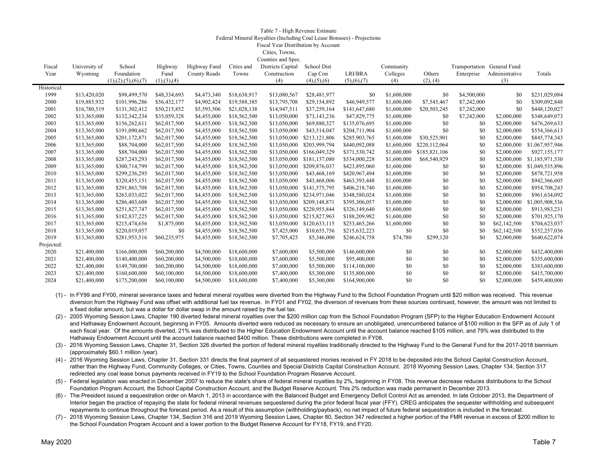#### Table 7 - High Revenue Estimate Federal Mineral Royalties (Including Coal Lease Bonuses) - Projections Fiscal Year Distribution by Account Cities, Towns,

 $C = \frac{1}{2}$ 

| Fiscal      | University of | School                  | Highway       | Highway Fund | Cities and   | Districts Capital | <b>School Dist</b>    |               | Community   |               | Transportation General Fund |                |                 |
|-------------|---------------|-------------------------|---------------|--------------|--------------|-------------------|-----------------------|---------------|-------------|---------------|-----------------------------|----------------|-----------------|
| Year        | Wyoming       | Foundation              | Fund          | County Roads | Towns        | Construction      | Cap Con               | LRI/BRA       | Colleges    | Others        | Enterprise                  | Administrative | Totals          |
|             |               | (1), (2), (5), (6), (7) | (1), (3), (4) |              |              | (4)               | $(4)$ , $(5)$ , $(6)$ | (5), (6), (7) | (4)         | (2), (4)      |                             | (3)            |                 |
| Historical: |               |                         |               |              |              |                   |                       |               |             |               |                             |                |                 |
| 1999        | \$13,420,020  | \$98,499,570            | \$48,334,693  | \$4,473,340  | \$18,638,917 | \$13,080,567      | \$28,481,977          | \$0           | \$1,600,000 | \$0           | \$4,500,000                 | \$0            | \$231,029,084   |
| 2000        | \$19,885,932  | \$101,996,286           | \$56,432,177  | \$4,902,424  | \$19,588,385 | \$13,795,708      | \$29,154,892          | \$46,949,577  | \$1,600,000 | \$7,545,467   | \$7,242,000                 | \$0            | \$309,092,848   |
| 2001        | \$16,780,519  | \$131,302,412           | \$50,215,852  | \$5,593,506  | \$21,028,138 | \$14,947,511      | \$37,259,164          | \$141,647,680 | \$1,600,000 | \$20,503,245  | \$7,242,000                 | \$0            | \$448,120,027   |
| 2002        | \$13,365,000  | \$132,342,234           | \$35,059,328  | \$4,455,000  | \$18,562,500 | \$13,050,000      | \$73,143,236          | \$47,829,775  | \$1,600,000 | \$0           | \$7,242,000                 | \$2,000,000    | \$348,649,073   |
| 2003        | \$13,365,000  | \$156,262,611           | \$62,017,500  | \$4,455,000  | \$18,562,500 | \$13,050,000      | \$69,880,327          | \$135,076,695 | \$1,600,000 | \$0           | \$0                         | \$2,000,000    | \$476,269,633   |
| 2004        | \$13,365,000  | \$191,090,662           | \$62,017,500  | \$4,455,000  | \$18,562,500 | \$13,050,000      | \$43,514,047          | \$204,711,904 | \$1,600,000 | \$0           | \$0                         | \$2,000,000    | \$554,366,613   |
| 2005        | \$13,365,000  | \$201,172,871           | \$62,017,500  | \$4,455,000  | \$18,562,500 | \$13,050,000      | \$213,121,806         | \$285,903,765 | \$1,600,000 | \$30,525,901  | \$0                         | \$2,000,000    | \$845,774,343   |
| 2006        | \$13,365,000  | \$88,704,000            | \$62,017,500  | \$4,455,000  | \$18,562,500 | \$13,050,000      | \$203,999,794         | \$440,092,088 | \$1,600,000 | \$220,112,064 | \$0                         | \$2,000,000    | \$1,067,957,946 |
| 2007        | \$13,365,000  | \$88,704,000            | \$62,017,500  | \$4,455,000  | \$18,562,500 | \$13,050,000      | \$166,049,329         | \$371,530,742 | \$1,600,000 | \$185,821,106 | \$0                         | \$2,000,000    | \$927,155,177   |
| 2008        | \$13,365,000  | \$287,243,293           | \$62,017,500  | \$4,455,000  | \$18,562,500 | \$13,050,000      | \$181,137,080         | \$534,000,228 | \$1,600,000 | \$68,540,929  | \$0                         | \$2,000,000    | \$1,185,971,530 |
| 2009        | \$13,365,000  | \$300,714,799           | \$62,017,500  | \$4,455,000  | \$18,562,500 | \$13,050,000      | \$209,876,037         | \$423,895,060 | \$1,600,000 | \$0           | \$0                         | \$2,000,000    | \$1,049,535,896 |
| 2010        | \$13,365,000  | \$299,236,295           | \$62,017,500  | \$4,455,000  | \$18,562,500 | \$13,050,000      | \$43,468,169          | \$420,967,494 | \$1,600,000 | \$0           | \$0                         | \$2,000,000    | \$878,721,958   |
| 2011        | \$13,365,000  | \$320,455,151           | \$62,017,500  | \$4,455,000  | \$18,562,500 | \$13,050,000      | \$43,468,006          | \$463,393,448 | \$1,600,000 | \$0           | \$0                         | \$2,000,000    | \$942,366,605   |
| 2012        | \$13,365,000  | \$291,863,708           | \$62,017,500  | \$4,455,000  | \$18,562,500 | \$13,050,000      | \$141,575,795         | \$406,218,740 | \$1,600,000 | \$0           | \$0                         | \$2,000,000    | \$954,708,243   |
| 2013        | \$13,365,000  | \$263,033,022           | \$62,017,500  | \$4,455,000  | \$18,562,500 | \$13,050,000      | \$234,971,046         | \$348,580,024 | \$1,600,000 | \$0           | \$0                         | \$2,000,000    | \$961,634,092   |
| 2014        | \$13,365,000  | \$286,403,608           | \$62,017,500  | \$4,455,000  | \$18,562,500 | \$13,050,000      | \$209,148,871         | \$395,306,057 | \$1,600,000 | \$0           | \$0                         | \$2,000,000    | \$1,005,908,536 |
| 2015        | \$13,365,000  | \$251,827,747           | \$62,017,500  | \$4,455,000  | \$18,562,500 | \$13,050,000      | \$220,955,844         | \$326,149,640 | \$1,600,000 | \$0           | \$0                         | \$2,000,000    | \$913,983,231   |
| 2016        | \$13,365,000  | \$182,837,225           | \$62,017,500  | \$4,455,000  | \$18,562,500 | \$13,050,000      | \$215,827,963         | \$188,209,982 | \$1,600,000 | \$0           | \$0                         | \$2,000,000    | \$701,925,170   |
| 2017        | \$13,365,000  | \$215,474,656           | \$1,875,000   | \$4,455,000  | \$18,562,500 | \$13,050,000      | \$120,633,115         | \$253,465,266 | \$1,600,000 | \$0           | \$0                         | \$62,142,500   | \$704,623,037   |
| 2018        | \$13,365,000  | \$220,019,057           | \$0           | \$4,455,000  | \$18,562,500 | \$7,425,000       | \$10,655,756          | \$215,632,223 | \$0         | \$0           | \$0                         | \$62,142,500   | \$552,257,036   |
| 2019        | \$13,365,000  | \$281,953,516           | \$60,235,975  | \$4,455,000  | \$18,562,500 | \$7,705,425       | \$5,346,000           | \$246,624,758 | \$74,780    | \$299,120     | \$0                         | \$2,000,000    | \$640,622,074   |
| Projected:  |               |                         |               |              |              |                   |                       |               |             |               |                             |                |                 |
| 2020        | \$21,400,000  | \$166,000,000           | \$60,200,000  | \$4,500,000  | \$18,600,000 | \$7,600,000       | \$5,500,000           | \$146,600,000 | \$0         | \$0           | \$0                         | \$2,000,000    | \$432,400,000   |
| 2021        | \$21,400,000  | \$140,400,000           | \$60,200,000  | \$4,500,000  | \$18,600,000 | \$7,600,000       | \$5,500,000           | \$95,400,000  | \$0         | \$0           | \$0                         | \$2,000,000    | \$355,600,000   |
| 2022        | \$21,400,000  | \$149,700,000           | \$60,200,000  | \$4,500,000  | \$18,600,000 | \$7,600,000       | \$5,500,000           | \$114,100,000 | \$0         | \$0           | \$0                         | \$2,000,000    | \$383,600,000   |
| 2023        | \$21,400,000  | \$160,600,000           | \$60,100,000  | \$4,500,000  | \$18,600,000 | \$7,400,000       | \$5,300,000           | \$135,800,000 | \$0         | \$0           | \$0                         | \$2,000,000    | \$415,700,000   |
| 2024        | \$21,400,000  | \$175,200,000           | \$60,100,000  | \$4,500,000  | \$18,600,000 | \$7,400,000       | \$5,300,000           | \$164,900,000 | \$0         | \$0           | \$0                         | \$2,000,000    | \$459,400,000   |

- (1) In FY99 and FY00, mineral severance taxes and federal mineral royalties were diverted from the Highway Fund to the School Foundation Program until \$20 million was received. This revenue diversion from the Highway Fund was offset with additional fuel tax revenue. In FY01 and FY02, the diversion of revenues from these sources continued, however, the amount was not limited to a fixed dollar amount, but was a dollar for dollar swap in the amount raised by the fuel tax.
- (2) 2005 Wyoming Session Laws, Chapter 190 diverted federal mineral royalties over the \$200 million cap from the School Foundation Program (SFP) to the Higher Education Endowment Account and Hathaway Endowment Account, beginning in FY05. Amounts diverted were reduced as necessary to ensure an unobligated, unencumbered balance of \$100 million in the SFP as of July 1 of each fiscal year. Of the amounts diverted, 21% was distributed to the Higher Education Endowment Account until the account balance reached \$105 million, and 79% was distributed to the Hathaway Endowment Account until the account balance reached \$400 million. These distributions were completed in FY08.
- (3) 2016 Wyoming Session Laws, Chapter 31, Section 326 diverted the portion of federal mineral royalties traditionally directed to the Highway Fund to the General Fund for the 2017-2018 biennium (approximately \$60.1 million /year).
- (4) 2016 Wyoming Session Laws, Chapter 31, Section 331 directs the final payment of all sequestered monies received in FY 2018 to be deposited into the School Capital Construction Account, rather than the Highway Fund, Community Colleges, or Cities, Towns, Counties and Special Districts Capital Construction Account. 2018 Wyoming Session Laws, Chapter 134, Section 317 redirected any coal lease bonus payments received in FY19 to the School Foundation Program Reserve Account.
- (5) Federal legislation was enacted in December 2007 to reduce the state's share of federal mineral royalties by 2%, beginning in FY08. This revenue decrease reduces distributions to the School Foundation Program Account, the School Capital Construction Account, and the Budget Reserve Account. This 2% reduction was made permanent in December 2013.
- (6) The President issued a sequestration order on March 1, 2013 in accordance with the Balanced Budget and Emergency Deficit Control Act as amended. In late October 2013, the Department of Interior began the practice of repaying the state for federal mineral revenues sequestered during the prior federal fiscal year (FFY). CREG anticipates the sequester withholding and subsequent repayments to continue throughout the forecast period. As a result of this assumption (withholding/payback), no net impact of future federal sequestration is included in the forecast.
- (7) 2018 Wyoming Session Laws, Chapter 134, Section 316 and 2019 Wyoming Session Laws, Chapter 80, Section 347 redirected a higher portion of the FMR revenue in excess of \$200 million to the School Foundation Program Account and a lower portion to the Budget Reserve Account for FY18, FY19, and FY20.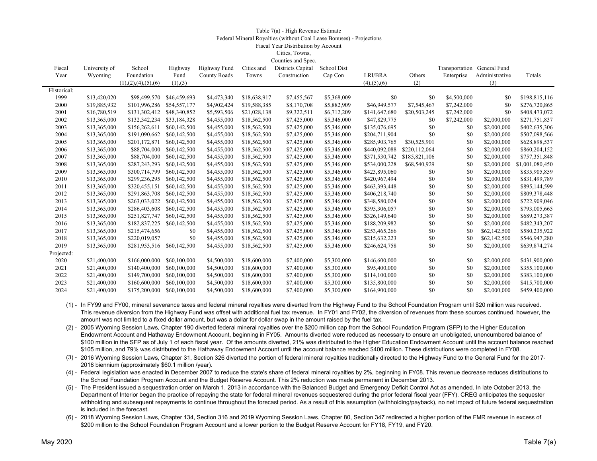#### Table 7(a) - High Revenue Estimate Federal Mineral Royalties (without Coal Lease Bonuses) - Projections Fiscal Year Distribution by Account Cities, Towns,  $Conv^{(n)}$  and  $\theta$ .

| Fiscal      | University of | School                  | Highway      | Highway Fund        | Cities and   | Districts Capital | School Dist |                       |               | Transportation General Fund |                |                 |
|-------------|---------------|-------------------------|--------------|---------------------|--------------|-------------------|-------------|-----------------------|---------------|-----------------------------|----------------|-----------------|
| Year        | Wyoming       | Foundation              | Fund         | <b>County Roads</b> | Towns        | Construction      | Cap Con     | LRI/BRA               | Others        | Enterprise                  | Administrative | Totals          |
|             |               | (1), (2), (4), (5), (6) | (1), (3)     |                     |              |                   |             | $(4)$ , $(5)$ , $(6)$ | (2)           |                             | (3)            |                 |
| Historical: |               |                         |              |                     |              |                   |             |                       |               |                             |                |                 |
| 1999        | \$13,420,020  | \$98,499,570            | \$46,459,693 | \$4,473,340         | \$18,638,917 | \$7,455,567       | \$5,368,009 | \$0                   | \$0           | \$4,500,000                 | \$0            | \$198,815,116   |
| 2000        | \$19,885,932  | \$101,996,286           | \$54,557,177 | \$4,902,424         | \$19,588,385 | \$8,170,708       | \$5,882,909 | \$46,949,577          | \$7,545,467   | \$7,242,000                 | \$0            | \$276,720,865   |
| 2001        | \$16,780,519  | \$131,302,412           | \$48,340,852 | \$5,593,506         | \$21,028,138 | \$9,322,511       | \$6,712,209 | \$141,647,680         | \$20,503,245  | \$7,242,000                 | \$0            | \$408,473,072   |
| 2002        | \$13,365,000  | \$132,342,234           | \$33,184,328 | \$4,455,000         | \$18,562,500 | \$7,425,000       | \$5,346,000 | \$47,829,775          | \$0           | \$7,242,000                 | \$2,000,000    | \$271,751,837   |
| 2003        | \$13,365,000  | \$156,262,611           | \$60,142,500 | \$4,455,000         | \$18,562,500 | \$7,425,000       | \$5,346,000 | \$135,076,695         | \$0           | \$0                         | \$2,000,000    | \$402,635,306   |
| 2004        | \$13,365,000  | \$191,090,662           | \$60,142,500 | \$4,455,000         | \$18,562,500 | \$7,425,000       | \$5,346,000 | \$204,711,904         | \$0           | \$0                         | \$2,000,000    | \$507,098,566   |
| 2005        | \$13,365,000  | \$201,172,871           | \$60,142,500 | \$4,455,000         | \$18,562,500 | \$7,425,000       | \$5,346,000 | \$285,903,765         | \$30,525,901  | \$0                         | \$2,000,000    | \$628,898,537   |
| 2006        | \$13,365,000  | \$88,704,000            | \$60,142,500 | \$4,455,000         | \$18,562,500 | \$7,425,000       | \$5,346,000 | \$440,092,088         | \$220,112,064 | \$0                         | \$2,000,000    | \$860,204,152   |
| 2007        | \$13,365,000  | \$88,704,000            | \$60,142,500 | \$4,455,000         | \$18,562,500 | \$7,425,000       | \$5,346,000 | \$371,530,742         | \$185,821,106 | \$0                         | \$2,000,000    | \$757,351,848   |
| 2008        | \$13,365,000  | \$287,243,293           | \$60,142,500 | \$4,455,000         | \$18,562,500 | \$7,425,000       | \$5,346,000 | \$534,000,228         | \$68,540,929  | \$0                         | \$2,000,000    | \$1,001,080,450 |
| 2009        | \$13,365,000  | \$300,714,799           | \$60,142,500 | \$4,455,000         | \$18,562,500 | \$7,425,000       | \$5,346,000 | \$423,895,060         | \$0           | \$0                         | \$2,000,000    | \$835,905,859   |
| 2010        | \$13,365,000  | \$299,236,295           | \$60,142,500 | \$4,455,000         | \$18,562,500 | \$7,425,000       | \$5,346,000 | \$420,967,494         | \$0           | \$0                         | \$2,000,000    | \$831,499,789   |
| 2011        | \$13,365,000  | \$320,455,151           | \$60,142,500 | \$4,455,000         | \$18,562,500 | \$7,425,000       | \$5,346,000 | \$463,393,448         | \$0           | \$0                         | \$2,000,000    | \$895,144,599   |
| 2012        | \$13,365,000  | \$291,863,708           | \$60,142,500 | \$4,455,000         | \$18,562,500 | \$7,425,000       | \$5,346,000 | \$406,218,740         | \$0           | \$0                         | \$2,000,000    | \$809,378,448   |
| 2013        | \$13,365,000  | \$263,033,022           | \$60,142,500 | \$4,455,000         | \$18,562,500 | \$7,425,000       | \$5,346,000 | \$348,580,024         | \$0           | \$0                         | \$2,000,000    | \$722,909,046   |
| 2014        | \$13,365,000  | \$286,403,608           | \$60,142,500 | \$4,455,000         | \$18,562,500 | \$7,425,000       | \$5,346,000 | \$395,306,057         | \$0           | \$0                         | \$2,000,000    | \$793,005,665   |
| 2015        | \$13,365,000  | \$251,827,747           | \$60,142,500 | \$4,455,000         | \$18,562,500 | \$7,425,000       | \$5,346,000 | \$326,149,640         | \$0           | \$0                         | \$2,000,000    | \$689,273,387   |
| 2016        | \$13,365,000  | \$182,837,225           | \$60,142,500 | \$4,455,000         | \$18,562,500 | \$7,425,000       | \$5,346,000 | \$188,209,982         | \$0           | \$0                         | \$2,000,000    | \$482,343,207   |
| 2017        | \$13,365,000  | \$215,474,656           | \$0          | \$4,455,000         | \$18,562,500 | \$7,425,000       | \$5,346,000 | \$253,465,266         | \$0           | \$0                         | \$62,142,500   | \$580,235,922   |
| 2018        | \$13,365,000  | \$220,019,057           | \$0          | \$4,455,000         | \$18,562,500 | \$7,425,000       | \$5,346,000 | \$215,632,223         | \$0           | \$0                         | \$62,142,500   | \$546,947,280   |
| 2019        | \$13,365,000  | \$281,953,516           | \$60,142,500 | \$4,455,000         | \$18,562,500 | \$7,425,000       | \$5,346,000 | \$246,624,758         | \$0           | \$0                         | \$2,000,000    | \$639,874,274   |
| Projected:  |               |                         |              |                     |              |                   |             |                       |               |                             |                |                 |
| 2020        | \$21,400,000  | \$166,000,000           | \$60,100,000 | \$4,500,000         | \$18,600,000 | \$7,400,000       | \$5,300,000 | \$146,600,000         | \$0           | \$0                         | \$2,000,000    | \$431,900,000   |
| 2021        | \$21,400,000  | \$140,400,000           | \$60,100,000 | \$4,500,000         | \$18,600,000 | \$7,400,000       | \$5,300,000 | \$95,400,000          | \$0           | \$0                         | \$2,000,000    | \$355,100,000   |
| 2022        | \$21,400,000  | \$149,700,000           | \$60,100,000 | \$4,500,000         | \$18,600,000 | \$7,400,000       | \$5,300,000 | \$114,100,000         | \$0           | \$0                         | \$2,000,000    | \$383,100,000   |
| 2023        | \$21,400,000  | \$160,600,000           | \$60,100,000 | \$4,500,000         | \$18,600,000 | \$7,400,000       | \$5,300,000 | \$135,800,000         | \$0           | \$0                         | \$2,000,000    | \$415,700,000   |
| 2024        | \$21,400,000  | \$175,200,000           | \$60,100,000 | \$4,500,000         | \$18,600,000 | \$7,400,000       | \$5,300,000 | \$164,900,000         | \$0           | \$0                         | \$2,000,000    | \$459,400,000   |
|             |               |                         |              |                     |              |                   |             |                       |               |                             |                |                 |

(1) - In FY99 and FY00, mineral severance taxes and federal mineral royalties were diverted from the Highway Fund to the School Foundation Program until \$20 million was received. This revenue diversion from the Highway Fund was offset with additional fuel tax revenue. In FY01 and FY02, the diversion of revenues from these sources continued, however, the amount was not limited to a fixed dollar amount, but was a dollar for dollar swap in the amount raised by the fuel tax.

(2) - 2005 Wyoming Session Laws, Chapter 190 diverted federal mineral royalties over the \$200 million cap from the School Foundation Program (SFP) to the Higher Education Endowment Account and Hathaway Endowment Account, beginning in FY05. Amounts diverted were reduced as necessary to ensure an unobligated, unencumbered balance of \$100 million in the SFP as of July 1 of each fiscal year. Of the amounts diverted, 21% was distributed to the Higher Education Endowment Account until the account balance reached \$105 million, and 79% was distributed to the Hathaway Endowment Account until the account balance reached \$400 million. These distributions were completed in FY08.

(3) - 2016 Wyoming Session Laws, Chapter 31, Section 326 diverted the portion of federal mineral royalties traditionally directed to the Highway Fund to the General Fund for the 2017- 2018 biennium (approximately \$60.1 million /year).

(4) - Federal legislation was enacted in December 2007 to reduce the state's share of federal mineral royalties by 2%, beginning in FY08. This revenue decrease reduces distributions to the School Foundation Program Account and the Budget Reserve Account. This 2% reduction was made permanent in December 2013.

(5) - The President issued a sequestration order on March 1, 2013 in accordance with the Balanced Budget and Emergency Deficit Control Act as amended. In late October 2013, the Department of Interior began the practice of repaying the state for federal mineral revenues sequestered during the prior federal fiscal year (FFY). CREG anticipates the sequester withholding and subsequent repayments to continue throughout the forecast period. As a result of this assumption (withholding/payback), no net impact of future federal sequestration is included in the forecast.

(6) - 2018 Wyoming Session Laws, Chapter 134, Section 316 and 2019 Wyoming Session Laws, Chapter 80, Section 347 redirected a higher portion of the FMR revenue in excess of \$200 million to the School Foundation Program Account and a lower portion to the Budget Reserve Account for FY18, FY19, and FY20.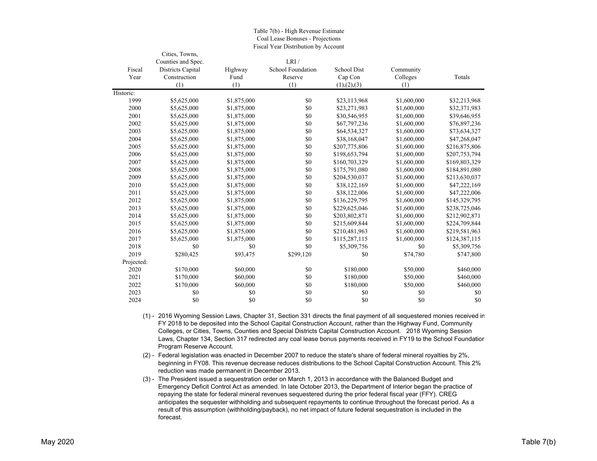|            | Cities, Towns,     |             |                   |                    |             |               |
|------------|--------------------|-------------|-------------------|--------------------|-------------|---------------|
|            | Counties and Spec. |             | LRI/              |                    |             |               |
| Fiscal     | Districts Capital  | Highway     | School Foundation | <b>School Dist</b> | Community   |               |
| Year       | Construction       | Fund        | Reserve           | Cap Con            | Colleges    | Totals        |
|            | (1)                | (1)         | (1)               | (1), (2), (3)      | (1)         |               |
| Historic:  |                    |             |                   |                    |             |               |
| 1999       | \$5,625,000        | \$1,875,000 | \$0               | \$23,113,968       | \$1,600,000 | \$32,213,968  |
| 2000       | \$5,625,000        | \$1,875,000 | \$0               | \$23,271,983       | \$1,600,000 | \$32,371,983  |
| 2001       | \$5,625,000        | \$1,875,000 | \$0               | \$30,546,955       | \$1,600,000 | \$39,646,955  |
| 2002       | \$5,625,000        | \$1,875,000 | \$0               | \$67,797,236       | \$1,600,000 | \$76,897,236  |
| 2003       | \$5,625,000        | \$1,875,000 | \$0               | \$64,534,327       | \$1,600,000 | \$73,634,327  |
| 2004       | \$5,625,000        | \$1,875,000 | \$0               | \$38,168,047       | \$1,600,000 | \$47,268,047  |
| 2005       | \$5,625,000        | \$1,875,000 | \$0               | \$207,775,806      | \$1,600,000 | \$216,875,806 |
| 2006       | \$5,625,000        | \$1,875,000 | \$0               | \$198,653,794      | \$1,600,000 | \$207,753,794 |
| 2007       | \$5,625,000        | \$1,875,000 | \$0               | \$160,703,329      | \$1,600,000 | \$169,803,329 |
| 2008       | \$5,625,000        | \$1,875,000 | \$0               | \$175,791,080      | \$1,600,000 | \$184,891,080 |
| 2009       | \$5,625,000        | \$1,875,000 | \$0               | \$204,530,037      | \$1,600,000 | \$213,630,037 |
| 2010       | \$5,625,000        | \$1,875,000 | \$0               | \$38,122,169       | \$1,600,000 | \$47,222,169  |
| 2011       | \$5,625,000        | \$1,875,000 | \$0               | \$38,122,006       | \$1,600,000 | \$47,222,006  |
| 2012       | \$5,625,000        | \$1,875,000 | \$0               | \$136,229,795      | \$1,600,000 | \$145,329,795 |
| 2013       | \$5,625,000        | \$1,875,000 | \$0               | \$229,625,046      | \$1,600,000 | \$238,725,046 |
| 2014       | \$5,625,000        | \$1,875,000 | \$0               | \$203,802,871      | \$1,600,000 | \$212,902,871 |
| 2015       | \$5,625,000        | \$1,875,000 | \$0               | \$215,609,844      | \$1,600,000 | \$224,709,844 |
| 2016       | \$5,625,000        | \$1,875,000 | \$0               | \$210,481,963      | \$1,600,000 | \$219,581,963 |
| 2017       | \$5,625,000        | \$1,875,000 | \$0               | \$115,287,115      | \$1,600,000 | \$124,387,115 |
| 2018       | \$0                | \$0         | \$0               | \$5,309,756        | \$0         | \$5,309,756   |
| 2019       | \$280,425          | \$93,475    | \$299,120         | \$0                | \$74,780    | \$747,800     |
| Projected: |                    |             |                   |                    |             |               |
| 2020       | \$170,000          | \$60,000    | \$0               | \$180,000          | \$50,000    | \$460,000     |
| 2021       | \$170,000          | \$60,000    | \$0               | \$180,000          | \$50,000    | \$460,000     |
| 2022       | \$170,000          | \$60,000    | \$0               | \$180,000          | \$50,000    | \$460,000     |
| 2023       | \$0                | \$0         | \$0               | \$0                | \$0         | \$0           |
| 2024       | \$0                | \$0         | \$0               | \$0                | \$0         | \$0           |

#### Table 7(b) - High Revenue Estimate Coal Lease Bonuses - Projections Fiscal Year Distribution by Account

(1) - 2016 Wyoming Session Laws, Chapter 31, Section 331 directs the final payment of all sequestered monies received in FY 2018 to be deposited into the School Capital Construction Account, rather than the Highway Fund, Community Colleges, or Cities, Towns, Counties and Special Districts Capital Construction Account. 2018 Wyoming Session Laws, Chapter 134, Section 317 redirected any coal lease bonus payments received in FY19 to the School Foundation Program Reserve Account.

- (2) Federal legislation was enacted in December 2007 to reduce the state's share of federal mineral royalties by 2%, beginning in FY08. This revenue decrease reduces distributions to the School Capital Construction Account. This 2% reduction was made permanent in December 2013.
- (3) The President issued a sequestration order on March 1, 2013 in accordance with the Balanced Budget and Emergency Deficit Control Act as amended. In late October 2013, the Department of Interior began the practice of repaying the state for federal mineral revenues sequestered during the prior federal fiscal year (FFY). CREG anticipates the sequester withholding and subsequent repayments to continue throughout the forecast period. As a result of this assumption (withholding/payback), no net impact of future federal sequestration is included in the forecast.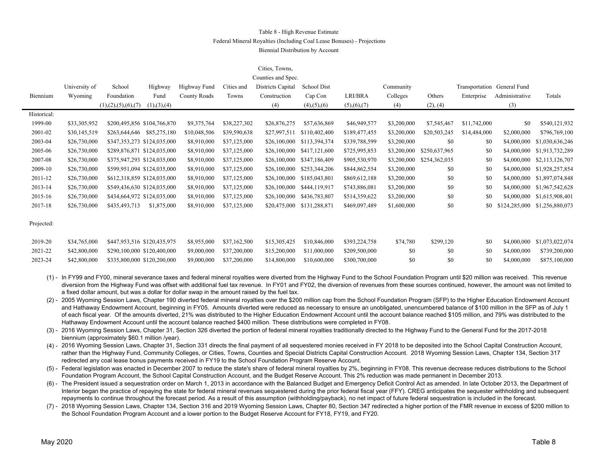### Table 8 - High Revenue Estimate Federal Mineral Royalties (Including Coal Lease Bonuses) - Projections Biennial Distribution by Account

### Cities, Towns,

| Counties and Spec. |               |                         |                             |              |              |                   |                       |               |             |               |                             |                |                 |
|--------------------|---------------|-------------------------|-----------------------------|--------------|--------------|-------------------|-----------------------|---------------|-------------|---------------|-----------------------------|----------------|-----------------|
|                    | University of | School                  | Highway                     | Highway Fund | Cities and   | Districts Capital | School Dist           |               | Community   |               | Transportation General Fund |                |                 |
| Biennium           | Wyoming       | Foundation              | Fund                        | County Roads | Towns        | Construction      | Cap Con               | LRI/BRA       | Colleges    | Others        | Enterprise                  | Administrative | Totals          |
|                    |               | (1), (2), (5), (6), (7) | (1), (3), (4)               |              |              | (4)               | $(4)$ , $(5)$ , $(6)$ | (5),(6),(7)   | (4)         | (2), (4)      |                             | (3)            |                 |
| Historical:        |               |                         |                             |              |              |                   |                       |               |             |               |                             |                |                 |
| 1999-00            | \$33,305,952  |                         | \$200,495,856 \$104,766,870 | \$9,375,764  | \$38,227,302 | \$26,876,275      | \$57,636,869          | \$46,949,577  | \$3,200,000 | \$7,545,467   | \$11,742,000                | \$0            | \$540,121,932   |
| 2001-02            | \$30,145,519  | \$263,644,646           | \$85,275,180                | \$10,048,506 | \$39,590,638 | \$27,997,511      | \$110,402,400         | \$189,477,455 | \$3,200,000 | \$20,503,245  | \$14,484,000                | \$2,000,000    | \$796,769,100   |
| 2003-04            | \$26,730,000  |                         | \$347,353,273 \$124,035,000 | \$8,910,000  | \$37,125,000 | \$26,100,000      | \$113,394,374         | \$339,788,599 | \$3,200,000 | \$0           | \$0                         | \$4,000,000    | \$1,030,636,246 |
| 2005-06            | \$26,730,000  |                         | \$289,876,871 \$124,035,000 | \$8,910,000  | \$37,125,000 | \$26,100,000      | \$417,121,600         | \$725,995,853 | \$3,200,000 | \$250,637,965 | \$0                         | \$4,000,000    | \$1,913,732,289 |
| 2007-08            | \$26,730,000  |                         | \$375,947,293 \$124,035,000 | \$8,910,000  | \$37,125,000 | \$26,100,000      | \$347,186,409         | \$905,530,970 | \$3,200,000 | \$254,362,035 | \$0                         | \$4,000,000    | \$2,113,126,707 |
| 2009-10            | \$26,730,000  |                         | \$599,951,094 \$124,035,000 | \$8,910,000  | \$37,125,000 | \$26,100,000      | \$253,344,206         | \$844,862,554 | \$3,200,000 | \$0           | \$0                         | \$4,000,000    | \$1,928,257,854 |
| 2011-12            | \$26,730,000  |                         | \$612,318,859 \$124,035,000 | \$8,910,000  | \$37,125,000 | \$26,100,000      | \$185,043,801         | \$869,612,188 | \$3,200,000 | \$0           | \$0                         | \$4,000,000    | \$1,897,074,848 |
| 2013-14            | \$26,730,000  |                         | \$549,436,630 \$124,035,000 | \$8,910,000  | \$37,125,000 | \$26,100,000      | \$444,119,917         | \$743,886,081 | \$3,200,000 | \$0           | \$0                         | \$4,000,000    | \$1,967,542,628 |
| 2015-16            | \$26,730,000  |                         | \$434,664,972 \$124,035,000 | \$8,910,000  | \$37,125,000 | \$26,100,000      | \$436,783,807         | \$514,359,622 | \$3,200,000 | \$0           | \$0                         | \$4,000,000    | \$1,615,908,401 |
| 2017-18            | \$26,730,000  | \$435,493,713           | \$1,875,000                 | \$8,910,000  | \$37,125,000 | \$20,475,000      | \$131,288,871         | \$469,097,489 | \$1,600,000 | \$0           | \$0                         | \$124,285,000  | \$1,256,880,073 |
|                    |               |                         |                             |              |              |                   |                       |               |             |               |                             |                |                 |
| Projected:         |               |                         |                             |              |              |                   |                       |               |             |               |                             |                |                 |
|                    |               |                         |                             |              |              |                   |                       |               |             |               |                             |                |                 |
| 2019-20            | \$34,765,000  |                         | \$447,953,516 \$120,435,975 | \$8,955,000  | \$37,162,500 | \$15,305,425      | \$10,846,000          | \$393,224,758 | \$74,780    | \$299,120     | \$0                         | \$4,000,000    | \$1,073,022,074 |
| 2021-22            | \$42,800,000  |                         | \$290,100,000 \$120,400,000 | \$9,000,000  | \$37,200,000 | \$15,200,000      | \$11,000,000          | \$209,500,000 | \$0         | \$0           | \$0                         | \$4,000,000    | \$739,200,000   |

(1) - In FY99 and FY00, mineral severance taxes and federal mineral royalties were diverted from the Highway Fund to the School Foundation Program until \$20 million was received. This revenue diversion from the Highway Fund was offset with additional fuel tax revenue. In FY01 and FY02, the diversion of revenues from these sources continued, however, the amount was not limited to a fixed dollar amount, but was a dollar for dollar swap in the amount raised by the fuel tax.

2023-24 \$42,800,000 \$335,800,000 \$120,200,000 \$9,000,000 \$37,200,000 \$14,800,000 \$10,600,000 \$300,700,000 \$0 \$0 \$0 \$4,000,000 \$875,100,000

(2) - 2005 Wyoming Session Laws, Chapter 190 diverted federal mineral royalties over the \$200 million cap from the School Foundation Program (SFP) to the Higher Education Endowment Account and Hathaway Endowment Account, beginning in FY05. Amounts diverted were reduced as necessary to ensure an unobligated, unencumbered balance of \$100 million in the SFP as of July 1 of each fiscal year. Of the amounts diverted, 21% was distributed to the Higher Education Endowment Account until the account balance reached \$105 million, and 79% was distributed to the Hathaway Endowment Account until the account balance reached \$400 million. These distributions were completed in FY08.

(3) - 2016 Wyoming Session Laws, Chapter 31, Section 326 diverted the portion of federal mineral royalties traditionally directed to the Highway Fund to the General Fund for the 2017-2018 biennium (approximately \$60.1 million /year).

(4) - 2016 Wyoming Session Laws, Chapter 31, Section 331 directs the final payment of all sequestered monies received in FY 2018 to be deposited into the School Capital Construction Account, rather than the Highway Fund, Community Colleges, or Cities, Towns, Counties and Special Districts Capital Construction Account. 2018 Wyoming Session Laws, Chapter 134, Section 317 redirected any coal lease bonus payments received in FY19 to the School Foundation Program Reserve Account.

(5) - Federal legislation was enacted in December 2007 to reduce the state's share of federal mineral royalties by 2%, beginning in FY08. This revenue decrease reduces distributions to the School Foundation Program Account, the School Capital Construction Account, and the Budget Reserve Account. This 2% reduction was made permanent in December 2013.

(6) - The President issued a sequestration order on March 1, 2013 in accordance with the Balanced Budget and Emergency Deficit Control Act as amended. In late October 2013, the Department of Interior began the practice of repaying the state for federal mineral revenues sequestered during the prior federal fiscal year (FFY). CREG anticipates the sequester withholding and subsequent repayments to continue throughout the forecast period. As a result of this assumption (withholding/payback), no net impact of future federal sequestration is included in the forecast.

(7) - 2018 Wyoming Session Laws, Chapter 134, Section 316 and 2019 Wyoming Session Laws, Chapter 80, Section 347 redirected a higher portion of the FMR revenue in excess of \$200 million to the School Foundation Program Account and a lower portion to the Budget Reserve Account for FY18, FY19, and FY20.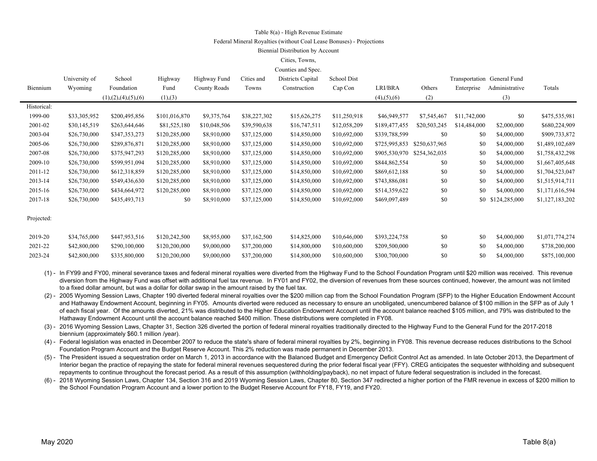#### Table 8(a) - High Revenue Estimate

#### Federal Mineral Royalties (without Coal Lease Bonuses) - Projections

#### Biennial Distribution by Account

#### Cities, Towns,

| Counties and Spec. |  |
|--------------------|--|
|--------------------|--|

|             | University of | School                  | Highway       | Highway Fund | Cities and   | Districts Capital | School Dist  |                       |               |              | Transportation General Fund |                 |
|-------------|---------------|-------------------------|---------------|--------------|--------------|-------------------|--------------|-----------------------|---------------|--------------|-----------------------------|-----------------|
| Biennium    | Wyoming       | Foundation              | Fund          | County Roads | Towns        | Construction      | Cap Con      | LRI/BRA               | Others        | Enterprise   | Administrative              | Totals          |
|             |               | (1), (2), (4), (5), (6) | (1),(3)       |              |              |                   |              | $(4)$ , $(5)$ , $(6)$ | (2)           |              | (3)                         |                 |
| Historical: |               |                         |               |              |              |                   |              |                       |               |              |                             |                 |
| 1999-00     | \$33,305,952  | \$200,495,856           | \$101,016,870 | \$9,375,764  | \$38,227,302 | \$15,626,275      | \$11,250,918 | \$46,949,577          | \$7,545,467   | \$11,742,000 | \$0                         | \$475,535,981   |
| 2001-02     | \$30,145,519  | \$263,644,646           | \$81,525,180  | \$10,048,506 | \$39,590,638 | \$16,747,511      | \$12,058,209 | \$189,477,455         | \$20,503,245  | \$14,484,000 | \$2,000,000                 | \$680,224,909   |
| 2003-04     | \$26,730,000  | \$347,353,273           | \$120,285,000 | \$8,910,000  | \$37,125,000 | \$14,850,000      | \$10,692,000 | \$339,788,599         | \$0           | \$0          | \$4,000,000                 | \$909,733,872   |
| 2005-06     | \$26,730,000  | \$289,876,871           | \$120,285,000 | \$8,910,000  | \$37,125,000 | \$14,850,000      | \$10,692,000 | \$725,995,853         | \$250,637,965 | \$0          | \$4,000,000                 | \$1,489,102,689 |
| 2007-08     | \$26,730,000  | \$375,947,293           | \$120,285,000 | \$8,910,000  | \$37,125,000 | \$14,850,000      | \$10,692,000 | \$905,530,970         | \$254,362,035 | \$0          | \$4,000,000                 | \$1,758,432,298 |
| 2009-10     | \$26,730,000  | \$599,951,094           | \$120,285,000 | \$8,910,000  | \$37,125,000 | \$14,850,000      | \$10,692,000 | \$844,862,554         | \$0           | \$0          | \$4,000,000                 | \$1,667,405,648 |
| 2011-12     | \$26,730,000  | \$612,318,859           | \$120,285,000 | \$8,910,000  | \$37,125,000 | \$14,850,000      | \$10,692,000 | \$869,612,188         | \$0           | \$0          | \$4,000,000                 | \$1,704,523,047 |
| 2013-14     | \$26,730,000  | \$549,436,630           | \$120,285,000 | \$8,910,000  | \$37,125,000 | \$14,850,000      | \$10,692,000 | \$743,886,081         | \$0           | \$0          | \$4,000,000                 | \$1,515,914,711 |
| 2015-16     | \$26,730,000  | \$434,664,972           | \$120,285,000 | \$8,910,000  | \$37,125,000 | \$14,850,000      | \$10,692,000 | \$514,359,622         | \$0           | \$0          | \$4,000,000                 | \$1,171,616,594 |
| 2017-18     | \$26,730,000  | \$435,493,713           | \$0           | \$8,910,000  | \$37,125,000 | \$14,850,000      | \$10,692,000 | \$469,097,489         | \$0           |              | \$0 \$124,285,000           | \$1,127,183,202 |
| Projected:  |               |                         |               |              |              |                   |              |                       |               |              |                             |                 |
| 2019-20     | \$34,765,000  | \$447,953,516           | \$120,242,500 | \$8,955,000  | \$37,162,500 | \$14,825,000      | \$10,646,000 | \$393,224,758         | \$0           | \$0          | \$4,000,000                 | \$1,071,774,274 |
| 2021-22     | \$42,800,000  | \$290,100,000           | \$120,200,000 | \$9,000,000  | \$37,200,000 | \$14,800,000      | \$10,600,000 | \$209,500,000         | \$0           | \$0          | \$4,000,000                 | \$738,200,000   |
| 2023-24     | \$42,800,000  | \$335,800,000           | \$120,200,000 | \$9,000,000  | \$37,200,000 | \$14,800,000      | \$10,600,000 | \$300,700,000         | \$0           | \$0          | \$4,000,000                 | \$875,100,000   |
|             |               |                         |               |              |              |                   |              |                       |               |              |                             |                 |

(1) - In FY99 and FY00, mineral severance taxes and federal mineral royalties were diverted from the Highway Fund to the School Foundation Program until \$20 million was received. This revenue diversion from the Highway Fund was offset with additional fuel tax revenue. In FY01 and FY02, the diversion of revenues from these sources continued, however, the amount was not limited to a fixed dollar amount, but was a dollar for dollar swap in the amount raised by the fuel tax.

(2) - 2005 Wyoming Session Laws, Chapter 190 diverted federal mineral royalties over the \$200 million cap from the School Foundation Program (SFP) to the Higher Education Endowment Account and Hathaway Endowment Account, beginning in FY05. Amounts diverted were reduced as necessary to ensure an unobligated, unencumbered balance of \$100 million in the SFP as of July 1 of each fiscal year. Of the amounts diverted, 21% was distributed to the Higher Education Endowment Account until the account balance reached \$105 million, and 79% was distributed to the Hathaway Endowment Account until the account balance reached \$400 million. These distributions were completed in FY08.

(3) - 2016 Wyoming Session Laws, Chapter 31, Section 326 diverted the portion of federal mineral royalties traditionally directed to the Highway Fund to the General Fund for the 2017-2018 biennium (approximately \$60.1 million /year).

(4) - Federal legislation was enacted in December 2007 to reduce the state's share of federal mineral royalties by 2%, beginning in FY08. This revenue decrease reduces distributions to the School Foundation Program Account and the Budget Reserve Account. This 2% reduction was made permanent in December 2013.

(5) - The President issued a sequestration order on March 1, 2013 in accordance with the Balanced Budget and Emergency Deficit Control Act as amended. In late October 2013, the Department of Interior began the practice of repaying the state for federal mineral revenues sequestered during the prior federal fiscal year (FFY). CREG anticipates the sequester withholding and subsequent repayments to continue throughout the forecast period. As a result of this assumption (withholding/payback), no net impact of future federal sequestration is included in the forecast.

(6) - 2018 Wyoming Session Laws, Chapter 134, Section 316 and 2019 Wyoming Session Laws, Chapter 80, Section 347 redirected a higher portion of the FMR revenue in excess of \$200 million to the School Foundation Program Account and a lower portion to the Budget Reserve Account for FY18, FY19, and FY20.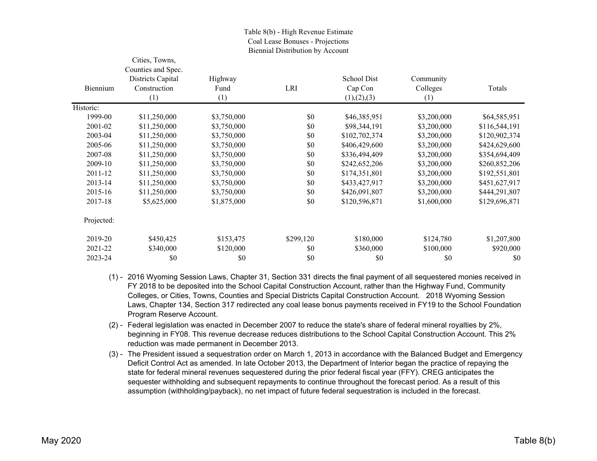### Table 8(b) - High Revenue Estimate Coal Lease Bonuses - Projections Biennial Distribution by Account

|            | Cities, Towns,     |             |            |               |             |               |
|------------|--------------------|-------------|------------|---------------|-------------|---------------|
|            | Counties and Spec. |             |            |               |             |               |
|            | Districts Capital  | Highway     |            | School Dist   | Community   |               |
| Biennium   | Construction       | Fund        | <b>LRI</b> | Cap Con       | Colleges    | Totals        |
|            | (1)                | (1)         |            | (1), (2), (3) | (1)         |               |
| Historic:  |                    |             |            |               |             |               |
| 1999-00    | \$11,250,000       | \$3,750,000 | \$0        | \$46,385,951  | \$3,200,000 | \$64,585,951  |
| 2001-02    | \$11,250,000       | \$3,750,000 | \$0        | \$98,344,191  | \$3,200,000 | \$116,544,191 |
| 2003-04    | \$11,250,000       | \$3,750,000 | \$0        | \$102,702,374 | \$3,200,000 | \$120,902,374 |
| 2005-06    | \$11,250,000       | \$3,750,000 | \$0        | \$406,429,600 | \$3,200,000 | \$424,629,600 |
| 2007-08    | \$11,250,000       | \$3,750,000 | \$0        | \$336,494,409 | \$3,200,000 | \$354,694,409 |
| 2009-10    | \$11,250,000       | \$3,750,000 | \$0        | \$242,652,206 | \$3,200,000 | \$260,852,206 |
| 2011-12    | \$11,250,000       | \$3,750,000 | \$0        | \$174,351,801 | \$3,200,000 | \$192,551,801 |
| 2013-14    | \$11,250,000       | \$3,750,000 | \$0        | \$433,427,917 | \$3,200,000 | \$451,627,917 |
| 2015-16    | \$11,250,000       | \$3,750,000 | \$0        | \$426,091,807 | \$3,200,000 | \$444,291,807 |
| 2017-18    | \$5,625,000        | \$1,875,000 | \$0        | \$120,596,871 | \$1,600,000 | \$129,696,871 |
| Projected: |                    |             |            |               |             |               |
| 2019-20    | \$450,425          | \$153,475   | \$299,120  | \$180,000     | \$124,780   | \$1,207,800   |
| 2021-22    | \$340,000          | \$120,000   | \$0        | \$360,000     | \$100,000   | \$920,000     |
| 2023-24    | \$0                | \$0         | \$0        | \$0           | \$0         | \$0           |

- (1) 2016 Wyoming Session Laws, Chapter 31, Section 331 directs the final payment of all sequestered monies received in FY 2018 to be deposited into the School Capital Construction Account, rather than the Highway Fund, Community Colleges, or Cities, Towns, Counties and Special Districts Capital Construction Account. 2018 Wyoming Session Laws, Chapter 134, Section 317 redirected any coal lease bonus payments received in FY19 to the School Foundation Program Reserve Account.
- (2) Federal legislation was enacted in December 2007 to reduce the state's share of federal mineral royalties by 2%, beginning in FY08. This revenue decrease reduces distributions to the School Capital Construction Account. This 2% reduction was made permanent in December 2013.
- (3) The President issued a sequestration order on March 1, 2013 in accordance with the Balanced Budget and Emergency Deficit Control Act as amended. In late October 2013, the Department of Interior began the practice of repaying the state for federal mineral revenues sequestered during the prior federal fiscal year (FFY). CREG anticipates the sequester withholding and subsequent repayments to continue throughout the forecast period. As a result of this assumption (withholding/payback), no net impact of future federal sequestration is included in the forecast.